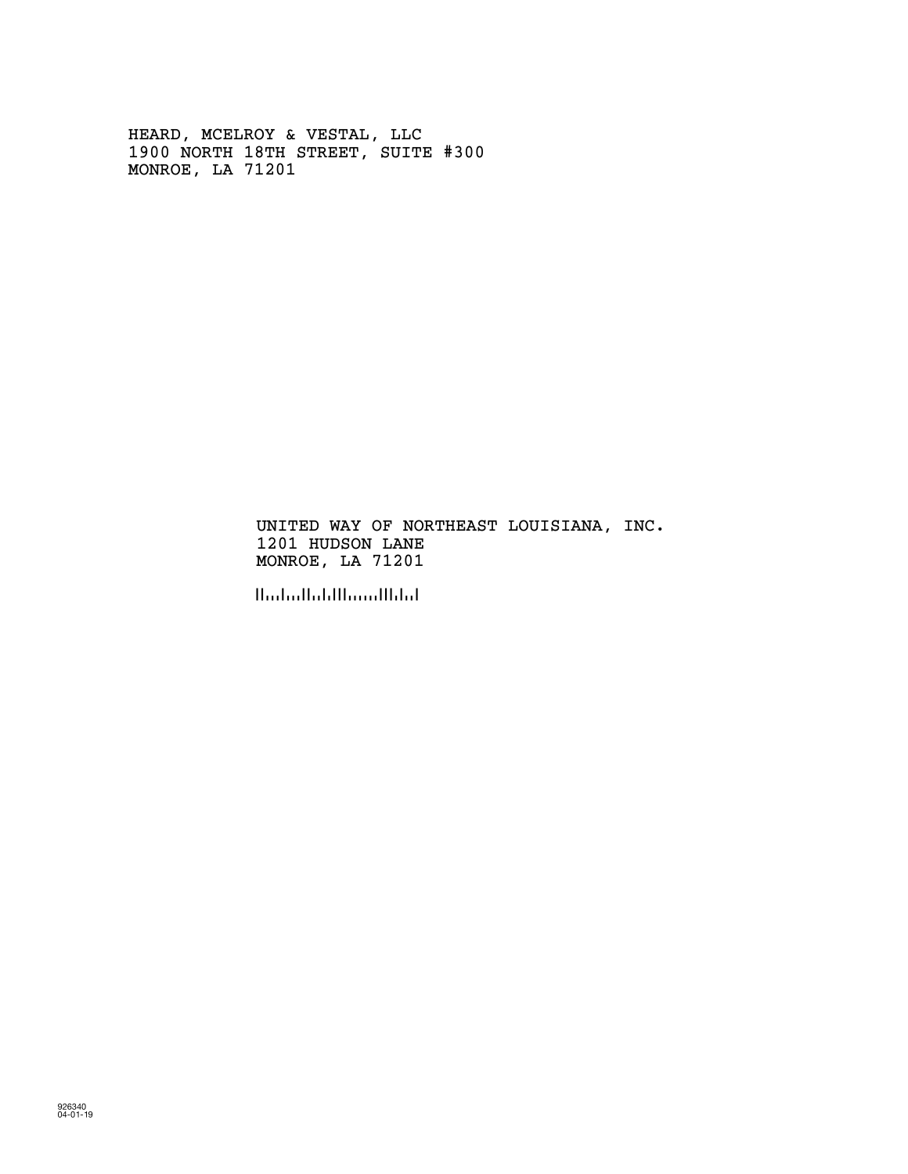HEARD, MCELROY & VESTAL, LLC 1900 NORTH 18TH STREET, SUITE #300 MONROE, LA 71201

> UNITED WAY OF NORTHEAST LOUISIANA, INC. 1201 HUDSON LANE MONROE, LA 71201

!712019!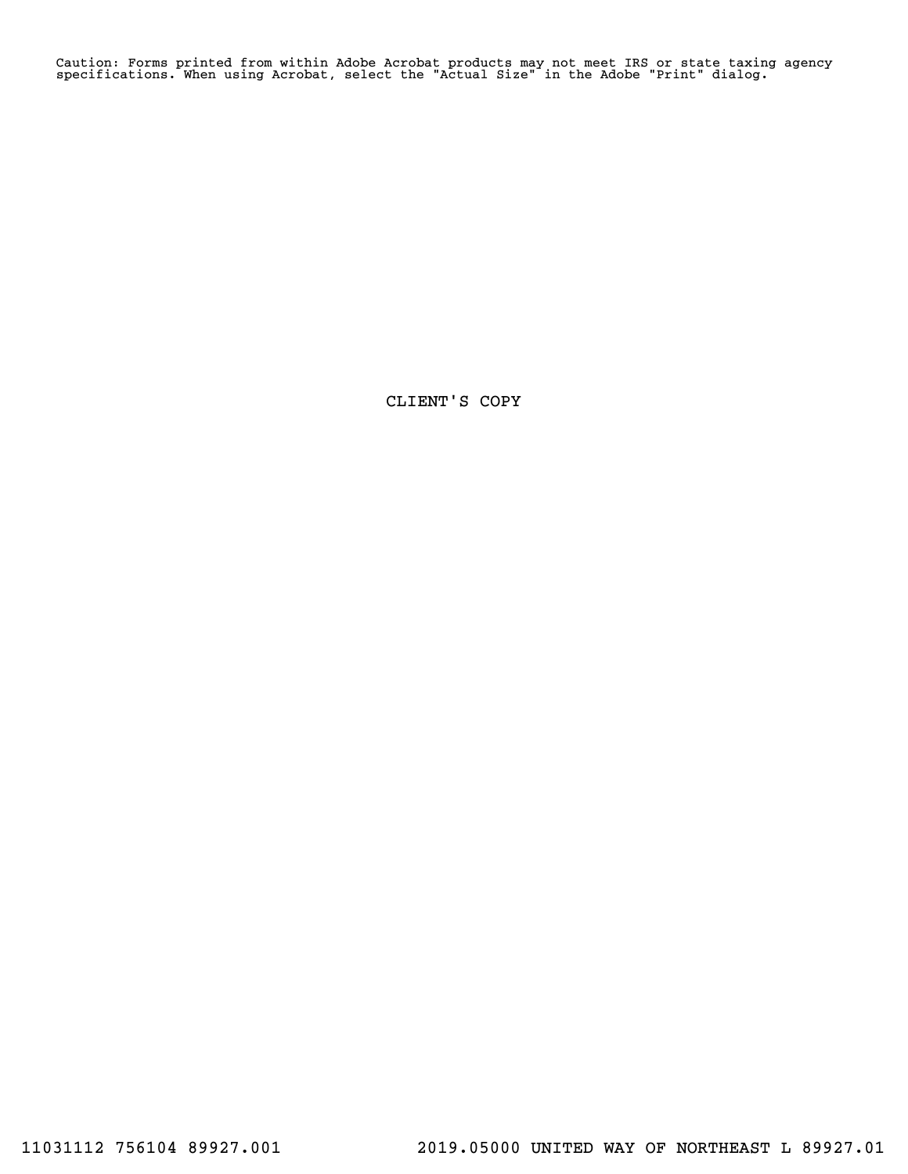Caution: Forms printed from within Adobe Acrobat products may not meet IRS or state taxing agency specifications. When using Acrobat, select the "Actual Size" in the Adobe "Print" dialog.

CLIENT'S COPY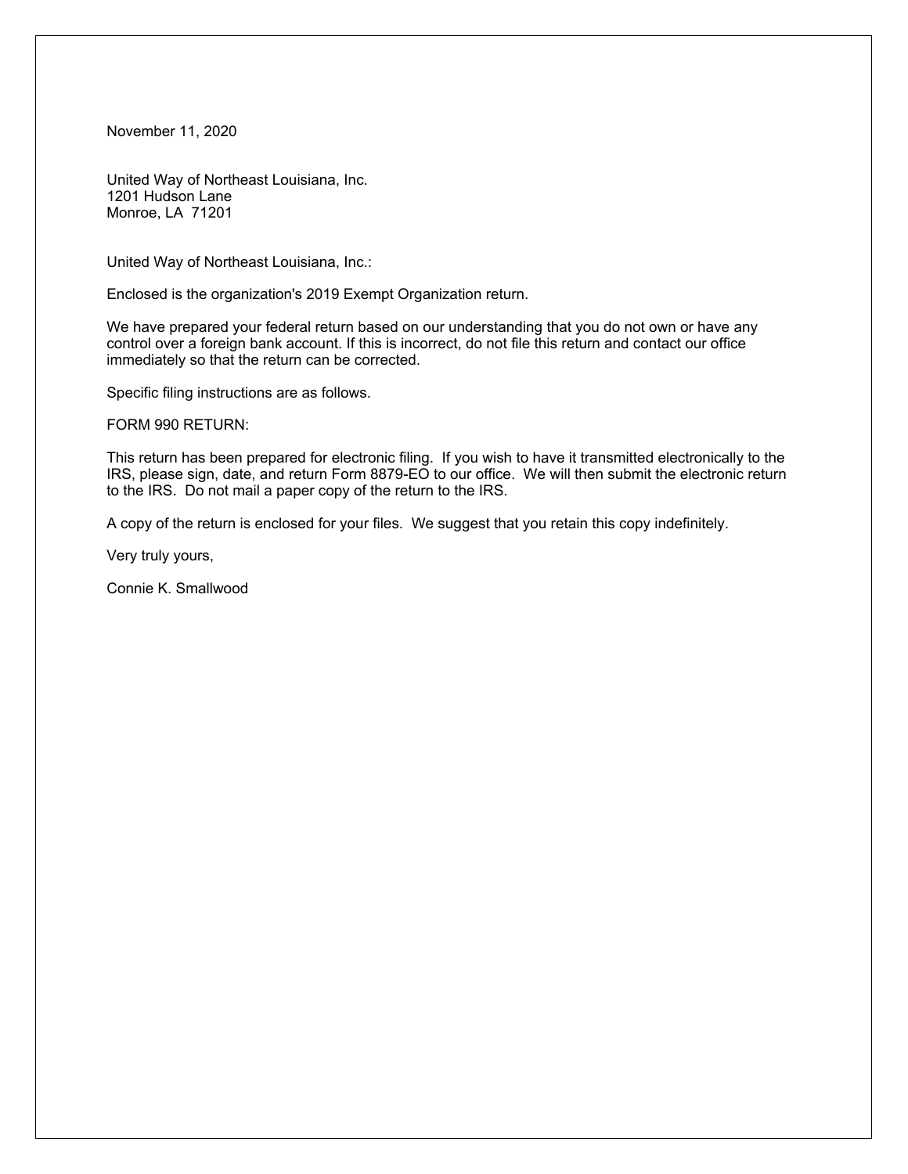November 11, 2020

United Way of Northeast Louisiana, Inc. 1201 Hudson Lane Monroe, LA 71201

United Way of Northeast Louisiana, Inc.:

Enclosed is the organization's 2019 Exempt Organization return.

We have prepared your federal return based on our understanding that you do not own or have any control over a foreign bank account. If this is incorrect, do not file this return and contact our office immediately so that the return can be corrected.

Specific filing instructions are as follows.

FORM 990 RETURN:

This return has been prepared for electronic filing. If you wish to have it transmitted electronically to the IRS, please sign, date, and return Form 8879-EO to our office. We will then submit the electronic return to the IRS. Do not mail a paper copy of the return to the IRS.

A copy of the return is enclosed for your files. We suggest that you retain this copy indefinitely.

Very truly yours,

Connie K. Smallwood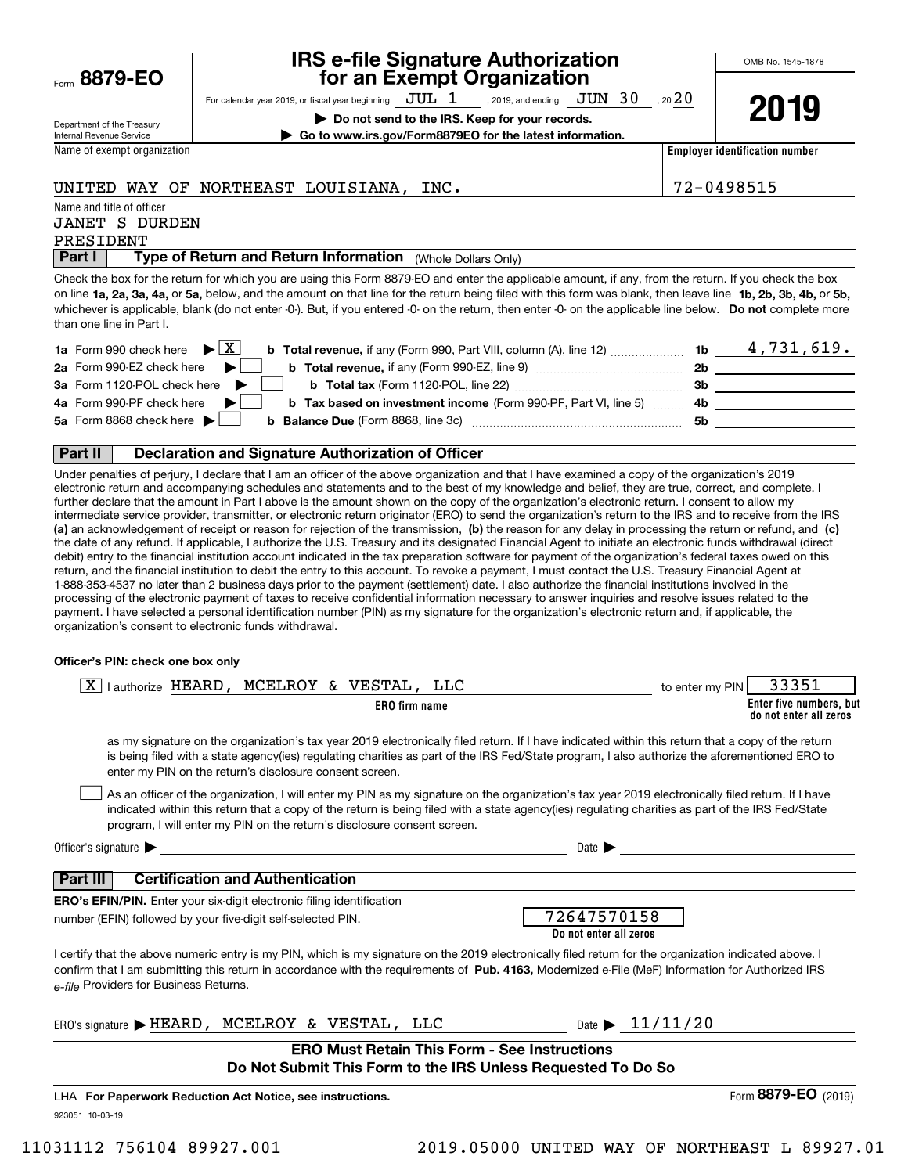|      | 8879-EO |  |  |
|------|---------|--|--|
| Form |         |  |  |

# **IRS e-file Signature Authorization for an Exempt Organization**

For calendar year 2019, or fiscal year beginning  $\rm\,JUL~$   $1$   $\rm\,$  , 2019, and ending  $\rm\,JUN~$   $30$   $\rm\,$  , 20  $20$ 

**| Do not send to the IRS. Keep for your records. | Go to www.irs.gov/Form8879EO for the latest information.** **2019**

Department of the Treasury Internal Revenue Service Name of exempt organization

**Employer identification number**

# UNITED WAY OF NORTHEAST LOUISIANA, INC.  $|72-0498515$

Name and title of officer

## PRESIDENT JANET S DURDEN

**Part I** | Type of Return and Return Information (Whole Dollars Only)

on line **1a, 2a, 3a, 4a,** or **5a,** below, and the amount on that line for the return being filed with this form was blank, then leave line **1b, 2b, 3b, 4b,** or **5b,** whichever is applicable, blank (do not enter -0-). But, if you entered -0- on the return, then enter -0- on the applicable line below. **Do not** complete more Check the box for the return for which you are using this Form 8879-EO and enter the applicable amount, if any, from the return. If you check the box than one line in Part I.

| <b>1a</b> Form 990 check here $\blacktriangleright$ $\boxed{\text{X}}$<br><b>b Total revenue,</b> if any (Form 990, Part VIII, column (A), line 12) | 1b  | 4,731,619. |
|-----------------------------------------------------------------------------------------------------------------------------------------------------|-----|------------|
| 2a Form 990-EZ check here $\blacktriangleright$                                                                                                     | 2b  |            |
| 3a Form 1120-POL check here $\blacktriangleright$                                                                                                   | 3b  |            |
| 4a Form 990-PF check here $\blacktriangleright$<br><b>b Tax based on investment income (Form 990-PF, Part VI, line 5)</b>                           | -4b |            |
| 5a Form 8868 check here $\blacktriangleright$<br><b>b</b> Balance Due (Form 8868, line 3c)                                                          | 5b  |            |
|                                                                                                                                                     |     |            |

# **Part II Declaration and Signature Authorization of Officer**

**(a)** an acknowledgement of receipt or reason for rejection of the transmission, (b) the reason for any delay in processing the return or refund, and (c) Under penalties of perjury, I declare that I am an officer of the above organization and that I have examined a copy of the organization's 2019 electronic return and accompanying schedules and statements and to the best of my knowledge and belief, they are true, correct, and complete. I further declare that the amount in Part I above is the amount shown on the copy of the organization's electronic return. I consent to allow my intermediate service provider, transmitter, or electronic return originator (ERO) to send the organization's return to the IRS and to receive from the IRS the date of any refund. If applicable, I authorize the U.S. Treasury and its designated Financial Agent to initiate an electronic funds withdrawal (direct debit) entry to the financial institution account indicated in the tax preparation software for payment of the organization's federal taxes owed on this return, and the financial institution to debit the entry to this account. To revoke a payment, I must contact the U.S. Treasury Financial Agent at 1-888-353-4537 no later than 2 business days prior to the payment (settlement) date. I also authorize the financial institutions involved in the processing of the electronic payment of taxes to receive confidential information necessary to answer inquiries and resolve issues related to the payment. I have selected a personal identification number (PIN) as my signature for the organization's electronic return and, if applicable, the organization's consent to electronic funds withdrawal.

## **Officer's PIN: check one box only**

| lauthorize HEARD, MCELROY & VESTAL, LLC                                                                                                                                                                                                                                                                                                                                          | 33351<br>to enter my PIN                          |
|----------------------------------------------------------------------------------------------------------------------------------------------------------------------------------------------------------------------------------------------------------------------------------------------------------------------------------------------------------------------------------|---------------------------------------------------|
| <b>ERO</b> firm name                                                                                                                                                                                                                                                                                                                                                             | Enter five numbers, but<br>do not enter all zeros |
| as my signature on the organization's tax year 2019 electronically filed return. If I have indicated within this return that a copy of the return<br>is being filed with a state agency(ies) regulating charities as part of the IRS Fed/State program, I also authorize the aforementioned ERO to<br>enter my PIN on the return's disclosure consent screen.                    |                                                   |
| As an officer of the organization, I will enter my PIN as my signature on the organization's tax year 2019 electronically filed return. If I have<br>indicated within this return that a copy of the return is being filed with a state agency(ies) regulating charities as part of the IRS Fed/State<br>program, I will enter my PIN on the return's disclosure consent screen. |                                                   |
| Officer's signature $\blacktriangleright$                                                                                                                                                                                                                                                                                                                                        | Date $\blacktriangleright$                        |
| <b>Certification and Authentication</b><br>Part III                                                                                                                                                                                                                                                                                                                              |                                                   |
| <b>ERO's EFIN/PIN.</b> Enter your six-digit electronic filing identification<br>number (EFIN) followed by your five-digit self-selected PIN.                                                                                                                                                                                                                                     | 72647570158<br>Do not enter all zeros             |
| I certify that the above numeric entry is my PIN, which is my signature on the 2019 electronically filed return for the organization indicated above. I<br>confirm that I am submitting this return in accordance with the requirements of Pub. 4163, Modernized e-File (MeF) Information for Authorized IRS<br>e-file Providers for Business Returns.                           |                                                   |
| $ERO's$ signature $\blacktriangleright$ HEARD, MCELROY & VESTAL, LLC                                                                                                                                                                                                                                                                                                             | Date $\triangleright$ 11/11/20                    |
| <b>ERO Must Retain This Form - See Instructions</b><br>Do Not Submit This Form to the IRS Unless Requested To Do So                                                                                                                                                                                                                                                              |                                                   |
| LHA For Paperwork Reduction Act Notice, see instructions.                                                                                                                                                                                                                                                                                                                        | Form 8879-EO<br>(2019)                            |
| 923051 10-03-19                                                                                                                                                                                                                                                                                                                                                                  |                                                   |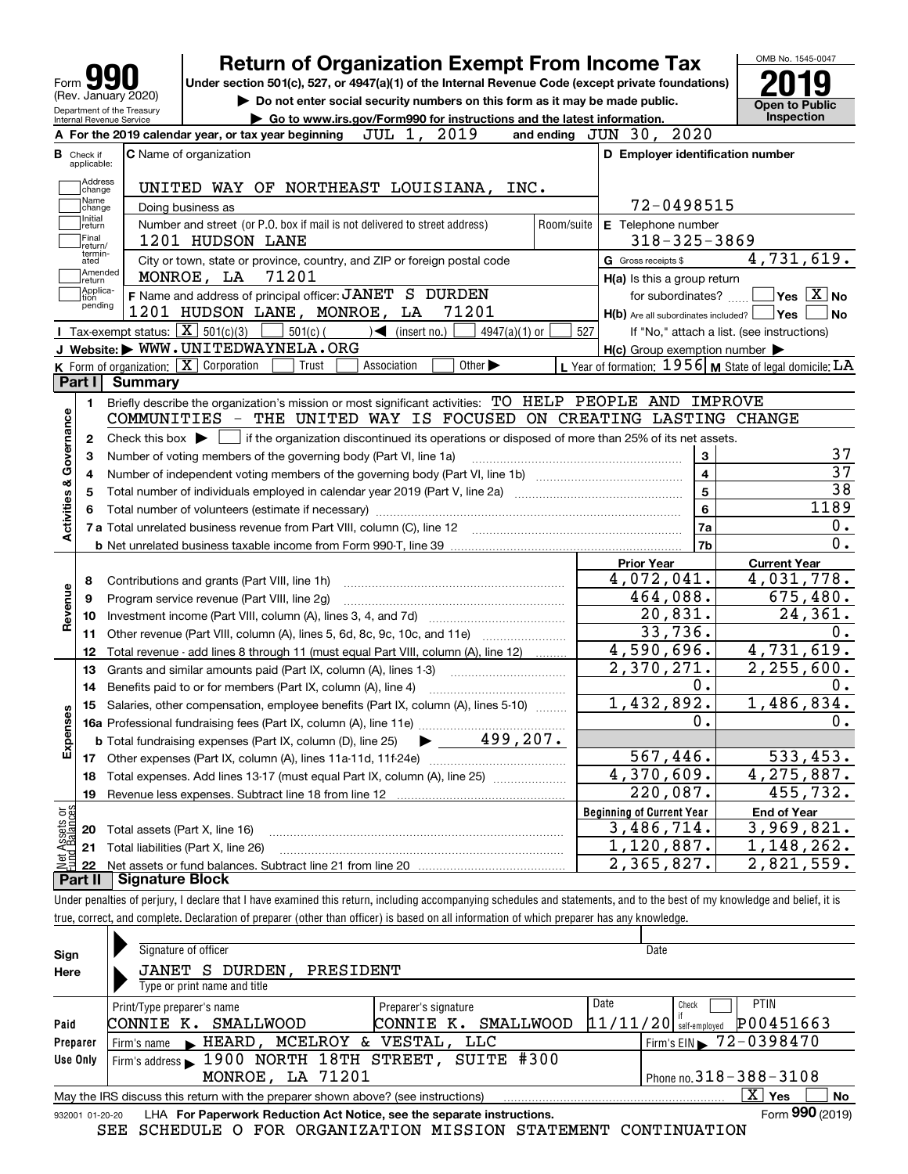| 191<br>Form                                            |
|--------------------------------------------------------|
| (Rev. January 2020)                                    |
| Department of the Treasury<br>Internal Revenue Service |

# **Return of Organization Exempt From Income Tax**

Under section 501(c), 527, or 4947(a)(1) of the Internal Revenue Code (except private foundations) **2019** 

**| Do not enter social security numbers on this form as it may be made public.**



**| Go to www.irs.gov/Form990 for instructions and the latest information. Inspection**

|                         |                         | 2019<br>JUL 1,<br>A For the 2019 calendar year, or tax year beginning                                                                       | and ending | $\overline{JUN}$ 30, 2020                           |                                                             |  |  |
|-------------------------|-------------------------|---------------------------------------------------------------------------------------------------------------------------------------------|------------|-----------------------------------------------------|-------------------------------------------------------------|--|--|
| В                       | Check if<br>applicable: | <b>C</b> Name of organization                                                                                                               |            | D Employer identification number                    |                                                             |  |  |
|                         | Address<br>change       | UNITED WAY OF NORTHEAST LOUISIANA,<br>INC.                                                                                                  |            |                                                     |                                                             |  |  |
|                         | Name<br>change          | Doing business as                                                                                                                           |            | 72-0498515                                          |                                                             |  |  |
|                         | Initial<br>return       | Number and street (or P.O. box if mail is not delivered to street address)                                                                  | Room/suite | E Telephone number                                  |                                                             |  |  |
|                         | Final<br>return/        | 1201 HUDSON LANE                                                                                                                            |            | $318 - 325 - 3869$                                  |                                                             |  |  |
|                         | termin-<br>ated         | City or town, state or province, country, and ZIP or foreign postal code                                                                    |            | G Gross receipts \$                                 | 4,731,619.                                                  |  |  |
|                         | Amended<br>return       | MONROE, LA 71201                                                                                                                            |            | H(a) Is this a group return                         |                                                             |  |  |
|                         | Applica-<br> tion       | F Name and address of principal officer: JANET S DURDEN                                                                                     |            | for subordinates?                                   | $\overline{Y}$ es $\overline{X}$ No                         |  |  |
|                         | pending                 | 71201<br>1201 HUDSON LANE, MONROE, LA                                                                                                       |            | $H(b)$ Are all subordinates included? $\Box$ Yes    | l No                                                        |  |  |
|                         |                         | Tax-exempt status: $\boxed{\mathbf{X}}$ 501(c)(3)<br>$501(c)$ (<br>$\sqrt{\frac{1}{1}}$ (insert no.)<br>$4947(a)(1)$ or                     | 527        |                                                     | If "No," attach a list. (see instructions)                  |  |  |
|                         |                         | J Website: WWW.UNITEDWAYNELA.ORG                                                                                                            |            | $H(c)$ Group exemption number $\blacktriangleright$ |                                                             |  |  |
|                         |                         | <b>K</b> Form of organization: $\boxed{\mathbf{X}}$ Corporation<br>Trust<br>Association<br>Other $\blacktriangleright$                      |            |                                                     | L Year of formation: $1956$ M State of legal domicile: $LA$ |  |  |
|                         | Part I                  | <b>Summary</b>                                                                                                                              |            |                                                     |                                                             |  |  |
|                         | 1.                      | Briefly describe the organization's mission or most significant activities: TO HELP PEOPLE AND IMPROVE                                      |            |                                                     |                                                             |  |  |
| Activities & Governance |                         | COMMUNITIES - THE UNITED WAY IS FOCUSED ON CREATING LASTING CHANGE                                                                          |            |                                                     |                                                             |  |  |
|                         | 2                       | Check this box $\blacktriangleright$ $\Box$ if the organization discontinued its operations or disposed of more than 25% of its net assets. |            |                                                     |                                                             |  |  |
|                         | З                       | Number of voting members of the governing body (Part VI, line 1a)                                                                           |            | 3                                                   | 37                                                          |  |  |
|                         | 4                       |                                                                                                                                             |            | $\overline{\mathbf{4}}$                             | 37                                                          |  |  |
|                         | 5                       |                                                                                                                                             |            | $\overline{5}$                                      | $\overline{38}$                                             |  |  |
|                         | 6                       |                                                                                                                                             |            | 6                                                   | 1189                                                        |  |  |
|                         |                         |                                                                                                                                             |            | 7a                                                  | 0.                                                          |  |  |
|                         |                         |                                                                                                                                             |            | 7b                                                  | 0.                                                          |  |  |
|                         |                         |                                                                                                                                             |            | <b>Prior Year</b>                                   | <b>Current Year</b>                                         |  |  |
|                         | 8                       | Contributions and grants (Part VIII, line 1h)                                                                                               |            | 4,072,041.                                          | 4,031,778.                                                  |  |  |
| Revenue                 | 9                       | Program service revenue (Part VIII, line 2q)                                                                                                |            | 464,088.                                            | 675,480.                                                    |  |  |
|                         | 10                      |                                                                                                                                             |            | 20,831.<br>33,736.                                  | 24,361.<br>0.                                               |  |  |
|                         | 11                      | Other revenue (Part VIII, column (A), lines 5, 6d, 8c, 9c, 10c, and 11e)                                                                    |            | 4,590,696.                                          | 4,731,619.                                                  |  |  |
|                         | 12                      | Total revenue - add lines 8 through 11 (must equal Part VIII, column (A), line 12)                                                          |            | 2,370,271.                                          | 2, 255, 600.                                                |  |  |
|                         | 13                      | Grants and similar amounts paid (Part IX, column (A), lines 1-3)                                                                            |            | 0.                                                  | 0.                                                          |  |  |
|                         | 14                      | Benefits paid to or for members (Part IX, column (A), line 4)                                                                               |            | 1,432,892.                                          | 1,486,834.                                                  |  |  |
|                         | 15                      | Salaries, other compensation, employee benefits (Part IX, column (A), lines 5-10)                                                           |            | Ο.                                                  | 0.                                                          |  |  |
| Expenses                |                         | $\blacktriangleright$ _____ 499,207.<br><b>b</b> Total fundraising expenses (Part IX, column (D), line 25)                                  |            |                                                     |                                                             |  |  |
|                         |                         |                                                                                                                                             |            | 567,446.                                            | 533, 453.                                                   |  |  |
|                         | 18                      |                                                                                                                                             |            | 4,370,609.                                          | 4, 275, 887.                                                |  |  |
|                         | 19                      |                                                                                                                                             |            | $\overline{220}$ , 087.                             | 455, 732.                                                   |  |  |
| ăğ                      |                         |                                                                                                                                             |            | <b>Beginning of Current Year</b>                    | <b>End of Year</b>                                          |  |  |
| sets<br>alanc           |                         | <b>20</b> Total assets (Part X, line 16)                                                                                                    |            | 3,486,714.                                          | 3,969,821.                                                  |  |  |
|                         |                         | 21 Total liabilities (Part X, line 26)                                                                                                      |            | 1,120,887.                                          | 1,148,262.                                                  |  |  |
|                         | 22                      |                                                                                                                                             |            | 2,365,827.                                          | 2,821,559.                                                  |  |  |
|                         |                         | <b>Part II</b> Signature Block                                                                                                              |            |                                                     |                                                             |  |  |

Under penalties of perjury, I declare that I have examined this return, including accompanying schedules and statements, and to the best of my knowledge and belief, it is true, correct, and complete. Declaration of preparer (other than officer) is based on all information of which preparer has any knowledge.

| Sign     | Signature of officer                                                                                         | Date                                                      |  |  |  |  |  |
|----------|--------------------------------------------------------------------------------------------------------------|-----------------------------------------------------------|--|--|--|--|--|
| Here     | DURDEN,<br>PRESIDENT<br>JANET<br>-S                                                                          |                                                           |  |  |  |  |  |
|          | Type or print name and title                                                                                 |                                                           |  |  |  |  |  |
|          | Preparer's signature<br>Print/Type preparer's name                                                           | Date<br>PTIN<br>Check                                     |  |  |  |  |  |
| Paid     | SMALLWOOD<br>CONNIE K.<br>CONNIE<br>к.                                                                       | P00451663<br>$11/11/20$ self-employed<br><b>SMALLWOOD</b> |  |  |  |  |  |
| Preparer | MCELROY & VESTAL,<br>LLC<br>$\blacktriangleright$ HEARD,<br>Firm's name                                      | $1$ Firm's EIN $\triangleright$ 72-0398470                |  |  |  |  |  |
| Use Only | Firm's address 1900 NORTH 18TH STREET, SUITE #300                                                            |                                                           |  |  |  |  |  |
|          | MONROE, LA 71201                                                                                             | Phone no. $318 - 388 - 3108$                              |  |  |  |  |  |
|          | X.<br>No<br>Yes<br>May the IRS discuss this return with the preparer shown above? (see instructions)         |                                                           |  |  |  |  |  |
|          | Form 990 (2019)<br>LHA For Paperwork Reduction Act Notice, see the separate instructions.<br>932001 01-20-20 |                                                           |  |  |  |  |  |

SEE SCHEDULE O FOR ORGANIZATION MISSION STATEMENT CONTINUATION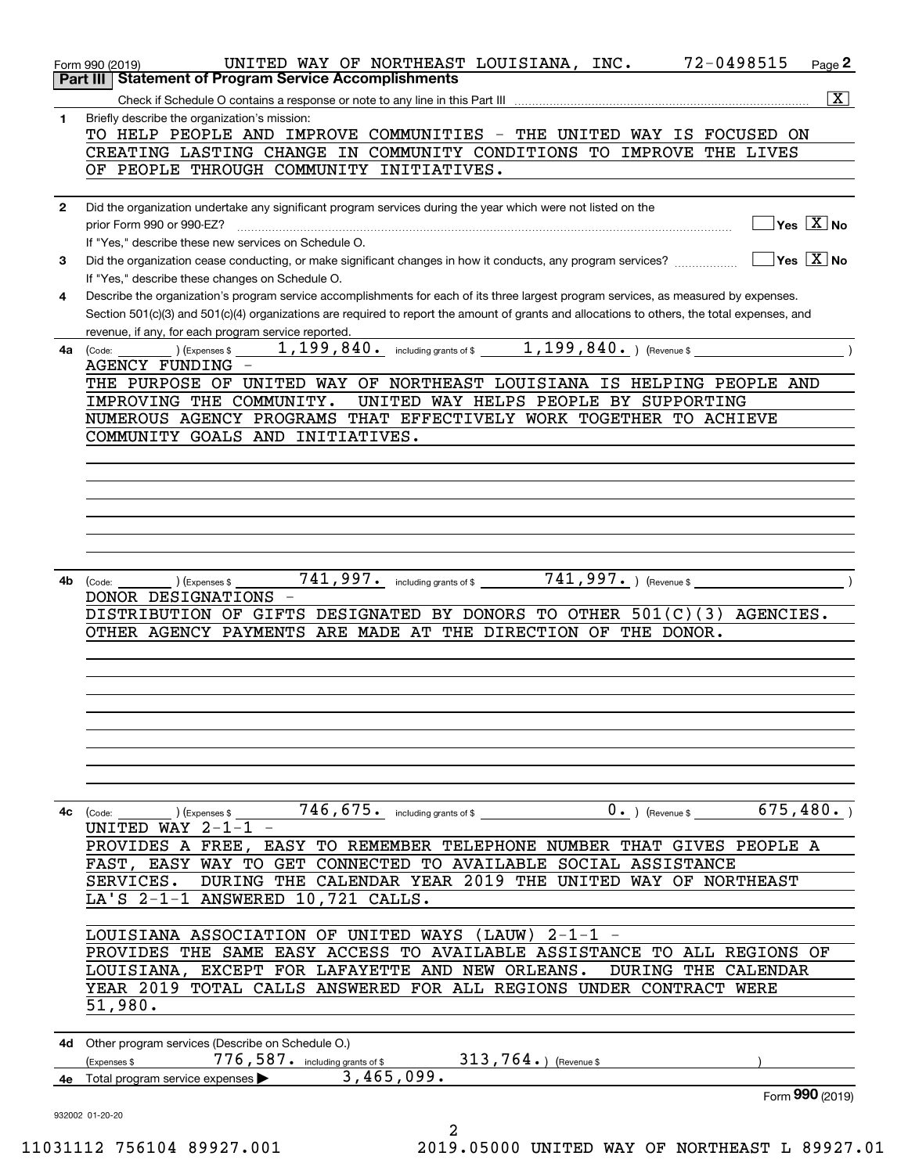|              | 72-0498515<br>UNITED WAY OF NORTHEAST LOUISIANA, INC.<br>$Page$ 2<br>Form 990 (2019)                                                         |
|--------------|----------------------------------------------------------------------------------------------------------------------------------------------|
|              | <b>Statement of Program Service Accomplishments</b><br>Part III                                                                              |
|              | $\overline{\mathbf{x}}$                                                                                                                      |
| $\mathbf{1}$ | Briefly describe the organization's mission:                                                                                                 |
|              | TO HELP PEOPLE AND IMPROVE COMMUNITIES - THE UNITED WAY IS FOCUSED ON                                                                        |
|              | CREATING LASTING CHANGE IN COMMUNITY CONDITIONS TO IMPROVE THE LIVES                                                                         |
|              | OF PEOPLE THROUGH COMMUNITY INITIATIVES.                                                                                                     |
|              |                                                                                                                                              |
| $\mathbf{2}$ | Did the organization undertake any significant program services during the year which were not listed on the                                 |
|              | $\boxed{\phantom{1}}$ Yes $\boxed{\text{X}}$ No<br>prior Form 990 or 990-EZ?                                                                 |
|              | If "Yes," describe these new services on Schedule O.                                                                                         |
| 3            |                                                                                                                                              |
|              | If "Yes," describe these changes on Schedule O.                                                                                              |
|              | Describe the organization's program service accomplishments for each of its three largest program services, as measured by expenses.         |
| 4            |                                                                                                                                              |
|              | Section 501(c)(3) and 501(c)(4) organizations are required to report the amount of grants and allocations to others, the total expenses, and |
|              | revenue, if any, for each program service reported.<br>1, 199, 840. including grants of \$ ________ 1, 199, 840. ) (Revenue \$ __________    |
| 4a           | (Expenses \$<br>(Code:                                                                                                                       |
|              | AGENCY FUNDING -                                                                                                                             |
|              | THE PURPOSE OF UNITED WAY OF NORTHEAST LOUISIANA IS HELPING PEOPLE AND                                                                       |
|              | IMPROVING THE COMMUNITY.<br>UNITED WAY HELPS PEOPLE BY SUPPORTING                                                                            |
|              | NUMEROUS AGENCY PROGRAMS THAT EFFECTIVELY WORK TOGETHER TO ACHIEVE                                                                           |
|              | COMMUNITY GOALS AND INITIATIVES.                                                                                                             |
|              |                                                                                                                                              |
|              |                                                                                                                                              |
|              |                                                                                                                                              |
|              |                                                                                                                                              |
|              |                                                                                                                                              |
|              |                                                                                                                                              |
|              |                                                                                                                                              |
| 4b           | 741,997. including grants of \$ 741,997. ) (Revenue \$<br>(Expenses \$<br>(Code:                                                             |
|              | DONOR DESIGNATIONS -                                                                                                                         |
|              | DISTRIBUTION OF GIFTS DESIGNATED BY DONORS TO OTHER 501(C)(3) AGENCIES.                                                                      |
|              | OTHER AGENCY PAYMENTS ARE MADE AT THE DIRECTION OF THE DONOR.                                                                                |
|              |                                                                                                                                              |
|              |                                                                                                                                              |
|              |                                                                                                                                              |
|              |                                                                                                                                              |
|              |                                                                                                                                              |
|              |                                                                                                                                              |
|              |                                                                                                                                              |
|              |                                                                                                                                              |
|              |                                                                                                                                              |
|              | 675,480.                                                                                                                                     |
|              | $0.$ ) (Revenue \$<br>$746$ , $675$ . including grants of \$<br>4c (Code:<br>(Expenses \$                                                    |
|              | UNITED WAY $2-1-1$ -                                                                                                                         |
|              | PROVIDES A FREE, EASY TO REMEMBER TELEPHONE NUMBER THAT GIVES PEOPLE A                                                                       |
|              | FAST, EASY WAY TO GET CONNECTED TO AVAILABLE SOCIAL ASSISTANCE                                                                               |
|              | DURING THE CALENDAR YEAR 2019 THE UNITED WAY OF NORTHEAST<br>SERVICES.                                                                       |
|              | LA'S 2-1-1 ANSWERED 10,721 CALLS.                                                                                                            |
|              |                                                                                                                                              |
|              | LOUISIANA ASSOCIATION OF UNITED WAYS (LAUW) 2-1-1 -                                                                                          |
|              | PROVIDES THE SAME EASY ACCESS TO AVAILABLE ASSISTANCE TO ALL REGIONS OF                                                                      |
|              | LOUISIANA, EXCEPT FOR LAFAYETTE AND NEW ORLEANS.<br>DURING THE CALENDAR                                                                      |
|              | YEAR 2019 TOTAL CALLS ANSWERED FOR ALL REGIONS UNDER CONTRACT WERE                                                                           |
|              | 51,980.                                                                                                                                      |
|              |                                                                                                                                              |
|              | 4d Other program services (Describe on Schedule O.)                                                                                          |
|              | 776, 587. including grants of \$ 313, 764.) (Revenue \$<br>(Expenses \$                                                                      |
|              | $3,465,099$ .<br>4e Total program service expenses                                                                                           |
|              | Form 990 (2019)                                                                                                                              |
|              |                                                                                                                                              |
|              | 932002 01-20-20<br>2                                                                                                                         |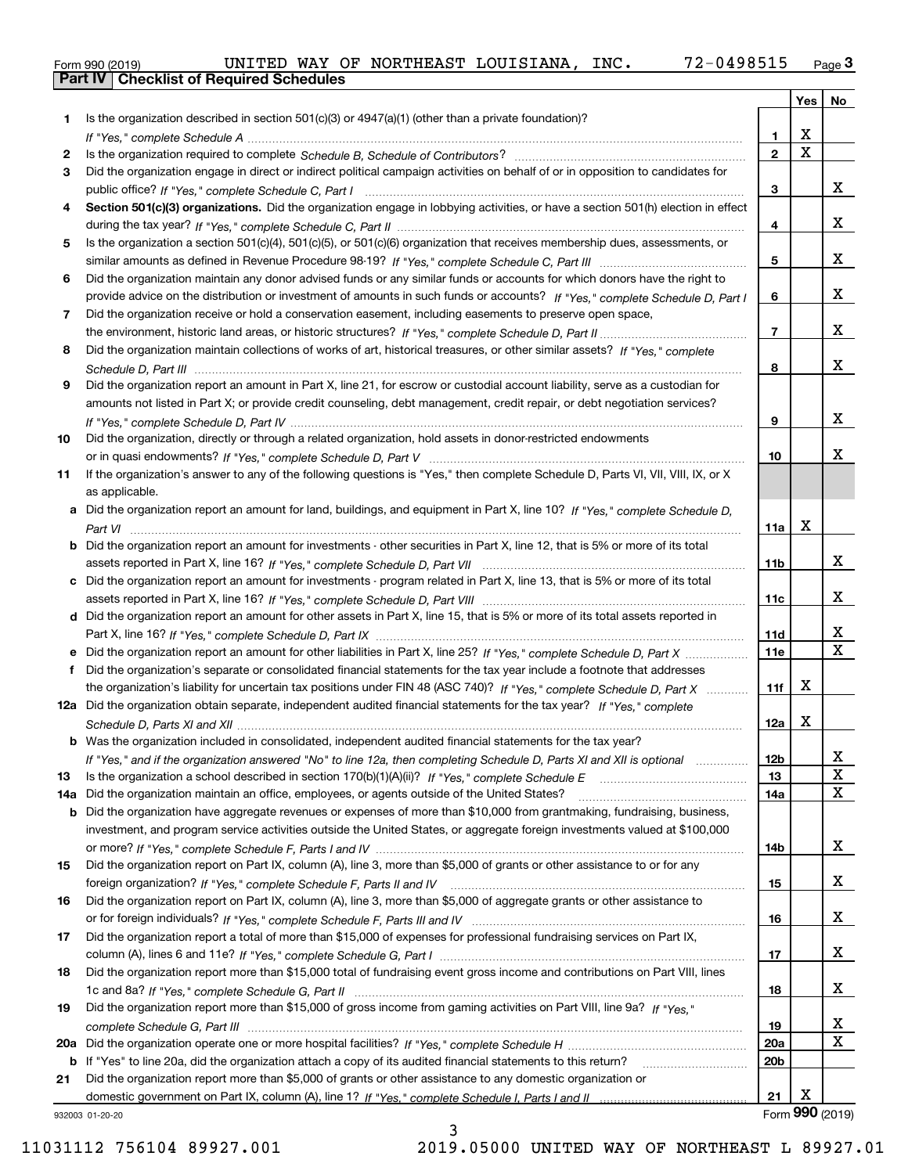|  | Form 990 (2019) |
|--|-----------------|

|     |                                                                                                                                       |                 | Yes                     | No              |
|-----|---------------------------------------------------------------------------------------------------------------------------------------|-----------------|-------------------------|-----------------|
| 1.  | Is the organization described in section $501(c)(3)$ or $4947(a)(1)$ (other than a private foundation)?                               |                 |                         |                 |
|     |                                                                                                                                       | 1.              | X                       |                 |
| 2   |                                                                                                                                       | $\overline{2}$  | $\overline{\mathbf{x}}$ |                 |
| 3   | Did the organization engage in direct or indirect political campaign activities on behalf of or in opposition to candidates for       |                 |                         |                 |
|     |                                                                                                                                       | 3               |                         | x               |
| 4   | Section 501(c)(3) organizations. Did the organization engage in lobbying activities, or have a section 501(h) election in effect      |                 |                         |                 |
|     |                                                                                                                                       | 4               |                         | x               |
| 5   | Is the organization a section 501(c)(4), 501(c)(5), or 501(c)(6) organization that receives membership dues, assessments, or          |                 |                         |                 |
|     |                                                                                                                                       | 5               |                         | x               |
| 6   | Did the organization maintain any donor advised funds or any similar funds or accounts for which donors have the right to             |                 |                         |                 |
|     | provide advice on the distribution or investment of amounts in such funds or accounts? If "Yes," complete Schedule D, Part I          | 6               |                         | x               |
| 7   | Did the organization receive or hold a conservation easement, including easements to preserve open space,                             |                 |                         | x               |
|     |                                                                                                                                       | $\overline{7}$  |                         |                 |
| 8   | Did the organization maintain collections of works of art, historical treasures, or other similar assets? If "Yes," complete          |                 |                         | x               |
|     | Did the organization report an amount in Part X, line 21, for escrow or custodial account liability, serve as a custodian for         | 8               |                         |                 |
| 9   |                                                                                                                                       |                 |                         |                 |
|     | amounts not listed in Part X; or provide credit counseling, debt management, credit repair, or debt negotiation services?             | 9               |                         | x               |
| 10  | Did the organization, directly or through a related organization, hold assets in donor-restricted endowments                          |                 |                         |                 |
|     |                                                                                                                                       | 10              |                         | x.              |
| 11  | If the organization's answer to any of the following questions is "Yes," then complete Schedule D, Parts VI, VII, VIII, IX, or X      |                 |                         |                 |
|     | as applicable.                                                                                                                        |                 |                         |                 |
|     | a Did the organization report an amount for land, buildings, and equipment in Part X, line 10? If "Yes," complete Schedule D,         |                 |                         |                 |
|     |                                                                                                                                       | 11a             | X                       |                 |
|     | <b>b</b> Did the organization report an amount for investments - other securities in Part X, line 12, that is 5% or more of its total |                 |                         |                 |
|     |                                                                                                                                       | 11 <sub>b</sub> |                         | x               |
|     | c Did the organization report an amount for investments - program related in Part X, line 13, that is 5% or more of its total         |                 |                         |                 |
|     |                                                                                                                                       | 11c             |                         | X.              |
|     | d Did the organization report an amount for other assets in Part X, line 15, that is 5% or more of its total assets reported in       |                 |                         |                 |
|     |                                                                                                                                       | 11d             |                         | x               |
|     |                                                                                                                                       | 11e             |                         | $\mathbf{x}$    |
| f   | Did the organization's separate or consolidated financial statements for the tax year include a footnote that addresses               |                 |                         |                 |
|     | the organization's liability for uncertain tax positions under FIN 48 (ASC 740)? If "Yes," complete Schedule D, Part X                | 11f             | x                       |                 |
|     | 12a Did the organization obtain separate, independent audited financial statements for the tax year? If "Yes," complete               |                 |                         |                 |
|     |                                                                                                                                       | 12a             | x                       |                 |
|     | <b>b</b> Was the organization included in consolidated, independent audited financial statements for the tax year?                    |                 |                         |                 |
|     | If "Yes," and if the organization answered "No" to line 12a, then completing Schedule D, Parts XI and XII is optional                 | 12b             |                         | A               |
| 13  |                                                                                                                                       | 13              |                         | $\mathbf X$     |
| 14a | Did the organization maintain an office, employees, or agents outside of the United States?                                           | 14a             |                         | X               |
|     | <b>b</b> Did the organization have aggregate revenues or expenses of more than \$10,000 from grantmaking, fundraising, business,      |                 |                         |                 |
|     | investment, and program service activities outside the United States, or aggregate foreign investments valued at \$100,000            |                 |                         |                 |
|     | Did the organization report on Part IX, column (A), line 3, more than \$5,000 of grants or other assistance to or for any             | 14b             |                         | X.              |
| 15  |                                                                                                                                       | 15              |                         | x               |
| 16  | Did the organization report on Part IX, column (A), line 3, more than \$5,000 of aggregate grants or other assistance to              |                 |                         |                 |
|     |                                                                                                                                       | 16              |                         | x               |
| 17  | Did the organization report a total of more than \$15,000 of expenses for professional fundraising services on Part IX,               |                 |                         |                 |
|     |                                                                                                                                       | 17              |                         | x               |
| 18  | Did the organization report more than \$15,000 total of fundraising event gross income and contributions on Part VIII, lines          |                 |                         |                 |
|     |                                                                                                                                       | 18              |                         | x               |
| 19  | Did the organization report more than \$15,000 of gross income from gaming activities on Part VIII, line 9a? If "Yes."                |                 |                         |                 |
|     |                                                                                                                                       | 19              |                         | x               |
|     |                                                                                                                                       | <b>20a</b>      |                         | х               |
|     | b If "Yes" to line 20a, did the organization attach a copy of its audited financial statements to this return?                        | 20 <sub>b</sub> |                         |                 |
| 21  | Did the organization report more than \$5,000 of grants or other assistance to any domestic organization or                           |                 |                         |                 |
|     |                                                                                                                                       | 21              | Х                       |                 |
|     | 932003 01-20-20                                                                                                                       |                 |                         | Form 990 (2019) |

3

932003 01-20-20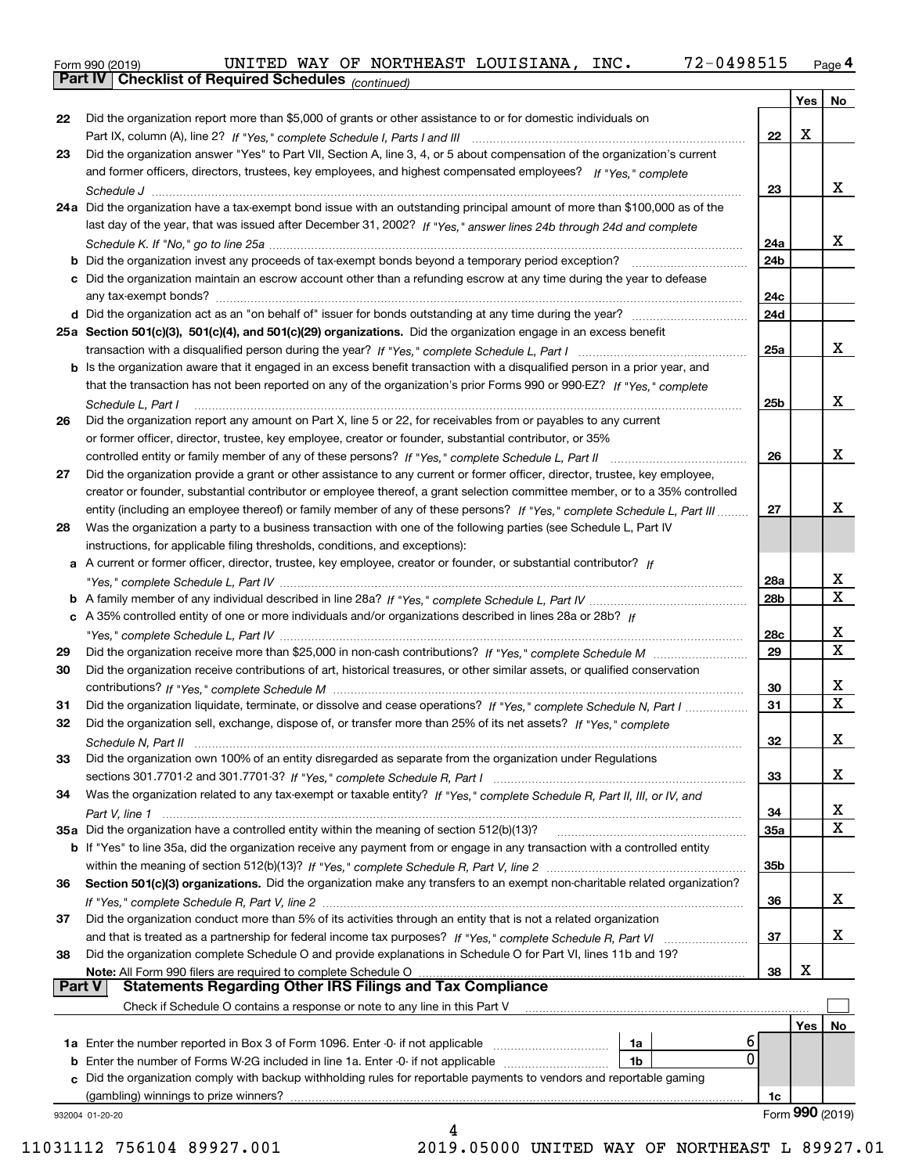Form 990 (2019) UNITED WAY OF NORTHEAST LOUISIANA, INC**.** 72-0 49 8515 <sub>Page</sub> 4<br>**Part IV | Checklist of Required Schedules** <sub>(continued)</sub>

*(continued)*

|               |                                                                                                                              |                 | Yes | No              |
|---------------|------------------------------------------------------------------------------------------------------------------------------|-----------------|-----|-----------------|
| 22            | Did the organization report more than \$5,000 of grants or other assistance to or for domestic individuals on                |                 |     |                 |
|               |                                                                                                                              | 22              | X   |                 |
| 23            | Did the organization answer "Yes" to Part VII, Section A, line 3, 4, or 5 about compensation of the organization's current   |                 |     |                 |
|               | and former officers, directors, trustees, key employees, and highest compensated employees? If "Yes," complete               |                 |     |                 |
|               |                                                                                                                              | 23              |     | x               |
|               | 24a Did the organization have a tax-exempt bond issue with an outstanding principal amount of more than \$100,000 as of the  |                 |     |                 |
|               | last day of the year, that was issued after December 31, 2002? If "Yes," answer lines 24b through 24d and complete           |                 |     |                 |
|               |                                                                                                                              | 24a             |     | x               |
|               |                                                                                                                              | 24 <sub>b</sub> |     |                 |
|               | c Did the organization maintain an escrow account other than a refunding escrow at any time during the year to defease       |                 |     |                 |
|               |                                                                                                                              | 24c             |     |                 |
|               |                                                                                                                              | 24d             |     |                 |
|               | 25a Section 501(c)(3), 501(c)(4), and 501(c)(29) organizations. Did the organization engage in an excess benefit             |                 |     |                 |
|               |                                                                                                                              | 25a             |     | X.              |
|               | b Is the organization aware that it engaged in an excess benefit transaction with a disqualified person in a prior year, and |                 |     |                 |
|               | that the transaction has not been reported on any of the organization's prior Forms 990 or 990-EZ? If "Yes," complete        |                 |     |                 |
|               | Schedule L, Part I                                                                                                           | 25 <sub>b</sub> |     | x               |
| 26            | Did the organization report any amount on Part X, line 5 or 22, for receivables from or payables to any current              |                 |     |                 |
|               | or former officer, director, trustee, key employee, creator or founder, substantial contributor, or 35%                      |                 |     |                 |
|               | controlled entity or family member of any of these persons? If "Yes," complete Schedule L, Part II                           | 26              |     | x               |
| 27            | Did the organization provide a grant or other assistance to any current or former officer, director, trustee, key employee,  |                 |     |                 |
|               | creator or founder, substantial contributor or employee thereof, a grant selection committee member, or to a 35% controlled  |                 |     |                 |
|               | entity (including an employee thereof) or family member of any of these persons? If "Yes," complete Schedule L, Part III     | 27              |     | x.              |
| 28            | Was the organization a party to a business transaction with one of the following parties (see Schedule L, Part IV            |                 |     |                 |
|               | instructions, for applicable filing thresholds, conditions, and exceptions):                                                 |                 |     |                 |
|               | a A current or former officer, director, trustee, key employee, creator or founder, or substantial contributor? If           |                 |     |                 |
|               |                                                                                                                              | 28a             |     | х               |
|               |                                                                                                                              | 28 <sub>b</sub> |     | X               |
|               | c A 35% controlled entity of one or more individuals and/or organizations described in lines 28a or 28b? If                  |                 |     |                 |
|               |                                                                                                                              | 28c             |     | x               |
| 29            |                                                                                                                              | 29              |     | X               |
| 30            | Did the organization receive contributions of art, historical treasures, or other similar assets, or qualified conservation  |                 |     |                 |
|               |                                                                                                                              | 30              |     | х               |
| 31            | Did the organization liquidate, terminate, or dissolve and cease operations? If "Yes," complete Schedule N, Part I           | 31              |     | X               |
| 32            | Did the organization sell, exchange, dispose of, or transfer more than 25% of its net assets? If "Yes," complete             |                 |     |                 |
|               |                                                                                                                              | 32              |     | x.              |
|               | Did the organization own 100% of an entity disregarded as separate from the organization under Regulations                   |                 |     |                 |
|               |                                                                                                                              | 33              |     | x               |
| 34            | Was the organization related to any tax-exempt or taxable entity? If "Yes," complete Schedule R, Part II, III, or IV, and    |                 |     |                 |
|               |                                                                                                                              | 34              |     | x               |
|               | 35a Did the organization have a controlled entity within the meaning of section 512(b)(13)?                                  | 35а             |     | X               |
|               | b If "Yes" to line 35a, did the organization receive any payment from or engage in any transaction with a controlled entity  |                 |     |                 |
|               |                                                                                                                              | 35b             |     |                 |
| 36            | Section 501(c)(3) organizations. Did the organization make any transfers to an exempt non-charitable related organization?   |                 |     |                 |
|               |                                                                                                                              | 36              |     | X.              |
| 37            | Did the organization conduct more than 5% of its activities through an entity that is not a related organization             |                 |     |                 |
|               |                                                                                                                              | 37              |     | X.              |
| 38            | Did the organization complete Schedule O and provide explanations in Schedule O for Part VI, lines 11b and 19?               |                 |     |                 |
|               | Note: All Form 990 filers are required to complete Schedule O                                                                | 38              | х   |                 |
| <b>Part V</b> | <b>Statements Regarding Other IRS Filings and Tax Compliance</b>                                                             |                 |     |                 |
|               | Check if Schedule O contains a response or note to any line in this Part V                                                   |                 |     |                 |
|               |                                                                                                                              |                 | Yes | No              |
|               | 6<br>1a                                                                                                                      |                 |     |                 |
| b             | 0<br>Enter the number of Forms W-2G included in line 1a. Enter -0- if not applicable<br>1b                                   |                 |     |                 |
| c             | Did the organization comply with backup withholding rules for reportable payments to vendors and reportable gaming           |                 |     |                 |
|               | (gambling) winnings to prize winners?                                                                                        | 1c              |     |                 |
|               | 932004 01-20-20                                                                                                              |                 |     | Form 990 (2019) |
|               | 4                                                                                                                            |                 |     |                 |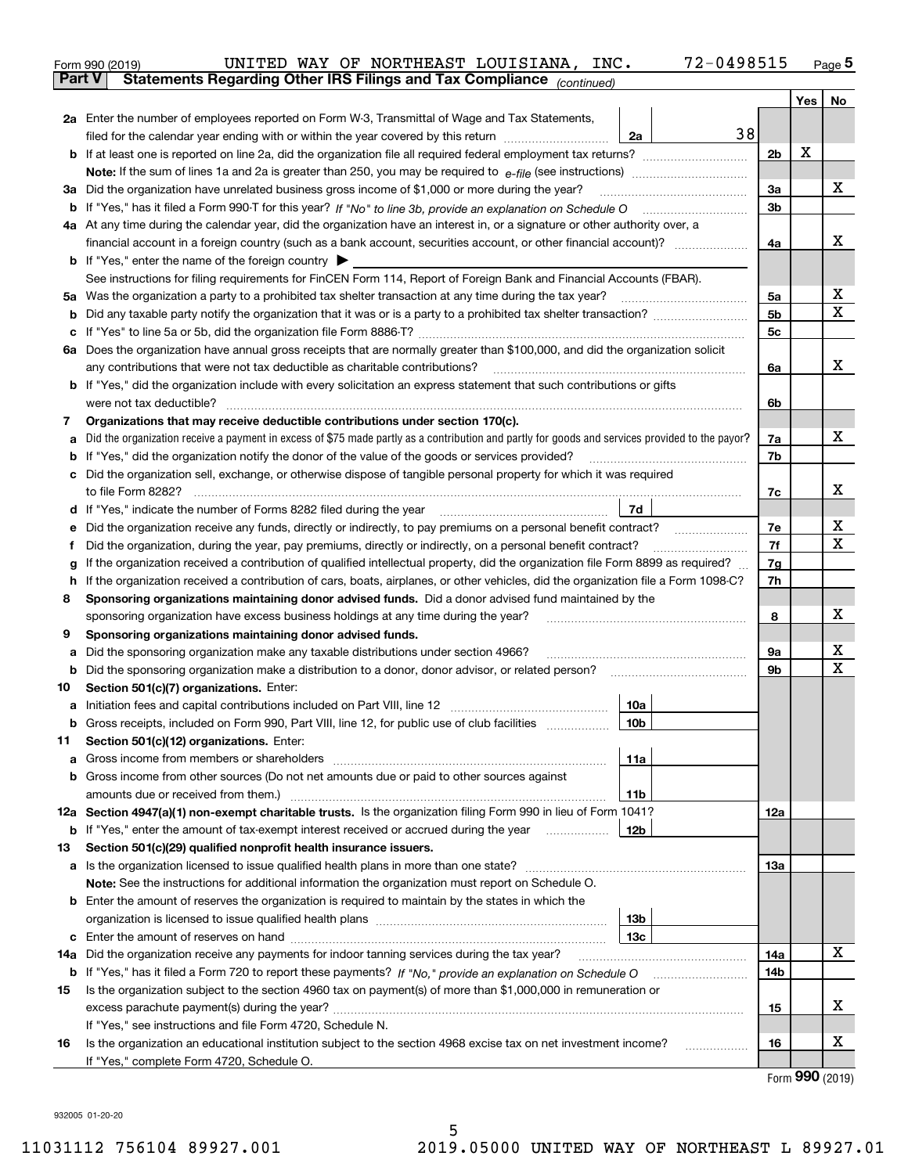|               | 72-0498515<br>UNITED WAY OF NORTHEAST LOUISIANA, INC.<br>Form 990 (2019)                                                                                                      |                |   | $Page$ <sup>5</sup>                 |
|---------------|-------------------------------------------------------------------------------------------------------------------------------------------------------------------------------|----------------|---|-------------------------------------|
| <b>Part V</b> | Statements Regarding Other IRS Filings and Tax Compliance (continued)                                                                                                         |                |   |                                     |
|               |                                                                                                                                                                               |                |   | Yes   No                            |
|               | 2a Enter the number of employees reported on Form W-3, Transmittal of Wage and Tax Statements,                                                                                |                |   |                                     |
|               | 38<br>filed for the calendar year ending with or within the year covered by this return<br>2a                                                                                 |                |   |                                     |
|               |                                                                                                                                                                               | 2 <sub>b</sub> | х |                                     |
|               |                                                                                                                                                                               |                |   |                                     |
|               | 3a Did the organization have unrelated business gross income of \$1,000 or more during the year?                                                                              | 3a             |   | х                                   |
|               |                                                                                                                                                                               | 3 <sub>b</sub> |   |                                     |
|               | 4a At any time during the calendar year, did the organization have an interest in, or a signature or other authority over, a                                                  |                |   |                                     |
|               |                                                                                                                                                                               | 4a             |   | х                                   |
|               | <b>b</b> If "Yes," enter the name of the foreign country $\blacktriangleright$                                                                                                |                |   |                                     |
|               | See instructions for filing requirements for FinCEN Form 114, Report of Foreign Bank and Financial Accounts (FBAR).                                                           |                |   |                                     |
|               |                                                                                                                                                                               | 5a             |   | х                                   |
| b             |                                                                                                                                                                               | 5 <sub>b</sub> |   | х                                   |
|               |                                                                                                                                                                               | 5c             |   |                                     |
|               | 6a Does the organization have annual gross receipts that are normally greater than \$100,000, and did the organization solicit                                                |                |   |                                     |
|               | any contributions that were not tax deductible as charitable contributions?                                                                                                   | 6a             |   | х                                   |
|               | <b>b</b> If "Yes," did the organization include with every solicitation an express statement that such contributions or gifts                                                 |                |   |                                     |
|               | were not tax deductible?                                                                                                                                                      | 6b             |   |                                     |
| 7             | Organizations that may receive deductible contributions under section 170(c).                                                                                                 |                |   |                                     |
| а             | Did the organization receive a payment in excess of \$75 made partly as a contribution and partly for goods and services provided to the payor?                               | 7a             |   | x                                   |
| b             | If "Yes," did the organization notify the donor of the value of the goods or services provided?                                                                               | 7b             |   |                                     |
| c             | Did the organization sell, exchange, or otherwise dispose of tangible personal property for which it was required                                                             |                |   |                                     |
|               |                                                                                                                                                                               | 7c             |   | х                                   |
|               | 7d                                                                                                                                                                            |                |   |                                     |
| е             | Did the organization receive any funds, directly or indirectly, to pay premiums on a personal benefit contract?                                                               | 7e             |   | х                                   |
| f             | Did the organization, during the year, pay premiums, directly or indirectly, on a personal benefit contract?                                                                  | 7f             |   | х                                   |
| g             | If the organization received a contribution of qualified intellectual property, did the organization file Form 8899 as required?                                              | 7g             |   |                                     |
| h.            | If the organization received a contribution of cars, boats, airplanes, or other vehicles, did the organization file a Form 1098-C?                                            | 7h             |   |                                     |
| 8             | Sponsoring organizations maintaining donor advised funds. Did a donor advised fund maintained by the                                                                          |                |   |                                     |
|               | sponsoring organization have excess business holdings at any time during the year?                                                                                            | 8              |   | х                                   |
| 9             | Sponsoring organizations maintaining donor advised funds.                                                                                                                     |                |   |                                     |
| а             | Did the sponsoring organization make any taxable distributions under section 4966?                                                                                            | 9а             |   | х<br>Х                              |
| b             | Did the sponsoring organization make a distribution to a donor, donor advisor, or related person?                                                                             | 9b             |   |                                     |
| 10            | Section 501(c)(7) organizations. Enter:                                                                                                                                       |                |   |                                     |
|               | 10a                                                                                                                                                                           |                |   |                                     |
|               | 10 <sub>b</sub><br>Gross receipts, included on Form 990, Part VIII, line 12, for public use of club facilities                                                                |                |   |                                     |
| 11            | Section 501(c)(12) organizations. Enter:                                                                                                                                      |                |   |                                     |
| a             | Gross income from members or shareholders<br>11a                                                                                                                              |                |   |                                     |
|               | b Gross income from other sources (Do not net amounts due or paid to other sources against                                                                                    |                |   |                                     |
|               | amounts due or received from them.)<br>11b                                                                                                                                    |                |   |                                     |
|               | 12a Section 4947(a)(1) non-exempt charitable trusts. Is the organization filing Form 990 in lieu of Form 1041?                                                                | 12a            |   |                                     |
|               | <b>b</b> If "Yes," enter the amount of tax-exempt interest received or accrued during the year<br>12b                                                                         |                |   |                                     |
| 13            | Section 501(c)(29) qualified nonprofit health insurance issuers.                                                                                                              |                |   |                                     |
|               | <b>a</b> Is the organization licensed to issue qualified health plans in more than one state?                                                                                 | 13а            |   |                                     |
|               | Note: See the instructions for additional information the organization must report on Schedule O.                                                                             |                |   |                                     |
|               | <b>b</b> Enter the amount of reserves the organization is required to maintain by the states in which the                                                                     |                |   |                                     |
|               | 13b                                                                                                                                                                           |                |   |                                     |
|               | 13с                                                                                                                                                                           |                |   | х                                   |
|               | 14a Did the organization receive any payments for indoor tanning services during the tax year?                                                                                | 14a            |   |                                     |
|               | <b>b</b> If "Yes," has it filed a Form 720 to report these payments? If "No," provide an explanation on Schedule O                                                            | 14b            |   |                                     |
| 15            | Is the organization subject to the section 4960 tax on payment(s) of more than \$1,000,000 in remuneration or                                                                 |                |   | X                                   |
|               |                                                                                                                                                                               | 15             |   |                                     |
|               | If "Yes," see instructions and file Form 4720, Schedule N.<br>Is the organization an educational institution subject to the section 4968 excise tax on net investment income? | 16             |   | х                                   |
| 16            |                                                                                                                                                                               |                |   |                                     |
|               | If "Yes," complete Form 4720, Schedule O.                                                                                                                                     |                |   | $T_{\text{arm}}$ QQ $\Omega$ (2010) |

Form (2019) **990**

932005 01-20-20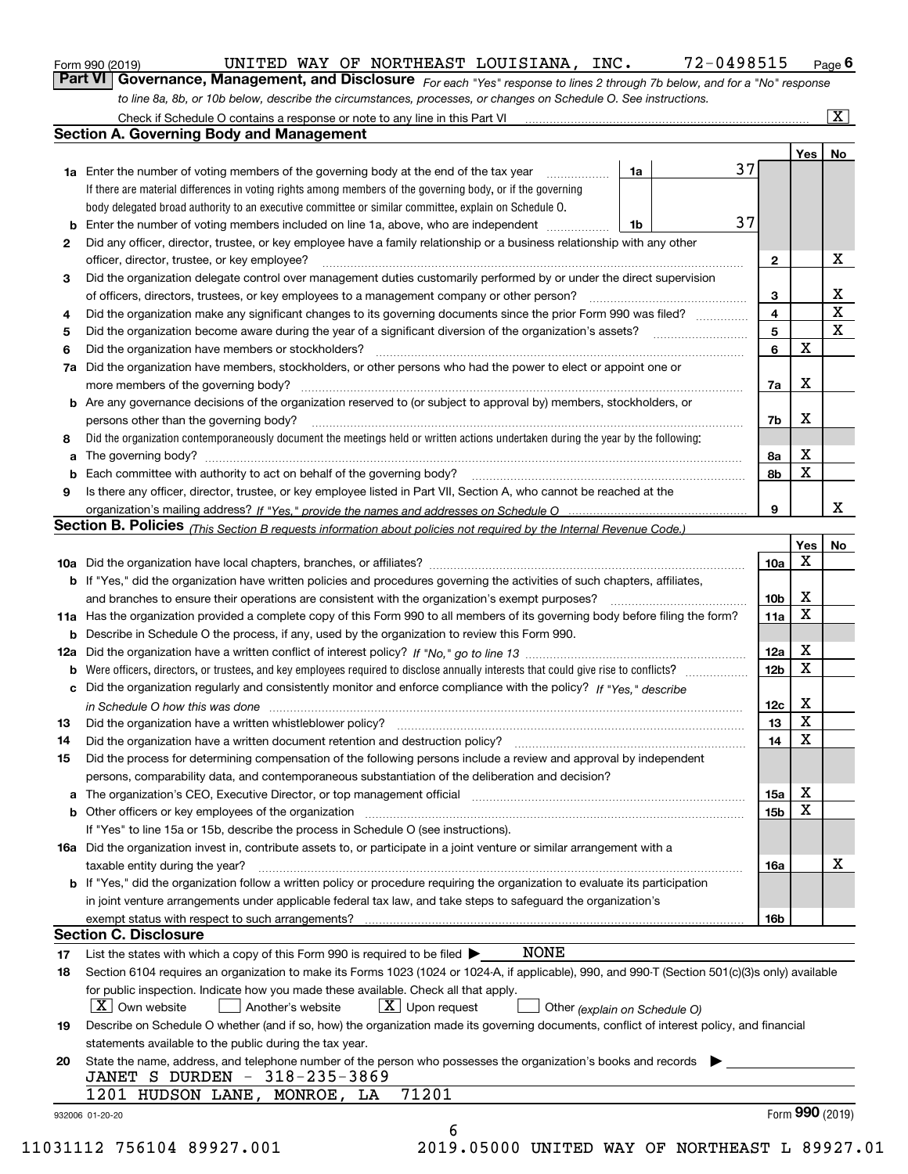|  | Form 990 (2019) |
|--|-----------------|
|  |                 |

# UNITED WAY OF NORTHEAST LOUISIANA, INC. 72-0498515

*For each "Yes" response to lines 2 through 7b below, and for a "No" response to line 8a, 8b, or 10b below, describe the circumstances, processes, or changes on Schedule O. See instructions.* Form 990 (2019) **CONTING BARK OF NORTHEAST LOUISIANA, INC.** 72-0498515 Page 6<br>**Part VI Governance, Management, and Disclosure** For each "Yes" response to lines 2 through 7b below, and for a "No" response

|                 |                                                                                                                                                                                                                                |    |    |                 | Yes <sub>1</sub> | No                      |
|-----------------|--------------------------------------------------------------------------------------------------------------------------------------------------------------------------------------------------------------------------------|----|----|-----------------|------------------|-------------------------|
|                 | <b>1a</b> Enter the number of voting members of the governing body at the end of the tax year                                                                                                                                  | 1a | 37 |                 |                  |                         |
|                 | If there are material differences in voting rights among members of the governing body, or if the governing                                                                                                                    |    |    |                 |                  |                         |
|                 | body delegated broad authority to an executive committee or similar committee, explain on Schedule O.                                                                                                                          |    |    |                 |                  |                         |
| b               | Enter the number of voting members included on line 1a, above, who are independent                                                                                                                                             | 1b | 37 |                 |                  |                         |
| 2               | Did any officer, director, trustee, or key employee have a family relationship or a business relationship with any other                                                                                                       |    |    |                 |                  |                         |
|                 | officer, director, trustee, or key employee?                                                                                                                                                                                   |    |    | $\mathbf{2}$    |                  | X                       |
| 3               | Did the organization delegate control over management duties customarily performed by or under the direct supervision                                                                                                          |    |    |                 |                  |                         |
|                 |                                                                                                                                                                                                                                |    |    | 3               |                  | X                       |
| 4               | Did the organization make any significant changes to its governing documents since the prior Form 990 was filed?                                                                                                               |    |    | 4               |                  | $\overline{\mathtt{x}}$ |
| 5               |                                                                                                                                                                                                                                |    |    | 5               |                  | $\overline{\mathbf{x}}$ |
| 6               | Did the organization have members or stockholders?                                                                                                                                                                             |    |    | 6               | $\mathbf X$      |                         |
| 7a              | Did the organization have members, stockholders, or other persons who had the power to elect or appoint one or                                                                                                                 |    |    |                 |                  |                         |
|                 |                                                                                                                                                                                                                                |    |    | 7a              | X                |                         |
|                 | <b>b</b> Are any governance decisions of the organization reserved to (or subject to approval by) members, stockholders, or                                                                                                    |    |    |                 |                  |                         |
|                 | persons other than the governing body?                                                                                                                                                                                         |    |    | 7b              | X                |                         |
| 8               | Did the organization contemporaneously document the meetings held or written actions undertaken during the year by the following:                                                                                              |    |    |                 |                  |                         |
| а               |                                                                                                                                                                                                                                |    |    | 8а              | X                |                         |
|                 |                                                                                                                                                                                                                                |    |    | 8b              | $\mathbf x$      |                         |
| 9               | Is there any officer, director, trustee, or key employee listed in Part VII, Section A, who cannot be reached at the                                                                                                           |    |    |                 |                  |                         |
|                 |                                                                                                                                                                                                                                |    |    | 9               |                  | X                       |
|                 | Section B. Policies <sub>(This</sub> Section B requests information about policies not required by the Internal Revenue Code.)                                                                                                 |    |    |                 |                  |                         |
|                 |                                                                                                                                                                                                                                |    |    |                 | Yes              | No                      |
|                 |                                                                                                                                                                                                                                |    |    | 10a             | X                |                         |
|                 | <b>b</b> If "Yes," did the organization have written policies and procedures governing the activities of such chapters, affiliates,                                                                                            |    |    |                 |                  |                         |
|                 |                                                                                                                                                                                                                                |    |    | 10 <sub>b</sub> | X                |                         |
|                 | 11a Has the organization provided a complete copy of this Form 990 to all members of its governing body before filing the form?                                                                                                |    |    | 11a             | X                |                         |
|                 | <b>b</b> Describe in Schedule O the process, if any, used by the organization to review this Form 990.                                                                                                                         |    |    |                 |                  |                         |
|                 |                                                                                                                                                                                                                                |    |    | 12a             | X                |                         |
| b               |                                                                                                                                                                                                                                |    |    | 12 <sub>b</sub> | X                |                         |
|                 | c Did the organization regularly and consistently monitor and enforce compliance with the policy? If "Yes," describe                                                                                                           |    |    |                 |                  |                         |
|                 | in Schedule O how this was done measured and the control of the control of the state of the control of the control of the control of the control of the control of the control of the control of the control of the control of |    |    | 12c             | X                |                         |
| 13              |                                                                                                                                                                                                                                |    |    | 13              | X                |                         |
| 14              |                                                                                                                                                                                                                                |    |    | 14              | X                |                         |
| 15              | Did the process for determining compensation of the following persons include a review and approval by independent                                                                                                             |    |    |                 |                  |                         |
|                 | persons, comparability data, and contemporaneous substantiation of the deliberation and decision?                                                                                                                              |    |    |                 |                  |                         |
|                 | a The organization's CEO, Executive Director, or top management official manufactured content of the organization's CEO, Executive Director, or top management official                                                        |    |    | 15a             | х                |                         |
|                 |                                                                                                                                                                                                                                |    |    | 15 <sub>b</sub> | X                |                         |
|                 | If "Yes" to line 15a or 15b, describe the process in Schedule O (see instructions).                                                                                                                                            |    |    |                 |                  |                         |
|                 | 16a Did the organization invest in, contribute assets to, or participate in a joint venture or similar arrangement with a                                                                                                      |    |    |                 |                  |                         |
|                 | taxable entity during the year?                                                                                                                                                                                                |    |    | 16a             |                  | X                       |
|                 | b If "Yes," did the organization follow a written policy or procedure requiring the organization to evaluate its participation                                                                                                 |    |    |                 |                  |                         |
|                 | in joint venture arrangements under applicable federal tax law, and take steps to safeguard the organization's                                                                                                                 |    |    |                 |                  |                         |
|                 |                                                                                                                                                                                                                                |    |    | 16b             |                  |                         |
|                 | <b>Section C. Disclosure</b>                                                                                                                                                                                                   |    |    |                 |                  |                         |
| 17              | <b>NONE</b><br>List the states with which a copy of this Form 990 is required to be filed $\blacktriangleright$                                                                                                                |    |    |                 |                  |                         |
| 18              | Section 6104 requires an organization to make its Forms 1023 (1024 or 1024-A, if applicable), 990, and 990-T (Section 501(c)(3)s only) available                                                                               |    |    |                 |                  |                         |
|                 | for public inspection. Indicate how you made these available. Check all that apply.                                                                                                                                            |    |    |                 |                  |                         |
|                 | $X$ Upon request<br>$X$ Own website<br>Another's website<br>Other (explain on Schedule O)                                                                                                                                      |    |    |                 |                  |                         |
| 19              | Describe on Schedule O whether (and if so, how) the organization made its governing documents, conflict of interest policy, and financial                                                                                      |    |    |                 |                  |                         |
|                 | statements available to the public during the tax year.                                                                                                                                                                        |    |    |                 |                  |                         |
| 20              | State the name, address, and telephone number of the person who possesses the organization's books and records                                                                                                                 |    |    |                 |                  |                         |
|                 | JANET S DURDEN - 318-235-3869                                                                                                                                                                                                  |    |    |                 |                  |                         |
|                 | 71201<br>1201 HUDSON LANE, MONROE, LA                                                                                                                                                                                          |    |    |                 |                  |                         |
| 932006 01-20-20 |                                                                                                                                                                                                                                |    |    |                 | Form 990 (2019)  |                         |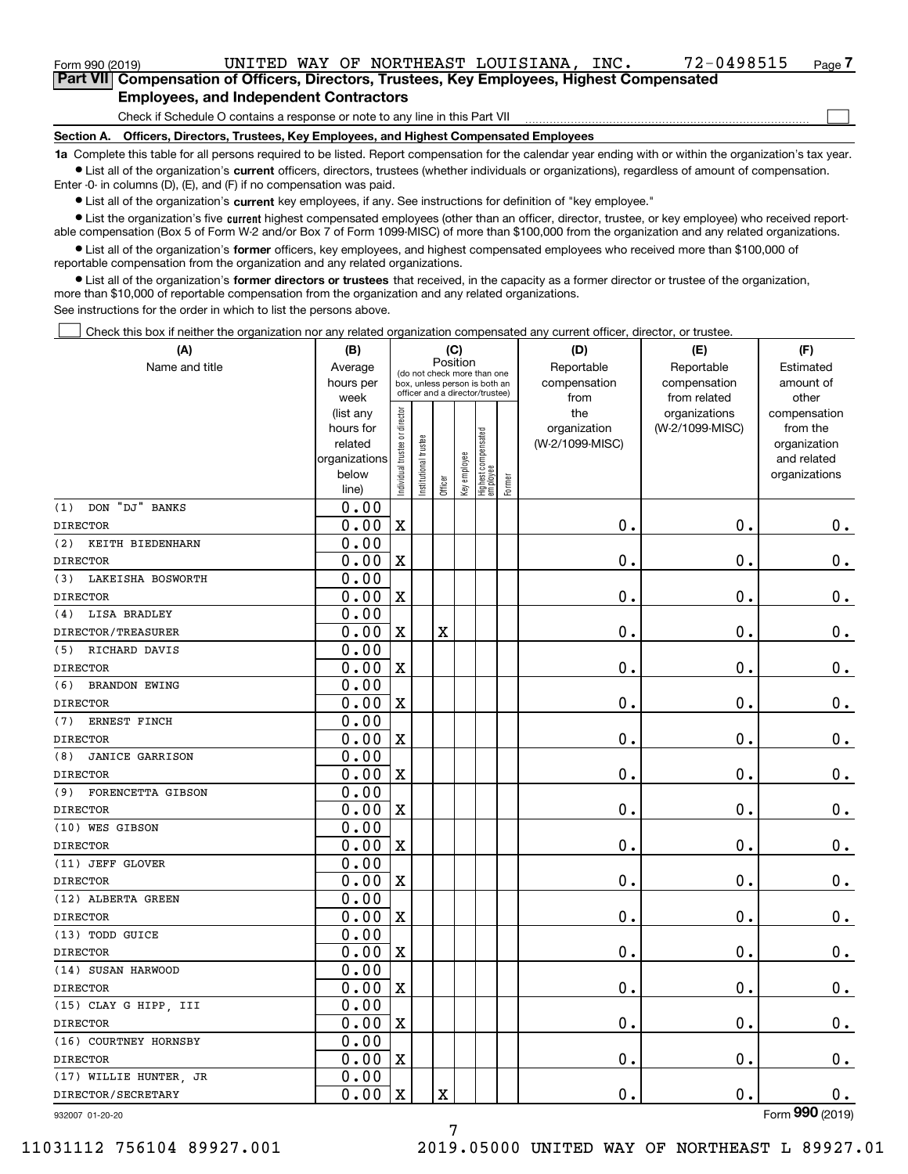| Form 990 (2019)                               |                                                                                                    |  |  |                                                                              | UNITED WAY OF NORTHEAST LOUISIANA. | INC. | 72-0498515 | Page |
|-----------------------------------------------|----------------------------------------------------------------------------------------------------|--|--|------------------------------------------------------------------------------|------------------------------------|------|------------|------|
|                                               | <b>Part VIII Compensation of Officers, Directors, Trustees, Key Employees, Highest Compensated</b> |  |  |                                                                              |                                    |      |            |      |
| <b>Employees, and Independent Contractors</b> |                                                                                                    |  |  |                                                                              |                                    |      |            |      |
|                                               |                                                                                                    |  |  | Check if Schedule O contains a response or note to any line in this Part VII |                                    |      |            |      |

**Section A. Officers, Directors, Trustees, Key Employees, and Highest Compensated Employees**

**1a**  Complete this table for all persons required to be listed. Report compensation for the calendar year ending with or within the organization's tax year. **•** List all of the organization's current officers, directors, trustees (whether individuals or organizations), regardless of amount of compensation.

Enter -0- in columns (D), (E), and (F) if no compensation was paid.

 $\bullet$  List all of the organization's  $\,$ current key employees, if any. See instructions for definition of "key employee."

**•** List the organization's five current highest compensated employees (other than an officer, director, trustee, or key employee) who received reportable compensation (Box 5 of Form W-2 and/or Box 7 of Form 1099-MISC) of more than \$100,000 from the organization and any related organizations.

**•** List all of the organization's former officers, key employees, and highest compensated employees who received more than \$100,000 of reportable compensation from the organization and any related organizations.

**former directors or trustees**  ¥ List all of the organization's that received, in the capacity as a former director or trustee of the organization, more than \$10,000 of reportable compensation from the organization and any related organizations.

See instructions for the order in which to list the persons above.

Check this box if neither the organization nor any related organization compensated any current officer, director, or trustee.  $\mathcal{L}^{\text{max}}$ 

| (A)                           | (B)                    |                               |                                                                  | (C)                     |              |                                 |        | (D)             | (E)                              | (F)                      |
|-------------------------------|------------------------|-------------------------------|------------------------------------------------------------------|-------------------------|--------------|---------------------------------|--------|-----------------|----------------------------------|--------------------------|
| Name and title                | Average                |                               | (do not check more than one                                      | Position                |              |                                 |        | Reportable      | Reportable                       | Estimated                |
|                               | hours per              |                               | box, unless person is both an<br>officer and a director/trustee) |                         |              |                                 |        | compensation    | compensation                     | amount of                |
|                               | week                   |                               |                                                                  |                         |              |                                 |        | from<br>the     | from related                     | other                    |
|                               | (list any<br>hours for |                               |                                                                  |                         |              |                                 |        | organization    | organizations<br>(W-2/1099-MISC) | compensation<br>from the |
|                               | related                |                               |                                                                  |                         |              |                                 |        | (W-2/1099-MISC) |                                  | organization             |
|                               | organizations          |                               |                                                                  |                         |              |                                 |        |                 |                                  | and related              |
|                               | below                  | ndividual trustee or director | Institutional trustee                                            |                         | Key employee |                                 |        |                 |                                  | organizations            |
|                               | line)                  |                               |                                                                  | Officer                 |              | Highest compensated<br>employee | Former |                 |                                  |                          |
| DON "DJ" BANKS<br>(1)         | 0.00                   |                               |                                                                  |                         |              |                                 |        |                 |                                  |                          |
| <b>DIRECTOR</b>               | 0.00                   | $\rm X$                       |                                                                  |                         |              |                                 |        | 0.              | $\mathbf 0$ .                    | $0_{.}$                  |
| (2)<br>KEITH BIEDENHARN       | 0.00                   |                               |                                                                  |                         |              |                                 |        |                 |                                  |                          |
| <b>DIRECTOR</b>               | 0.00                   | $\mathbf X$                   |                                                                  |                         |              |                                 |        | 0.              | $\mathbf 0$ .                    | 0.                       |
| (3)<br>LAKEISHA BOSWORTH      | 0.00                   |                               |                                                                  |                         |              |                                 |        |                 |                                  |                          |
| <b>DIRECTOR</b>               | 0.00                   | X                             |                                                                  |                         |              |                                 |        | 0.              | 0.                               | $\mathbf 0$ .            |
| LISA BRADLEY<br>(4)           | 0.00                   |                               |                                                                  |                         |              |                                 |        |                 |                                  |                          |
| DIRECTOR/TREASURER            | 0.00                   | X                             |                                                                  | $\overline{\textbf{X}}$ |              |                                 |        | 0.              | $\mathbf 0$ .                    | $\mathbf 0$ .            |
| RICHARD DAVIS<br>(5)          | 0.00                   |                               |                                                                  |                         |              |                                 |        |                 |                                  |                          |
| <b>DIRECTOR</b>               | 0.00                   | $\mathbf X$                   |                                                                  |                         |              |                                 |        | 0.              | $\mathbf 0$ .                    | $0_{.}$                  |
| (6)<br><b>BRANDON EWING</b>   | 0.00                   |                               |                                                                  |                         |              |                                 |        |                 |                                  |                          |
| <b>DIRECTOR</b>               | 0.00                   | $\mathbf X$                   |                                                                  |                         |              |                                 |        | 0.              | $\mathbf 0$ .                    | $0_{.}$                  |
| ERNEST FINCH<br>(7)           | 0.00                   |                               |                                                                  |                         |              |                                 |        |                 |                                  |                          |
| <b>DIRECTOR</b>               | 0.00                   | $\mathbf x$                   |                                                                  |                         |              |                                 |        | 0.              | $\mathbf 0$ .                    | $0_{.}$                  |
| (8)<br><b>JANICE GARRISON</b> | 0.00                   |                               |                                                                  |                         |              |                                 |        |                 |                                  |                          |
| <b>DIRECTOR</b>               | 0.00                   | $\mathbf X$                   |                                                                  |                         |              |                                 |        | 0.              | 0.                               | $0_{.}$                  |
| FORENCETTA GIBSON<br>(9)      | 0.00                   |                               |                                                                  |                         |              |                                 |        |                 |                                  |                          |
| <b>DIRECTOR</b>               | 0.00                   | X                             |                                                                  |                         |              |                                 |        | 0.              | $\mathbf 0$ .                    | $\mathbf 0$ .            |
| (10) WES GIBSON               | 0.00                   |                               |                                                                  |                         |              |                                 |        |                 |                                  |                          |
| <b>DIRECTOR</b>               | 0.00                   | X                             |                                                                  |                         |              |                                 |        | 0.              | $\mathbf 0$ .                    | $\mathbf 0$ .            |
| (11) JEFF GLOVER              | 0.00                   |                               |                                                                  |                         |              |                                 |        |                 |                                  |                          |
| <b>DIRECTOR</b>               | 0.00                   | $\mathbf X$                   |                                                                  |                         |              |                                 |        | 0.              | $\mathbf 0$ .                    | $\mathbf 0$ .            |
| (12) ALBERTA GREEN            | 0.00                   |                               |                                                                  |                         |              |                                 |        |                 |                                  |                          |
| <b>DIRECTOR</b>               | 0.00                   | $\mathbf X$                   |                                                                  |                         |              |                                 |        | 0.              | $\mathbf 0$ .                    | $\mathbf 0$ .            |
| (13) TODD GUICE               | 0.00                   |                               |                                                                  |                         |              |                                 |        |                 |                                  |                          |
| <b>DIRECTOR</b>               | 0.00                   | $\mathbf X$                   |                                                                  |                         |              |                                 |        | $\mathbf 0$ .   | $\mathbf 0$ .                    | $\mathbf 0$ .            |
| (14) SUSAN HARWOOD            | 0.00                   |                               |                                                                  |                         |              |                                 |        |                 |                                  |                          |
| <b>DIRECTOR</b>               | 0.00                   | $\rm X$                       |                                                                  |                         |              |                                 |        | 0.              | $\mathbf{0}$ .                   | $\mathbf 0$ .            |
| (15) CLAY G HIPP, III         | 0.00                   |                               |                                                                  |                         |              |                                 |        |                 |                                  |                          |
| <b>DIRECTOR</b>               | 0.00                   | $\rm X$                       |                                                                  |                         |              |                                 |        | 0.              | $\mathbf 0$ .                    | $\mathbf 0$ .            |
| (16) COURTNEY HORNSBY         | 0.00                   |                               |                                                                  |                         |              |                                 |        |                 |                                  |                          |
| <b>DIRECTOR</b>               | 0.00                   | X                             |                                                                  |                         |              |                                 |        | 0.              | $\mathbf 0$ .                    | 0.                       |
| (17) WILLIE HUNTER, JR        | 0.00                   |                               |                                                                  |                         |              |                                 |        |                 |                                  |                          |
| DIRECTOR/SECRETARY            | 0.00                   | $\mathbf X$                   |                                                                  | $\overline{\textbf{X}}$ |              |                                 |        | 0.              | $\mathbf{0}$ .                   | 0.                       |

932007 01-20-20

Form (2019) **990**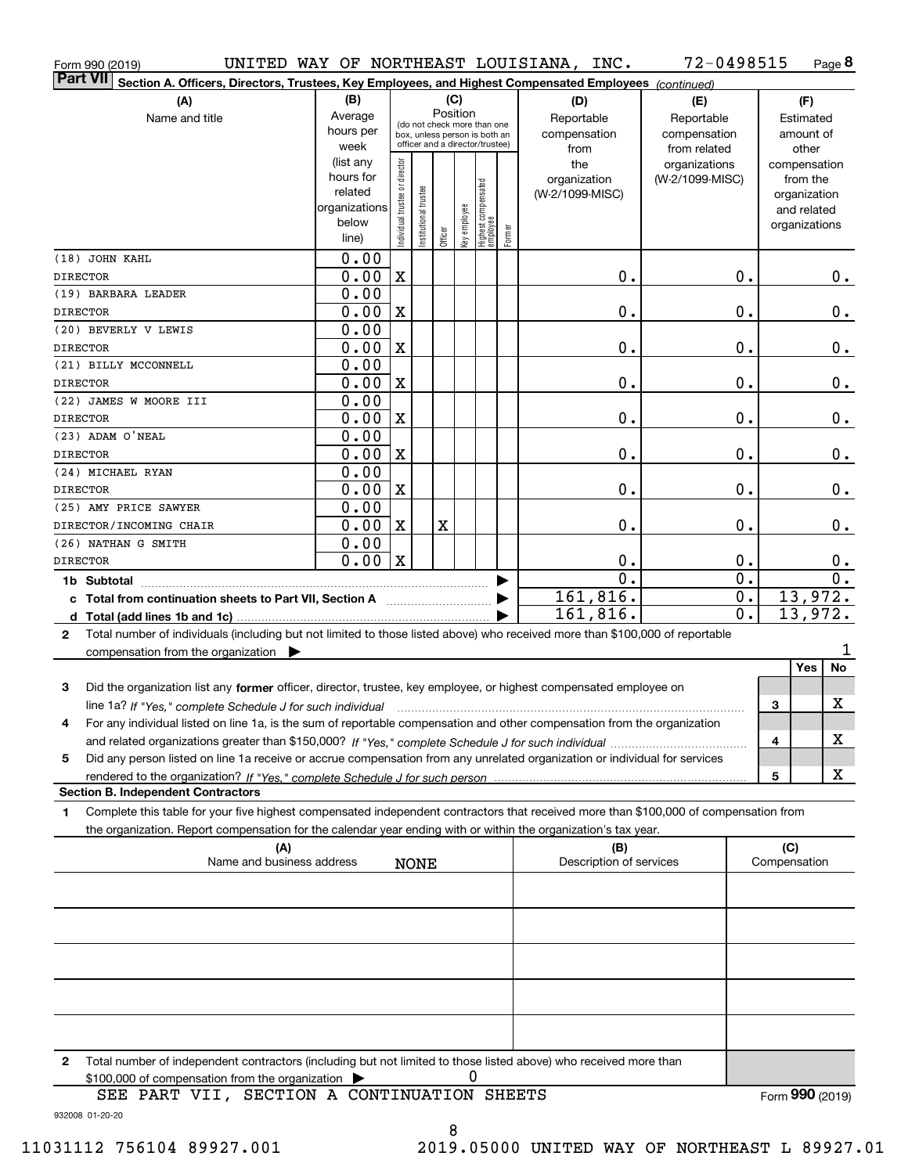| Form 990 (2019)                                                                                                                                      |                        |                                |                       |                                         |              |                                   |        | UNITED WAY OF NORTHEAST LOUISIANA, INC. | 72-0498515       |              |                          | Page 8          |
|------------------------------------------------------------------------------------------------------------------------------------------------------|------------------------|--------------------------------|-----------------------|-----------------------------------------|--------------|-----------------------------------|--------|-----------------------------------------|------------------|--------------|--------------------------|-----------------|
| <b>Part VII</b><br>Section A. Officers, Directors, Trustees, Key Employees, and Highest Compensated Employees (continued)                            |                        |                                |                       |                                         |              |                                   |        |                                         |                  |              |                          |                 |
| (A)                                                                                                                                                  | (B)                    |                                |                       | (C)                                     |              |                                   |        | (D)                                     | (E)              |              | (F)                      |                 |
| Name and title                                                                                                                                       | Average                |                                |                       | Position<br>(do not check more than one |              |                                   |        | Reportable                              | Reportable       |              | Estimated                |                 |
|                                                                                                                                                      | hours per              |                                |                       | box, unless person is both an           |              |                                   |        | compensation                            | compensation     |              | amount of                |                 |
|                                                                                                                                                      | week                   |                                |                       | officer and a director/trustee)         |              |                                   |        | from                                    | from related     |              | other                    |                 |
|                                                                                                                                                      | (list any<br>hours for |                                |                       |                                         |              |                                   |        | the                                     | organizations    |              | compensation             |                 |
|                                                                                                                                                      | related                |                                |                       |                                         |              |                                   |        | organization<br>(W-2/1099-MISC)         | (W-2/1099-MISC)  |              | from the<br>organization |                 |
|                                                                                                                                                      | organizations          |                                |                       |                                         |              |                                   |        |                                         |                  |              | and related              |                 |
|                                                                                                                                                      | below                  | Individual trustee or director | Institutional trustee |                                         |              |                                   |        |                                         |                  |              | organizations            |                 |
|                                                                                                                                                      | line)                  |                                |                       | Officer                                 | Key employee | Highest compensated<br>  employee | Former |                                         |                  |              |                          |                 |
| (18) JOHN KAHL                                                                                                                                       | 0.00                   |                                |                       |                                         |              |                                   |        |                                         |                  |              |                          |                 |
| <b>DIRECTOR</b>                                                                                                                                      | 0.00                   | $\mathbf X$                    |                       |                                         |              |                                   |        | 0.                                      | 0.               |              |                          | 0.              |
| (19) BARBARA LEADER                                                                                                                                  | 0.00                   |                                |                       |                                         |              |                                   |        |                                         |                  |              |                          |                 |
| <b>DIRECTOR</b>                                                                                                                                      | 0.00                   | X                              |                       |                                         |              |                                   |        | 0.                                      | 0.               |              |                          | 0.              |
| (20) BEVERLY V LEWIS                                                                                                                                 | 0.00                   |                                |                       |                                         |              |                                   |        |                                         |                  |              |                          |                 |
| <b>DIRECTOR</b>                                                                                                                                      | 0.00                   | X                              |                       |                                         |              |                                   |        | 0.                                      | 0.               |              |                          | 0.              |
| (21) BILLY MCCONNELL                                                                                                                                 | 0.00                   |                                |                       |                                         |              |                                   |        |                                         |                  |              |                          |                 |
| <b>DIRECTOR</b>                                                                                                                                      | 0.00                   | $\mathbf X$                    |                       |                                         |              |                                   |        | 0.                                      | 0.               |              |                          | 0.              |
| (22) JAMES W MOORE III                                                                                                                               | 0.00                   |                                |                       |                                         |              |                                   |        |                                         |                  |              |                          |                 |
| <b>DIRECTOR</b>                                                                                                                                      | 0.00                   | $\mathbf X$                    |                       |                                         |              |                                   |        | 0.                                      | 0.               |              |                          | 0.              |
| (23) ADAM O'NEAL                                                                                                                                     | 0.00                   |                                |                       |                                         |              |                                   |        |                                         |                  |              |                          |                 |
| <b>DIRECTOR</b>                                                                                                                                      | 0.00                   | $\mathbf X$                    |                       |                                         |              |                                   |        | 0.                                      | 0.               |              |                          | 0.              |
| (24) MICHAEL RYAN<br><b>DIRECTOR</b>                                                                                                                 | 0.00<br>0.00           | $\mathbf X$                    |                       |                                         |              |                                   |        | 0.                                      | $\mathbf 0$ .    |              |                          | 0.              |
| (25) AMY PRICE SAWYER                                                                                                                                | 0.00                   |                                |                       |                                         |              |                                   |        |                                         |                  |              |                          |                 |
| DIRECTOR/INCOMING CHAIR                                                                                                                              | 0.00                   | X                              |                       | X                                       |              |                                   |        | 0.                                      | $\mathbf 0$ .    |              |                          | 0.              |
| (26) NATHAN G SMITH                                                                                                                                  | 0.00                   |                                |                       |                                         |              |                                   |        |                                         |                  |              |                          |                 |
| <b>DIRECTOR</b>                                                                                                                                      | 0.00                   | $\mathbf X$                    |                       |                                         |              |                                   |        | 0.                                      | 0.               |              |                          | $0$ .           |
| 1b Subtotal                                                                                                                                          |                        |                                |                       |                                         |              |                                   |        | $\overline{0}$ .                        | $\overline{0}$ . |              |                          | 0.              |
|                                                                                                                                                      |                        |                                |                       |                                         |              |                                   |        | 161,816.                                | $\overline{0}$ . |              | 13,972.                  |                 |
| d Total (add lines 1b and 1c).                                                                                                                       |                        |                                |                       |                                         |              |                                   |        | 161,816.                                | $\overline{0}$ . |              | 13,972.                  |                 |
| Total number of individuals (including but not limited to those listed above) who received more than \$100,000 of reportable<br>$\mathbf{2}$         |                        |                                |                       |                                         |              |                                   |        |                                         |                  |              |                          |                 |
| compensation from the organization $\blacktriangleright$                                                                                             |                        |                                |                       |                                         |              |                                   |        |                                         |                  |              |                          | 1               |
|                                                                                                                                                      |                        |                                |                       |                                         |              |                                   |        |                                         |                  |              | Yes                      | No              |
| Did the organization list any former officer, director, trustee, key employee, or highest compensated employee on<br>3                               |                        |                                |                       |                                         |              |                                   |        |                                         |                  |              |                          |                 |
| line 1a? If "Yes," complete Schedule J for such individual manufactured contained and the line 1a? If "Yes," complete Schedule J for such individual |                        |                                |                       |                                         |              |                                   |        |                                         |                  | 3            |                          | х               |
| 4<br>For any individual listed on line 1a, is the sum of reportable compensation and other compensation from the organization                        |                        |                                |                       |                                         |              |                                   |        |                                         |                  |              |                          |                 |
|                                                                                                                                                      |                        |                                |                       |                                         |              |                                   |        |                                         |                  | 4            |                          | х               |
| Did any person listed on line 1a receive or accrue compensation from any unrelated organization or individual for services<br>5                      |                        |                                |                       |                                         |              |                                   |        |                                         |                  |              |                          |                 |
|                                                                                                                                                      |                        |                                |                       |                                         |              |                                   |        |                                         |                  | 5            |                          | х               |
| <b>Section B. Independent Contractors</b>                                                                                                            |                        |                                |                       |                                         |              |                                   |        |                                         |                  |              |                          |                 |
| Complete this table for your five highest compensated independent contractors that received more than \$100,000 of compensation from<br>1            |                        |                                |                       |                                         |              |                                   |        |                                         |                  |              |                          |                 |
| the organization. Report compensation for the calendar year ending with or within the organization's tax year.                                       |                        |                                |                       |                                         |              |                                   |        |                                         |                  |              |                          |                 |
| (A)                                                                                                                                                  |                        |                                |                       |                                         |              |                                   |        | (B)                                     |                  | (C)          |                          |                 |
| Name and business address                                                                                                                            |                        |                                | <b>NONE</b>           |                                         |              |                                   |        | Description of services                 |                  | Compensation |                          |                 |
|                                                                                                                                                      |                        |                                |                       |                                         |              |                                   |        |                                         |                  |              |                          |                 |
|                                                                                                                                                      |                        |                                |                       |                                         |              |                                   |        |                                         |                  |              |                          |                 |
|                                                                                                                                                      |                        |                                |                       |                                         |              |                                   |        |                                         |                  |              |                          |                 |
|                                                                                                                                                      |                        |                                |                       |                                         |              |                                   |        |                                         |                  |              |                          |                 |
|                                                                                                                                                      |                        |                                |                       |                                         |              |                                   |        |                                         |                  |              |                          |                 |
|                                                                                                                                                      |                        |                                |                       |                                         |              |                                   |        |                                         |                  |              |                          |                 |
|                                                                                                                                                      |                        |                                |                       |                                         |              |                                   |        |                                         |                  |              |                          |                 |
|                                                                                                                                                      |                        |                                |                       |                                         |              |                                   |        |                                         |                  |              |                          |                 |
| Total number of independent contractors (including but not limited to those listed above) who received more than<br>2                                |                        |                                |                       |                                         |              |                                   |        |                                         |                  |              |                          |                 |
| \$100,000 of compensation from the organization                                                                                                      |                        |                                |                       |                                         | 0            |                                   |        |                                         |                  |              |                          |                 |
| SEE PART VII, SECTION A CONTINUATION SHEETS                                                                                                          |                        |                                |                       |                                         |              |                                   |        |                                         |                  |              |                          | Form 990 (2019) |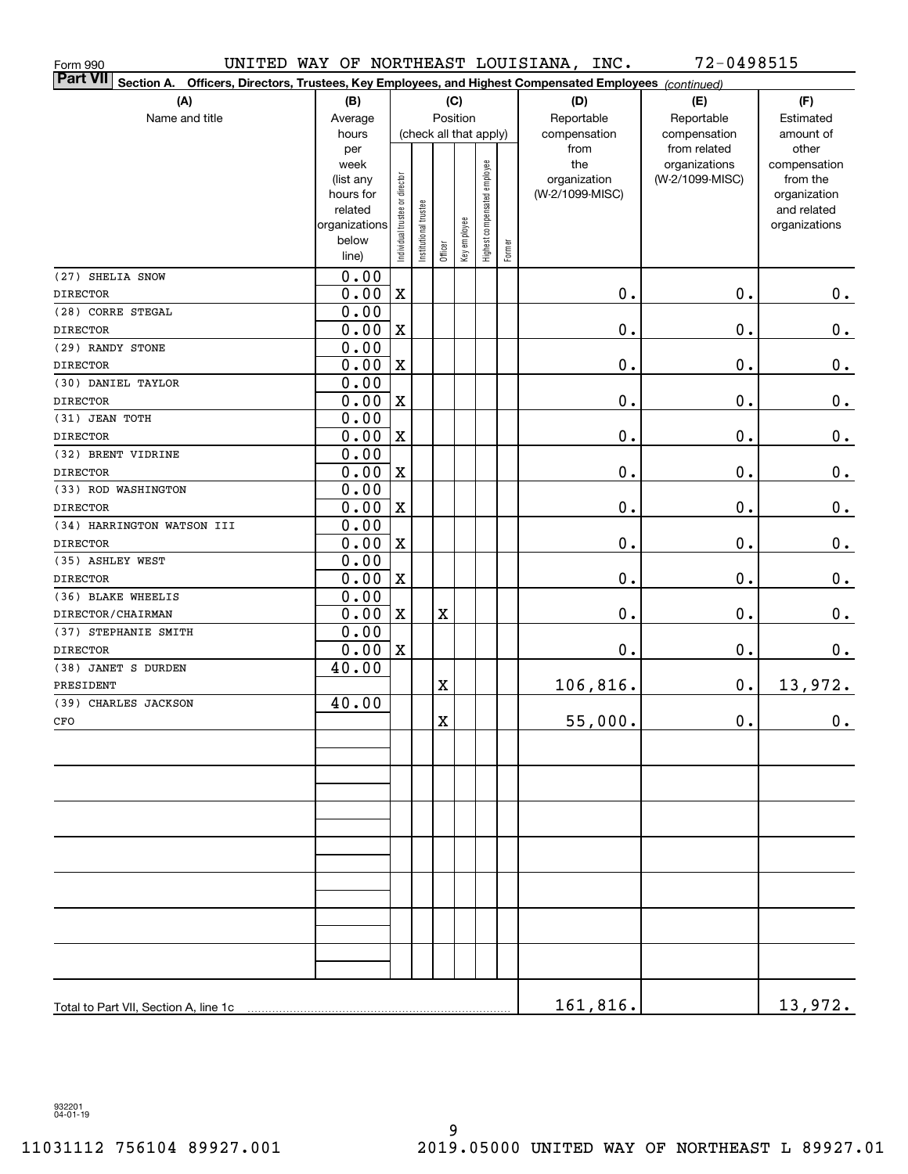| Form 990                                                                                                              |                   |                                |                       |             |                        |                              |        | UNITED WAY OF NORTHEAST LOUISIANA, INC. | 72-0498515                    |                          |
|-----------------------------------------------------------------------------------------------------------------------|-------------------|--------------------------------|-----------------------|-------------|------------------------|------------------------------|--------|-----------------------------------------|-------------------------------|--------------------------|
| Part VII<br>Officers, Directors, Trustees, Key Employees, and Highest Compensated Employees (continued)<br>Section A. |                   |                                |                       |             |                        |                              |        |                                         |                               |                          |
| (A)                                                                                                                   | (B)               |                                |                       |             | (C)                    |                              |        | (D)                                     | (E)                           | (F)                      |
| Name and title                                                                                                        | Average           |                                |                       |             | Position               |                              |        | Reportable                              | Reportable                    | Estimated                |
|                                                                                                                       | hours             |                                |                       |             | (check all that apply) |                              |        | compensation                            | compensation                  | amount of                |
|                                                                                                                       | per               |                                |                       |             |                        |                              |        | from<br>the                             | from related<br>organizations | other                    |
|                                                                                                                       | week<br>(list any |                                |                       |             |                        |                              |        | organization                            | (W-2/1099-MISC)               | compensation<br>from the |
|                                                                                                                       | hours for         |                                |                       |             |                        |                              |        | (W-2/1099-MISC)                         |                               | organization             |
|                                                                                                                       | related           |                                |                       |             |                        |                              |        |                                         |                               | and related              |
|                                                                                                                       | organizations     |                                |                       |             |                        |                              |        |                                         |                               | organizations            |
|                                                                                                                       | below<br>line)    | Individual trustee or director | Institutional trustee | Officer     | Key employee           | Highest compensated employee | Former |                                         |                               |                          |
| (27) SHELIA SNOW                                                                                                      | 0.00              |                                |                       |             |                        |                              |        |                                         |                               |                          |
| <b>DIRECTOR</b>                                                                                                       | 0.00              | $\mathbf X$                    |                       |             |                        |                              |        | 0.                                      | $0$ .                         | 0.                       |
| (28) CORRE STEGAL                                                                                                     | 0.00              |                                |                       |             |                        |                              |        |                                         |                               |                          |
| <b>DIRECTOR</b>                                                                                                       | 0.00              | $\mathbf X$                    |                       |             |                        |                              |        | 0.                                      | 0.                            | $\mathbf 0$ .            |
| (29) RANDY STONE                                                                                                      | 0.00              |                                |                       |             |                        |                              |        |                                         |                               |                          |
| <b>DIRECTOR</b>                                                                                                       | 0.00              | $\mathbf X$                    |                       |             |                        |                              |        | 0.                                      | 0.                            | $0_{.}$                  |
| (30) DANIEL TAYLOR                                                                                                    | 0.00              |                                |                       |             |                        |                              |        |                                         |                               |                          |
| <b>DIRECTOR</b>                                                                                                       | 0.00              | $\mathbf X$                    |                       |             |                        |                              |        | 0.                                      | 0.                            | $0_{.}$                  |
| (31) JEAN TOTH                                                                                                        | 0.00              |                                |                       |             |                        |                              |        |                                         |                               |                          |
| <b>DIRECTOR</b>                                                                                                       | 0.00              | $\mathbf X$                    |                       |             |                        |                              |        | 0.                                      | 0.                            | $0_{.}$                  |
| (32) BRENT VIDRINE                                                                                                    | 0.00              |                                |                       |             |                        |                              |        |                                         |                               |                          |
| <b>DIRECTOR</b>                                                                                                       | 0.00              | $\mathbf X$                    |                       |             |                        |                              |        | 0.                                      | 0.                            | $0_{.}$                  |
| (33) ROD WASHINGTON                                                                                                   | 0.00              |                                |                       |             |                        |                              |        |                                         |                               |                          |
| <b>DIRECTOR</b>                                                                                                       | 0.00              | $\mathbf X$                    |                       |             |                        |                              |        | 0.                                      | 0.                            | $0_{.}$                  |
| (34) HARRINGTON WATSON III                                                                                            | 0.00              |                                |                       |             |                        |                              |        |                                         |                               |                          |
| <b>DIRECTOR</b>                                                                                                       | 0.00              | $\mathbf X$                    |                       |             |                        |                              |        | 0.                                      | 0.                            | $0_{.}$                  |
| (35) ASHLEY WEST                                                                                                      | 0.00              |                                |                       |             |                        |                              |        |                                         |                               |                          |
| <b>DIRECTOR</b><br>(36) BLAKE WHEELIS                                                                                 | 0.00              | $\mathbf X$                    |                       |             |                        |                              |        | 0.                                      | 0.                            | $\mathbf 0$ .            |
| DIRECTOR/CHAIRMAN                                                                                                     | 0.00<br>0.00      | $\mathbf X$                    |                       | $\mathbf X$ |                        |                              |        | 0.                                      | 0.                            | $0_{.}$                  |
| (37) STEPHANIE SMITH                                                                                                  | 0.00              |                                |                       |             |                        |                              |        |                                         |                               |                          |
| <b>DIRECTOR</b>                                                                                                       | 0.00              | $\mathbf X$                    |                       |             |                        |                              |        | 0.                                      | $0$ .                         | 0.                       |
| (38) JANET S DURDEN                                                                                                   | 40.00             |                                |                       |             |                        |                              |        |                                         |                               |                          |
| PRESIDENT                                                                                                             |                   |                                |                       | $\mathbf X$ |                        |                              |        | 106,816.                                | 0.                            | 13,972.                  |
| (39) CHARLES JACKSON                                                                                                  | 40.00             |                                |                       |             |                        |                              |        |                                         |                               |                          |
| CFO                                                                                                                   |                   |                                |                       | $\mathbf X$ |                        |                              |        | 55,000.                                 | $\mathbf 0$ .                 | $\mathbf 0$ .            |
|                                                                                                                       |                   |                                |                       |             |                        |                              |        |                                         |                               |                          |
|                                                                                                                       |                   |                                |                       |             |                        |                              |        |                                         |                               |                          |
|                                                                                                                       |                   |                                |                       |             |                        |                              |        |                                         |                               |                          |
|                                                                                                                       |                   |                                |                       |             |                        |                              |        |                                         |                               |                          |
|                                                                                                                       |                   |                                |                       |             |                        |                              |        |                                         |                               |                          |
|                                                                                                                       |                   |                                |                       |             |                        |                              |        |                                         |                               |                          |
|                                                                                                                       |                   |                                |                       |             |                        |                              |        |                                         |                               |                          |
|                                                                                                                       |                   |                                |                       |             |                        |                              |        |                                         |                               |                          |
|                                                                                                                       |                   |                                |                       |             |                        |                              |        |                                         |                               |                          |
|                                                                                                                       |                   |                                |                       |             |                        |                              |        |                                         |                               |                          |
|                                                                                                                       |                   |                                |                       |             |                        |                              |        |                                         |                               |                          |
|                                                                                                                       |                   |                                |                       |             |                        |                              |        |                                         |                               |                          |
|                                                                                                                       |                   |                                |                       |             |                        |                              |        |                                         |                               |                          |
| Total to Part VII, Section A, line 1c                                                                                 |                   |                                |                       |             |                        |                              |        | 161,816.                                |                               | 13,972.                  |
|                                                                                                                       |                   |                                |                       |             |                        |                              |        |                                         |                               |                          |

932201 04-01-19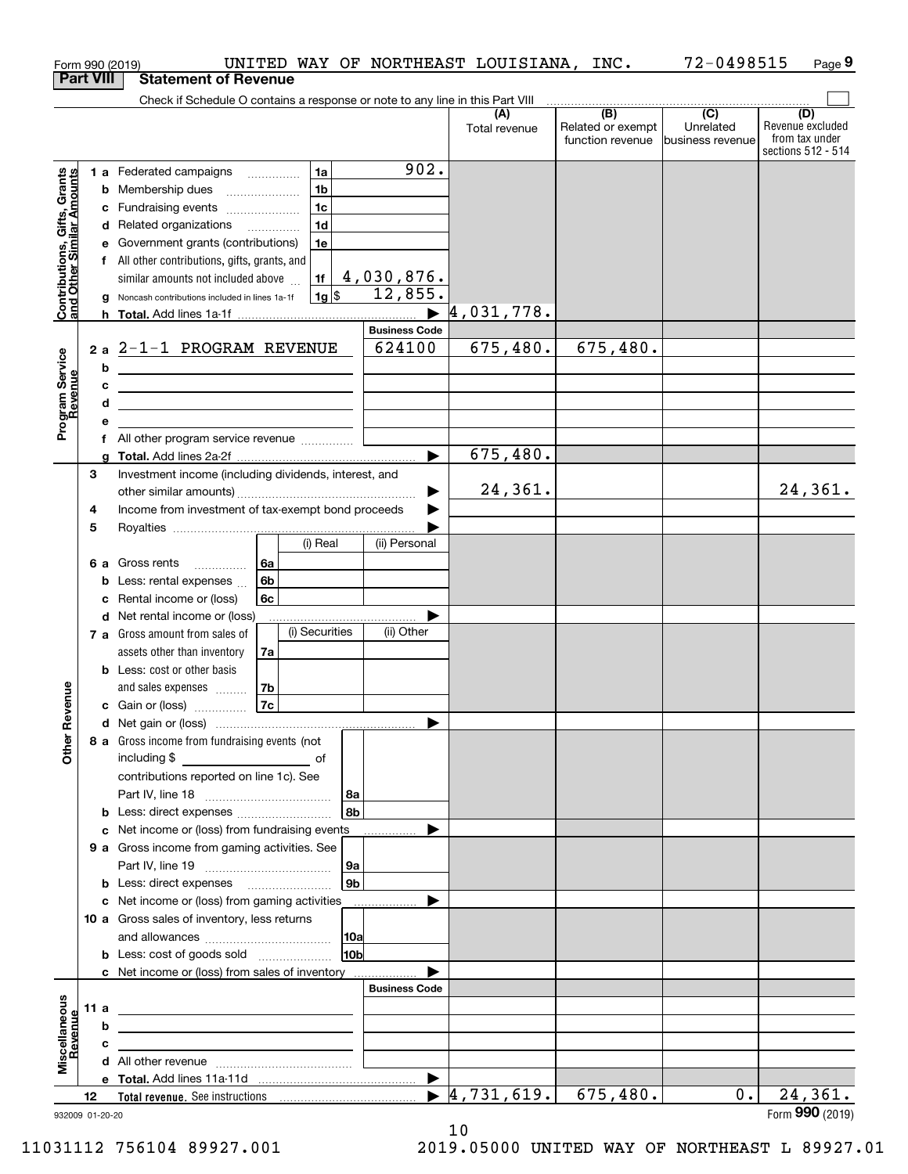| <b>Part VIII</b><br><b>Statement of Revenue</b><br>Check if Schedule O contains a response or note to any line in this Part VIII<br>$\begin{array}{c c c c c c} \hline \textbf{1} & \textbf{(B)} & \textbf{1} & \textbf{(C)} & \textbf{1} & \textbf{1} & \textbf{1} & \textbf{1} & \textbf{1} & \textbf{1} & \textbf{1} & \textbf{1} & \textbf{1} & \textbf{1} & \textbf{1} & \textbf{1} & \textbf{1} & \textbf{1} & \textbf{1} & \textbf{1} & \textbf{1} & \textbf{1} & \textbf{1} & \textbf{1} & \textbf{1} & \textbf{1} & \textbf{1} & \textbf{1} & \textbf{$<br>(D)<br>(A)<br>Related or exempt<br>Unrelated<br>Total revenue<br>from tax under<br>function revenue<br>business revenue<br>902.<br>1 a Federated campaigns<br>1a<br>Contributions, Gifts, Grants<br>and Other Similar Amounts<br>1 <sub>b</sub><br><b>b</b> Membership dues<br>1 <sub>c</sub><br>c Fundraising events<br>1 <sub>d</sub><br>d Related organizations<br>e Government grants (contributions)<br>1e<br>f All other contributions, gifts, grants, and<br>4,030,876.<br>similar amounts not included above<br>1f<br>12,855.<br>$1g$ \$<br>g Noncash contributions included in lines 1a-1f<br>4,031,778.<br><b>Business Code</b><br>675,480.<br>675,480.<br>624100<br>$2a$ 2-1-1 PROGRAM REVENUE<br>Program Service<br>Revenue<br>b<br>c<br><u> 1989 - Johann Stein, mars an de Brazilian (b. 1989)</u><br>d<br><u> 1989 - Johann Barn, amerikansk politiker (d. 1989)</u><br>е<br>f All other program service revenue<br>675,480.<br>$\blacktriangleright$<br>a<br>З<br>Investment income (including dividends, interest, and<br>24,361.<br>24,361.<br>Income from investment of tax-exempt bond proceeds<br>4<br>5<br>(i) Real<br>(ii) Personal<br><b>6 a</b> Gross rents<br>l 6a<br>6b<br><b>b</b> Less: rental expenses<br>c Rental income or (loss)<br>6с<br><b>d</b> Net rental income or (loss)<br>(i) Securities<br>(ii) Other<br>7 a Gross amount from sales of<br>assets other than inventory<br>7a<br><b>b</b> Less: cost or other basis<br>evenue<br>7b<br>and sales expenses<br>7c<br>c Gain or (loss)<br>Other R<br>8 a Gross income from fundraising events (not<br>including \$<br>contributions reported on line 1c). See<br> 8a<br>8b<br>c Net income or (loss) from fundraising events<br>9 a Gross income from gaming activities. See<br>∣9a  <br>9 <sub>b</sub><br><b>b</b> Less: direct expenses <b>manually</b><br>c Net income or (loss) from gaming activities<br>.<br>10 a Gross sales of inventory, less returns<br> 10a<br>10 <sub>b</sub><br>c Net income or (loss) from sales of inventory<br><b>Business Code</b><br>Miscellaneous<br>11 a<br><u> 1989 - Johann Stein, marwolaethau a bhann an t-Albann ann an 1989.</u><br>Revenue<br>b<br><u> Andreas Andreas Andreas Andreas Andreas Andreas Andreas Andreas Andreas Andreas Andreas Andreas Andreas Andr</u><br>c<br>the contract of the contract of the contract of the contract of the contract of<br>$\blacktriangleright$<br>$\blacktriangleright$ 4,731,619.<br>675,480.<br>24, 361.<br>$0$ .<br>12 |  | UNITED WAY OF NORTHEAST LOUISIANA, INC.<br>Form 990 (2019) |  | 72-0498515 | Page 9                                 |
|--------------------------------------------------------------------------------------------------------------------------------------------------------------------------------------------------------------------------------------------------------------------------------------------------------------------------------------------------------------------------------------------------------------------------------------------------------------------------------------------------------------------------------------------------------------------------------------------------------------------------------------------------------------------------------------------------------------------------------------------------------------------------------------------------------------------------------------------------------------------------------------------------------------------------------------------------------------------------------------------------------------------------------------------------------------------------------------------------------------------------------------------------------------------------------------------------------------------------------------------------------------------------------------------------------------------------------------------------------------------------------------------------------------------------------------------------------------------------------------------------------------------------------------------------------------------------------------------------------------------------------------------------------------------------------------------------------------------------------------------------------------------------------------------------------------------------------------------------------------------------------------------------------------------------------------------------------------------------------------------------------------------------------------------------------------------------------------------------------------------------------------------------------------------------------------------------------------------------------------------------------------------------------------------------------------------------------------------------------------------------------------------------------------------------------------------------------------------------------------------------------------------------------------------------------------------------------------------------------------------------------------------------------------------------------------------------------------------------------------------------------------------------------------------------------------------------------------------------------------------------------------------------------------------------------------------------------------------------------------------------------------------------------------------------------------------------|--|------------------------------------------------------------|--|------------|----------------------------------------|
|                                                                                                                                                                                                                                                                                                                                                                                                                                                                                                                                                                                                                                                                                                                                                                                                                                                                                                                                                                                                                                                                                                                                                                                                                                                                                                                                                                                                                                                                                                                                                                                                                                                                                                                                                                                                                                                                                                                                                                                                                                                                                                                                                                                                                                                                                                                                                                                                                                                                                                                                                                                                                                                                                                                                                                                                                                                                                                                                                                                                                                                                          |  |                                                            |  |            |                                        |
|                                                                                                                                                                                                                                                                                                                                                                                                                                                                                                                                                                                                                                                                                                                                                                                                                                                                                                                                                                                                                                                                                                                                                                                                                                                                                                                                                                                                                                                                                                                                                                                                                                                                                                                                                                                                                                                                                                                                                                                                                                                                                                                                                                                                                                                                                                                                                                                                                                                                                                                                                                                                                                                                                                                                                                                                                                                                                                                                                                                                                                                                          |  |                                                            |  |            |                                        |
|                                                                                                                                                                                                                                                                                                                                                                                                                                                                                                                                                                                                                                                                                                                                                                                                                                                                                                                                                                                                                                                                                                                                                                                                                                                                                                                                                                                                                                                                                                                                                                                                                                                                                                                                                                                                                                                                                                                                                                                                                                                                                                                                                                                                                                                                                                                                                                                                                                                                                                                                                                                                                                                                                                                                                                                                                                                                                                                                                                                                                                                                          |  |                                                            |  |            | Revenue excluded<br>sections 512 - 514 |
|                                                                                                                                                                                                                                                                                                                                                                                                                                                                                                                                                                                                                                                                                                                                                                                                                                                                                                                                                                                                                                                                                                                                                                                                                                                                                                                                                                                                                                                                                                                                                                                                                                                                                                                                                                                                                                                                                                                                                                                                                                                                                                                                                                                                                                                                                                                                                                                                                                                                                                                                                                                                                                                                                                                                                                                                                                                                                                                                                                                                                                                                          |  |                                                            |  |            |                                        |
|                                                                                                                                                                                                                                                                                                                                                                                                                                                                                                                                                                                                                                                                                                                                                                                                                                                                                                                                                                                                                                                                                                                                                                                                                                                                                                                                                                                                                                                                                                                                                                                                                                                                                                                                                                                                                                                                                                                                                                                                                                                                                                                                                                                                                                                                                                                                                                                                                                                                                                                                                                                                                                                                                                                                                                                                                                                                                                                                                                                                                                                                          |  |                                                            |  |            |                                        |
|                                                                                                                                                                                                                                                                                                                                                                                                                                                                                                                                                                                                                                                                                                                                                                                                                                                                                                                                                                                                                                                                                                                                                                                                                                                                                                                                                                                                                                                                                                                                                                                                                                                                                                                                                                                                                                                                                                                                                                                                                                                                                                                                                                                                                                                                                                                                                                                                                                                                                                                                                                                                                                                                                                                                                                                                                                                                                                                                                                                                                                                                          |  |                                                            |  |            |                                        |
|                                                                                                                                                                                                                                                                                                                                                                                                                                                                                                                                                                                                                                                                                                                                                                                                                                                                                                                                                                                                                                                                                                                                                                                                                                                                                                                                                                                                                                                                                                                                                                                                                                                                                                                                                                                                                                                                                                                                                                                                                                                                                                                                                                                                                                                                                                                                                                                                                                                                                                                                                                                                                                                                                                                                                                                                                                                                                                                                                                                                                                                                          |  |                                                            |  |            |                                        |
|                                                                                                                                                                                                                                                                                                                                                                                                                                                                                                                                                                                                                                                                                                                                                                                                                                                                                                                                                                                                                                                                                                                                                                                                                                                                                                                                                                                                                                                                                                                                                                                                                                                                                                                                                                                                                                                                                                                                                                                                                                                                                                                                                                                                                                                                                                                                                                                                                                                                                                                                                                                                                                                                                                                                                                                                                                                                                                                                                                                                                                                                          |  |                                                            |  |            |                                        |
|                                                                                                                                                                                                                                                                                                                                                                                                                                                                                                                                                                                                                                                                                                                                                                                                                                                                                                                                                                                                                                                                                                                                                                                                                                                                                                                                                                                                                                                                                                                                                                                                                                                                                                                                                                                                                                                                                                                                                                                                                                                                                                                                                                                                                                                                                                                                                                                                                                                                                                                                                                                                                                                                                                                                                                                                                                                                                                                                                                                                                                                                          |  |                                                            |  |            |                                        |
|                                                                                                                                                                                                                                                                                                                                                                                                                                                                                                                                                                                                                                                                                                                                                                                                                                                                                                                                                                                                                                                                                                                                                                                                                                                                                                                                                                                                                                                                                                                                                                                                                                                                                                                                                                                                                                                                                                                                                                                                                                                                                                                                                                                                                                                                                                                                                                                                                                                                                                                                                                                                                                                                                                                                                                                                                                                                                                                                                                                                                                                                          |  |                                                            |  |            |                                        |
|                                                                                                                                                                                                                                                                                                                                                                                                                                                                                                                                                                                                                                                                                                                                                                                                                                                                                                                                                                                                                                                                                                                                                                                                                                                                                                                                                                                                                                                                                                                                                                                                                                                                                                                                                                                                                                                                                                                                                                                                                                                                                                                                                                                                                                                                                                                                                                                                                                                                                                                                                                                                                                                                                                                                                                                                                                                                                                                                                                                                                                                                          |  |                                                            |  |            |                                        |
|                                                                                                                                                                                                                                                                                                                                                                                                                                                                                                                                                                                                                                                                                                                                                                                                                                                                                                                                                                                                                                                                                                                                                                                                                                                                                                                                                                                                                                                                                                                                                                                                                                                                                                                                                                                                                                                                                                                                                                                                                                                                                                                                                                                                                                                                                                                                                                                                                                                                                                                                                                                                                                                                                                                                                                                                                                                                                                                                                                                                                                                                          |  |                                                            |  |            |                                        |
|                                                                                                                                                                                                                                                                                                                                                                                                                                                                                                                                                                                                                                                                                                                                                                                                                                                                                                                                                                                                                                                                                                                                                                                                                                                                                                                                                                                                                                                                                                                                                                                                                                                                                                                                                                                                                                                                                                                                                                                                                                                                                                                                                                                                                                                                                                                                                                                                                                                                                                                                                                                                                                                                                                                                                                                                                                                                                                                                                                                                                                                                          |  |                                                            |  |            |                                        |
|                                                                                                                                                                                                                                                                                                                                                                                                                                                                                                                                                                                                                                                                                                                                                                                                                                                                                                                                                                                                                                                                                                                                                                                                                                                                                                                                                                                                                                                                                                                                                                                                                                                                                                                                                                                                                                                                                                                                                                                                                                                                                                                                                                                                                                                                                                                                                                                                                                                                                                                                                                                                                                                                                                                                                                                                                                                                                                                                                                                                                                                                          |  |                                                            |  |            |                                        |
|                                                                                                                                                                                                                                                                                                                                                                                                                                                                                                                                                                                                                                                                                                                                                                                                                                                                                                                                                                                                                                                                                                                                                                                                                                                                                                                                                                                                                                                                                                                                                                                                                                                                                                                                                                                                                                                                                                                                                                                                                                                                                                                                                                                                                                                                                                                                                                                                                                                                                                                                                                                                                                                                                                                                                                                                                                                                                                                                                                                                                                                                          |  |                                                            |  |            |                                        |
|                                                                                                                                                                                                                                                                                                                                                                                                                                                                                                                                                                                                                                                                                                                                                                                                                                                                                                                                                                                                                                                                                                                                                                                                                                                                                                                                                                                                                                                                                                                                                                                                                                                                                                                                                                                                                                                                                                                                                                                                                                                                                                                                                                                                                                                                                                                                                                                                                                                                                                                                                                                                                                                                                                                                                                                                                                                                                                                                                                                                                                                                          |  |                                                            |  |            |                                        |
|                                                                                                                                                                                                                                                                                                                                                                                                                                                                                                                                                                                                                                                                                                                                                                                                                                                                                                                                                                                                                                                                                                                                                                                                                                                                                                                                                                                                                                                                                                                                                                                                                                                                                                                                                                                                                                                                                                                                                                                                                                                                                                                                                                                                                                                                                                                                                                                                                                                                                                                                                                                                                                                                                                                                                                                                                                                                                                                                                                                                                                                                          |  |                                                            |  |            |                                        |
|                                                                                                                                                                                                                                                                                                                                                                                                                                                                                                                                                                                                                                                                                                                                                                                                                                                                                                                                                                                                                                                                                                                                                                                                                                                                                                                                                                                                                                                                                                                                                                                                                                                                                                                                                                                                                                                                                                                                                                                                                                                                                                                                                                                                                                                                                                                                                                                                                                                                                                                                                                                                                                                                                                                                                                                                                                                                                                                                                                                                                                                                          |  |                                                            |  |            |                                        |
|                                                                                                                                                                                                                                                                                                                                                                                                                                                                                                                                                                                                                                                                                                                                                                                                                                                                                                                                                                                                                                                                                                                                                                                                                                                                                                                                                                                                                                                                                                                                                                                                                                                                                                                                                                                                                                                                                                                                                                                                                                                                                                                                                                                                                                                                                                                                                                                                                                                                                                                                                                                                                                                                                                                                                                                                                                                                                                                                                                                                                                                                          |  |                                                            |  |            |                                        |
|                                                                                                                                                                                                                                                                                                                                                                                                                                                                                                                                                                                                                                                                                                                                                                                                                                                                                                                                                                                                                                                                                                                                                                                                                                                                                                                                                                                                                                                                                                                                                                                                                                                                                                                                                                                                                                                                                                                                                                                                                                                                                                                                                                                                                                                                                                                                                                                                                                                                                                                                                                                                                                                                                                                                                                                                                                                                                                                                                                                                                                                                          |  |                                                            |  |            |                                        |
|                                                                                                                                                                                                                                                                                                                                                                                                                                                                                                                                                                                                                                                                                                                                                                                                                                                                                                                                                                                                                                                                                                                                                                                                                                                                                                                                                                                                                                                                                                                                                                                                                                                                                                                                                                                                                                                                                                                                                                                                                                                                                                                                                                                                                                                                                                                                                                                                                                                                                                                                                                                                                                                                                                                                                                                                                                                                                                                                                                                                                                                                          |  |                                                            |  |            |                                        |
|                                                                                                                                                                                                                                                                                                                                                                                                                                                                                                                                                                                                                                                                                                                                                                                                                                                                                                                                                                                                                                                                                                                                                                                                                                                                                                                                                                                                                                                                                                                                                                                                                                                                                                                                                                                                                                                                                                                                                                                                                                                                                                                                                                                                                                                                                                                                                                                                                                                                                                                                                                                                                                                                                                                                                                                                                                                                                                                                                                                                                                                                          |  |                                                            |  |            |                                        |
|                                                                                                                                                                                                                                                                                                                                                                                                                                                                                                                                                                                                                                                                                                                                                                                                                                                                                                                                                                                                                                                                                                                                                                                                                                                                                                                                                                                                                                                                                                                                                                                                                                                                                                                                                                                                                                                                                                                                                                                                                                                                                                                                                                                                                                                                                                                                                                                                                                                                                                                                                                                                                                                                                                                                                                                                                                                                                                                                                                                                                                                                          |  |                                                            |  |            |                                        |
|                                                                                                                                                                                                                                                                                                                                                                                                                                                                                                                                                                                                                                                                                                                                                                                                                                                                                                                                                                                                                                                                                                                                                                                                                                                                                                                                                                                                                                                                                                                                                                                                                                                                                                                                                                                                                                                                                                                                                                                                                                                                                                                                                                                                                                                                                                                                                                                                                                                                                                                                                                                                                                                                                                                                                                                                                                                                                                                                                                                                                                                                          |  |                                                            |  |            |                                        |
|                                                                                                                                                                                                                                                                                                                                                                                                                                                                                                                                                                                                                                                                                                                                                                                                                                                                                                                                                                                                                                                                                                                                                                                                                                                                                                                                                                                                                                                                                                                                                                                                                                                                                                                                                                                                                                                                                                                                                                                                                                                                                                                                                                                                                                                                                                                                                                                                                                                                                                                                                                                                                                                                                                                                                                                                                                                                                                                                                                                                                                                                          |  |                                                            |  |            |                                        |
|                                                                                                                                                                                                                                                                                                                                                                                                                                                                                                                                                                                                                                                                                                                                                                                                                                                                                                                                                                                                                                                                                                                                                                                                                                                                                                                                                                                                                                                                                                                                                                                                                                                                                                                                                                                                                                                                                                                                                                                                                                                                                                                                                                                                                                                                                                                                                                                                                                                                                                                                                                                                                                                                                                                                                                                                                                                                                                                                                                                                                                                                          |  |                                                            |  |            |                                        |
|                                                                                                                                                                                                                                                                                                                                                                                                                                                                                                                                                                                                                                                                                                                                                                                                                                                                                                                                                                                                                                                                                                                                                                                                                                                                                                                                                                                                                                                                                                                                                                                                                                                                                                                                                                                                                                                                                                                                                                                                                                                                                                                                                                                                                                                                                                                                                                                                                                                                                                                                                                                                                                                                                                                                                                                                                                                                                                                                                                                                                                                                          |  |                                                            |  |            |                                        |
|                                                                                                                                                                                                                                                                                                                                                                                                                                                                                                                                                                                                                                                                                                                                                                                                                                                                                                                                                                                                                                                                                                                                                                                                                                                                                                                                                                                                                                                                                                                                                                                                                                                                                                                                                                                                                                                                                                                                                                                                                                                                                                                                                                                                                                                                                                                                                                                                                                                                                                                                                                                                                                                                                                                                                                                                                                                                                                                                                                                                                                                                          |  |                                                            |  |            |                                        |
|                                                                                                                                                                                                                                                                                                                                                                                                                                                                                                                                                                                                                                                                                                                                                                                                                                                                                                                                                                                                                                                                                                                                                                                                                                                                                                                                                                                                                                                                                                                                                                                                                                                                                                                                                                                                                                                                                                                                                                                                                                                                                                                                                                                                                                                                                                                                                                                                                                                                                                                                                                                                                                                                                                                                                                                                                                                                                                                                                                                                                                                                          |  |                                                            |  |            |                                        |
|                                                                                                                                                                                                                                                                                                                                                                                                                                                                                                                                                                                                                                                                                                                                                                                                                                                                                                                                                                                                                                                                                                                                                                                                                                                                                                                                                                                                                                                                                                                                                                                                                                                                                                                                                                                                                                                                                                                                                                                                                                                                                                                                                                                                                                                                                                                                                                                                                                                                                                                                                                                                                                                                                                                                                                                                                                                                                                                                                                                                                                                                          |  |                                                            |  |            |                                        |
|                                                                                                                                                                                                                                                                                                                                                                                                                                                                                                                                                                                                                                                                                                                                                                                                                                                                                                                                                                                                                                                                                                                                                                                                                                                                                                                                                                                                                                                                                                                                                                                                                                                                                                                                                                                                                                                                                                                                                                                                                                                                                                                                                                                                                                                                                                                                                                                                                                                                                                                                                                                                                                                                                                                                                                                                                                                                                                                                                                                                                                                                          |  |                                                            |  |            |                                        |
|                                                                                                                                                                                                                                                                                                                                                                                                                                                                                                                                                                                                                                                                                                                                                                                                                                                                                                                                                                                                                                                                                                                                                                                                                                                                                                                                                                                                                                                                                                                                                                                                                                                                                                                                                                                                                                                                                                                                                                                                                                                                                                                                                                                                                                                                                                                                                                                                                                                                                                                                                                                                                                                                                                                                                                                                                                                                                                                                                                                                                                                                          |  |                                                            |  |            |                                        |
|                                                                                                                                                                                                                                                                                                                                                                                                                                                                                                                                                                                                                                                                                                                                                                                                                                                                                                                                                                                                                                                                                                                                                                                                                                                                                                                                                                                                                                                                                                                                                                                                                                                                                                                                                                                                                                                                                                                                                                                                                                                                                                                                                                                                                                                                                                                                                                                                                                                                                                                                                                                                                                                                                                                                                                                                                                                                                                                                                                                                                                                                          |  |                                                            |  |            |                                        |
|                                                                                                                                                                                                                                                                                                                                                                                                                                                                                                                                                                                                                                                                                                                                                                                                                                                                                                                                                                                                                                                                                                                                                                                                                                                                                                                                                                                                                                                                                                                                                                                                                                                                                                                                                                                                                                                                                                                                                                                                                                                                                                                                                                                                                                                                                                                                                                                                                                                                                                                                                                                                                                                                                                                                                                                                                                                                                                                                                                                                                                                                          |  |                                                            |  |            |                                        |
|                                                                                                                                                                                                                                                                                                                                                                                                                                                                                                                                                                                                                                                                                                                                                                                                                                                                                                                                                                                                                                                                                                                                                                                                                                                                                                                                                                                                                                                                                                                                                                                                                                                                                                                                                                                                                                                                                                                                                                                                                                                                                                                                                                                                                                                                                                                                                                                                                                                                                                                                                                                                                                                                                                                                                                                                                                                                                                                                                                                                                                                                          |  |                                                            |  |            |                                        |
|                                                                                                                                                                                                                                                                                                                                                                                                                                                                                                                                                                                                                                                                                                                                                                                                                                                                                                                                                                                                                                                                                                                                                                                                                                                                                                                                                                                                                                                                                                                                                                                                                                                                                                                                                                                                                                                                                                                                                                                                                                                                                                                                                                                                                                                                                                                                                                                                                                                                                                                                                                                                                                                                                                                                                                                                                                                                                                                                                                                                                                                                          |  |                                                            |  |            |                                        |
|                                                                                                                                                                                                                                                                                                                                                                                                                                                                                                                                                                                                                                                                                                                                                                                                                                                                                                                                                                                                                                                                                                                                                                                                                                                                                                                                                                                                                                                                                                                                                                                                                                                                                                                                                                                                                                                                                                                                                                                                                                                                                                                                                                                                                                                                                                                                                                                                                                                                                                                                                                                                                                                                                                                                                                                                                                                                                                                                                                                                                                                                          |  |                                                            |  |            |                                        |
|                                                                                                                                                                                                                                                                                                                                                                                                                                                                                                                                                                                                                                                                                                                                                                                                                                                                                                                                                                                                                                                                                                                                                                                                                                                                                                                                                                                                                                                                                                                                                                                                                                                                                                                                                                                                                                                                                                                                                                                                                                                                                                                                                                                                                                                                                                                                                                                                                                                                                                                                                                                                                                                                                                                                                                                                                                                                                                                                                                                                                                                                          |  |                                                            |  |            |                                        |
|                                                                                                                                                                                                                                                                                                                                                                                                                                                                                                                                                                                                                                                                                                                                                                                                                                                                                                                                                                                                                                                                                                                                                                                                                                                                                                                                                                                                                                                                                                                                                                                                                                                                                                                                                                                                                                                                                                                                                                                                                                                                                                                                                                                                                                                                                                                                                                                                                                                                                                                                                                                                                                                                                                                                                                                                                                                                                                                                                                                                                                                                          |  |                                                            |  |            |                                        |
|                                                                                                                                                                                                                                                                                                                                                                                                                                                                                                                                                                                                                                                                                                                                                                                                                                                                                                                                                                                                                                                                                                                                                                                                                                                                                                                                                                                                                                                                                                                                                                                                                                                                                                                                                                                                                                                                                                                                                                                                                                                                                                                                                                                                                                                                                                                                                                                                                                                                                                                                                                                                                                                                                                                                                                                                                                                                                                                                                                                                                                                                          |  |                                                            |  |            |                                        |
|                                                                                                                                                                                                                                                                                                                                                                                                                                                                                                                                                                                                                                                                                                                                                                                                                                                                                                                                                                                                                                                                                                                                                                                                                                                                                                                                                                                                                                                                                                                                                                                                                                                                                                                                                                                                                                                                                                                                                                                                                                                                                                                                                                                                                                                                                                                                                                                                                                                                                                                                                                                                                                                                                                                                                                                                                                                                                                                                                                                                                                                                          |  |                                                            |  |            |                                        |
|                                                                                                                                                                                                                                                                                                                                                                                                                                                                                                                                                                                                                                                                                                                                                                                                                                                                                                                                                                                                                                                                                                                                                                                                                                                                                                                                                                                                                                                                                                                                                                                                                                                                                                                                                                                                                                                                                                                                                                                                                                                                                                                                                                                                                                                                                                                                                                                                                                                                                                                                                                                                                                                                                                                                                                                                                                                                                                                                                                                                                                                                          |  |                                                            |  |            |                                        |
|                                                                                                                                                                                                                                                                                                                                                                                                                                                                                                                                                                                                                                                                                                                                                                                                                                                                                                                                                                                                                                                                                                                                                                                                                                                                                                                                                                                                                                                                                                                                                                                                                                                                                                                                                                                                                                                                                                                                                                                                                                                                                                                                                                                                                                                                                                                                                                                                                                                                                                                                                                                                                                                                                                                                                                                                                                                                                                                                                                                                                                                                          |  |                                                            |  |            |                                        |
|                                                                                                                                                                                                                                                                                                                                                                                                                                                                                                                                                                                                                                                                                                                                                                                                                                                                                                                                                                                                                                                                                                                                                                                                                                                                                                                                                                                                                                                                                                                                                                                                                                                                                                                                                                                                                                                                                                                                                                                                                                                                                                                                                                                                                                                                                                                                                                                                                                                                                                                                                                                                                                                                                                                                                                                                                                                                                                                                                                                                                                                                          |  |                                                            |  |            |                                        |
|                                                                                                                                                                                                                                                                                                                                                                                                                                                                                                                                                                                                                                                                                                                                                                                                                                                                                                                                                                                                                                                                                                                                                                                                                                                                                                                                                                                                                                                                                                                                                                                                                                                                                                                                                                                                                                                                                                                                                                                                                                                                                                                                                                                                                                                                                                                                                                                                                                                                                                                                                                                                                                                                                                                                                                                                                                                                                                                                                                                                                                                                          |  |                                                            |  |            |                                        |
|                                                                                                                                                                                                                                                                                                                                                                                                                                                                                                                                                                                                                                                                                                                                                                                                                                                                                                                                                                                                                                                                                                                                                                                                                                                                                                                                                                                                                                                                                                                                                                                                                                                                                                                                                                                                                                                                                                                                                                                                                                                                                                                                                                                                                                                                                                                                                                                                                                                                                                                                                                                                                                                                                                                                                                                                                                                                                                                                                                                                                                                                          |  |                                                            |  |            |                                        |
|                                                                                                                                                                                                                                                                                                                                                                                                                                                                                                                                                                                                                                                                                                                                                                                                                                                                                                                                                                                                                                                                                                                                                                                                                                                                                                                                                                                                                                                                                                                                                                                                                                                                                                                                                                                                                                                                                                                                                                                                                                                                                                                                                                                                                                                                                                                                                                                                                                                                                                                                                                                                                                                                                                                                                                                                                                                                                                                                                                                                                                                                          |  |                                                            |  |            |                                        |
|                                                                                                                                                                                                                                                                                                                                                                                                                                                                                                                                                                                                                                                                                                                                                                                                                                                                                                                                                                                                                                                                                                                                                                                                                                                                                                                                                                                                                                                                                                                                                                                                                                                                                                                                                                                                                                                                                                                                                                                                                                                                                                                                                                                                                                                                                                                                                                                                                                                                                                                                                                                                                                                                                                                                                                                                                                                                                                                                                                                                                                                                          |  |                                                            |  |            |                                        |
|                                                                                                                                                                                                                                                                                                                                                                                                                                                                                                                                                                                                                                                                                                                                                                                                                                                                                                                                                                                                                                                                                                                                                                                                                                                                                                                                                                                                                                                                                                                                                                                                                                                                                                                                                                                                                                                                                                                                                                                                                                                                                                                                                                                                                                                                                                                                                                                                                                                                                                                                                                                                                                                                                                                                                                                                                                                                                                                                                                                                                                                                          |  |                                                            |  |            |                                        |
|                                                                                                                                                                                                                                                                                                                                                                                                                                                                                                                                                                                                                                                                                                                                                                                                                                                                                                                                                                                                                                                                                                                                                                                                                                                                                                                                                                                                                                                                                                                                                                                                                                                                                                                                                                                                                                                                                                                                                                                                                                                                                                                                                                                                                                                                                                                                                                                                                                                                                                                                                                                                                                                                                                                                                                                                                                                                                                                                                                                                                                                                          |  |                                                            |  |            |                                        |
|                                                                                                                                                                                                                                                                                                                                                                                                                                                                                                                                                                                                                                                                                                                                                                                                                                                                                                                                                                                                                                                                                                                                                                                                                                                                                                                                                                                                                                                                                                                                                                                                                                                                                                                                                                                                                                                                                                                                                                                                                                                                                                                                                                                                                                                                                                                                                                                                                                                                                                                                                                                                                                                                                                                                                                                                                                                                                                                                                                                                                                                                          |  |                                                            |  |            |                                        |
|                                                                                                                                                                                                                                                                                                                                                                                                                                                                                                                                                                                                                                                                                                                                                                                                                                                                                                                                                                                                                                                                                                                                                                                                                                                                                                                                                                                                                                                                                                                                                                                                                                                                                                                                                                                                                                                                                                                                                                                                                                                                                                                                                                                                                                                                                                                                                                                                                                                                                                                                                                                                                                                                                                                                                                                                                                                                                                                                                                                                                                                                          |  |                                                            |  |            |                                        |
|                                                                                                                                                                                                                                                                                                                                                                                                                                                                                                                                                                                                                                                                                                                                                                                                                                                                                                                                                                                                                                                                                                                                                                                                                                                                                                                                                                                                                                                                                                                                                                                                                                                                                                                                                                                                                                                                                                                                                                                                                                                                                                                                                                                                                                                                                                                                                                                                                                                                                                                                                                                                                                                                                                                                                                                                                                                                                                                                                                                                                                                                          |  |                                                            |  |            |                                        |
| 932009 01-20-20                                                                                                                                                                                                                                                                                                                                                                                                                                                                                                                                                                                                                                                                                                                                                                                                                                                                                                                                                                                                                                                                                                                                                                                                                                                                                                                                                                                                                                                                                                                                                                                                                                                                                                                                                                                                                                                                                                                                                                                                                                                                                                                                                                                                                                                                                                                                                                                                                                                                                                                                                                                                                                                                                                                                                                                                                                                                                                                                                                                                                                                          |  |                                                            |  |            | Form 990 (2019)                        |

932009 01-20-20

<sup>10</sup>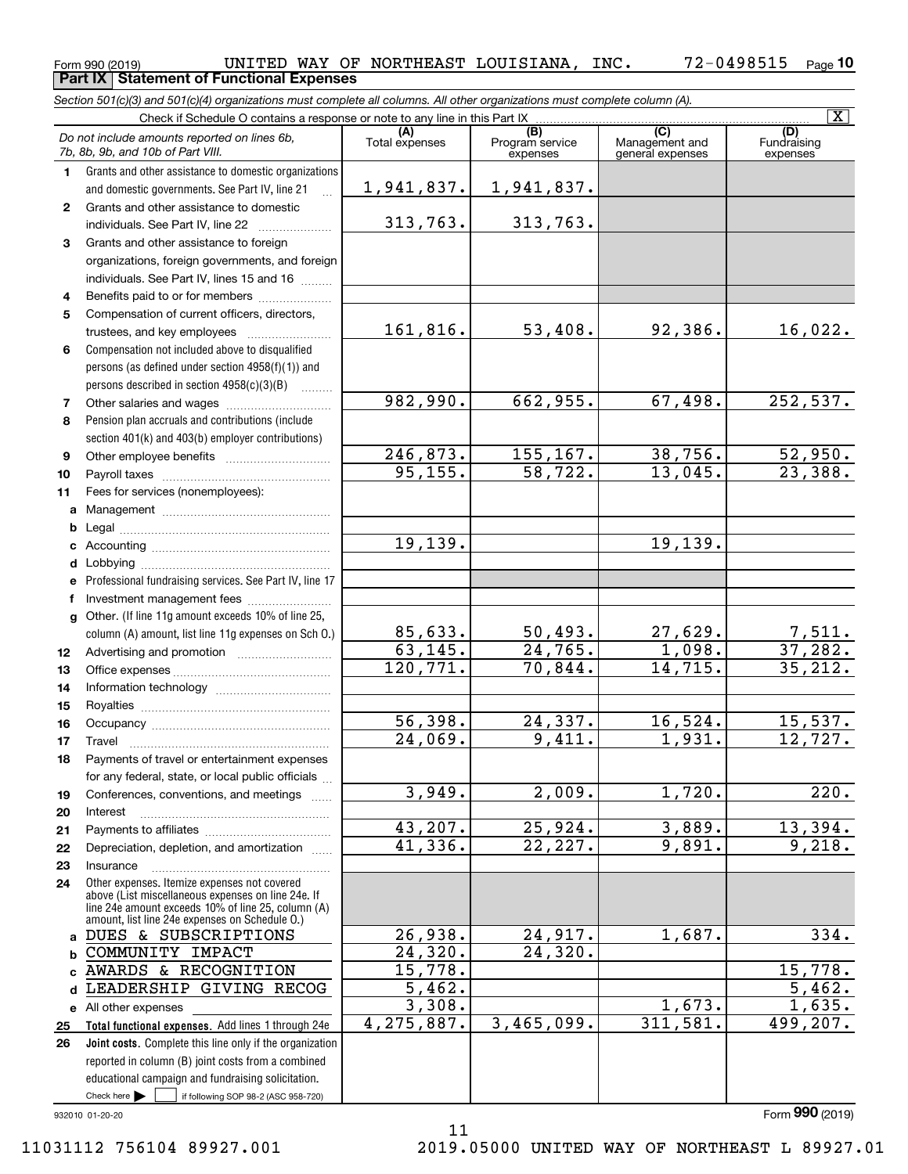### $_{\rm Form}$   $_{990}$   $_{(2019)}$   $_{\rm WAT}$   $_{\rm HNF}$   $_{\rm WAT}$   $_{\rm OF}$   $_{\rm NCT}$   $_{\rm HER}$   $_{\rm HDF}$   $_{\rm LCT}$   $_{\rm HDF}$   $_{\rm HDF}$   $_{\rm HDF}$   $_{\rm HDF}$   $_{\rm HDF}$   $_{\rm HDF}$   $_{\rm HDF}$   $_{\rm HDF}$   $_{\rm HDF}$   $_{\rm HDF}$   $_{\rm HDF}$   $_{\rm HDF}$   $_{\rm HDF}$   $_{\rm HDF}$ **10 Part IX Statement of Functional Expenses**

*Section 501(c)(3) and 501(c)(4) organizations must complete all columns. All other organizations must complete column (A).*

|                  | Check if Schedule O contains a response or note to any line in this Part IX                                                                                                                                |                         |                                    |                                           | $\overline{\mathbf{x}}$        |
|------------------|------------------------------------------------------------------------------------------------------------------------------------------------------------------------------------------------------------|-------------------------|------------------------------------|-------------------------------------------|--------------------------------|
|                  | Do not include amounts reported on lines 6b,<br>7b, 8b, 9b, and 10b of Part VIII.                                                                                                                          | (A)<br>Total expenses   | (B)<br>Program service<br>expenses | (C)<br>Management and<br>general expenses | (D)<br>Fundraising<br>expenses |
| $\mathbf{1}$     | Grants and other assistance to domestic organizations                                                                                                                                                      |                         |                                    |                                           |                                |
|                  | and domestic governments. See Part IV, line 21                                                                                                                                                             | 1,941,837.              | 1,941,837.                         |                                           |                                |
| $\mathbf{2}$     | Grants and other assistance to domestic                                                                                                                                                                    |                         |                                    |                                           |                                |
|                  | individuals. See Part IV, line 22                                                                                                                                                                          | 313,763.                | 313,763.                           |                                           |                                |
| 3                | Grants and other assistance to foreign                                                                                                                                                                     |                         |                                    |                                           |                                |
|                  | organizations, foreign governments, and foreign                                                                                                                                                            |                         |                                    |                                           |                                |
|                  | individuals. See Part IV, lines 15 and 16                                                                                                                                                                  |                         |                                    |                                           |                                |
| 4                | Benefits paid to or for members                                                                                                                                                                            |                         |                                    |                                           |                                |
| 5                | Compensation of current officers, directors,                                                                                                                                                               |                         |                                    |                                           |                                |
|                  | trustees, and key employees                                                                                                                                                                                | 161,816.                | 53,408.                            | 92,386.                                   | 16,022.                        |
| 6                | Compensation not included above to disqualified                                                                                                                                                            |                         |                                    |                                           |                                |
|                  | persons (as defined under section 4958(f)(1)) and                                                                                                                                                          |                         |                                    |                                           |                                |
|                  | persons described in section 4958(c)(3)(B)<br>$\overline{\phantom{a}}$                                                                                                                                     |                         |                                    |                                           |                                |
| 7                |                                                                                                                                                                                                            | 982,990.                | 662,955.                           | 67,498.                                   | 252,537.                       |
| 8                | Pension plan accruals and contributions (include                                                                                                                                                           |                         |                                    |                                           |                                |
|                  | section 401(k) and 403(b) employer contributions)                                                                                                                                                          |                         |                                    |                                           |                                |
| 9                |                                                                                                                                                                                                            | 246,873.                | 155,167.                           | 38,756.                                   | $\frac{52,950}{23,388}$        |
| 10               |                                                                                                                                                                                                            | 95, 155.                | 58,722.                            | 13,045.                                   |                                |
| 11               | Fees for services (nonemployees):                                                                                                                                                                          |                         |                                    |                                           |                                |
| a                |                                                                                                                                                                                                            |                         |                                    |                                           |                                |
| b                |                                                                                                                                                                                                            |                         |                                    |                                           |                                |
| c                |                                                                                                                                                                                                            | 19,139.                 |                                    | 19,139.                                   |                                |
| d                |                                                                                                                                                                                                            |                         |                                    |                                           |                                |
| е                | Professional fundraising services. See Part IV, line 17                                                                                                                                                    |                         |                                    |                                           |                                |
| f                | Investment management fees                                                                                                                                                                                 |                         |                                    |                                           |                                |
|                  | g Other. (If line 11g amount exceeds 10% of line 25,<br>column (A) amount, list line 11g expenses on Sch O.)                                                                                               |                         | <u>50,493.</u>                     | 27,629.                                   |                                |
| 12 <sup>12</sup> |                                                                                                                                                                                                            | $\frac{85,633}{63,145}$ | 24, 765.                           | 1,098.                                    | <u>7,511.</u><br>37,282.       |
| 13               |                                                                                                                                                                                                            | 120,771.                | 70,844.                            | 14,715.                                   | $\overline{35,212.}$           |
| 14               |                                                                                                                                                                                                            |                         |                                    |                                           |                                |
| 15               |                                                                                                                                                                                                            |                         |                                    |                                           |                                |
| 16               |                                                                                                                                                                                                            | 56,398.                 | 24,337.                            | 16,524.                                   |                                |
| 17               | Travel                                                                                                                                                                                                     | 24,069.                 | 9,411.                             | 1,931.                                    | $\frac{15,537.}{12,727.}$      |
| 18               | Payments of travel or entertainment expenses                                                                                                                                                               |                         |                                    |                                           |                                |
|                  | for any federal, state, or local public officials                                                                                                                                                          |                         |                                    |                                           |                                |
| 19               | Conferences, conventions, and meetings                                                                                                                                                                     | 3,949.                  | 2,009.                             | 1,720.                                    | 220.                           |
| 20               | Interest                                                                                                                                                                                                   |                         |                                    |                                           |                                |
| 21               |                                                                                                                                                                                                            | 43,207.                 | 25,924.                            | 3,889.                                    | 13,394.                        |
| 22               | Depreciation, depletion, and amortization                                                                                                                                                                  | 41,336.                 | 22,227.                            | 9,891.                                    | 9,218.                         |
| 23               | Insurance                                                                                                                                                                                                  |                         |                                    |                                           |                                |
| 24               | Other expenses. Itemize expenses not covered<br>above (List miscellaneous expenses on line 24e. If<br>line 24e amount exceeds 10% of line 25, column (A)<br>amount, list line 24e expenses on Schedule O.) |                         |                                    |                                           |                                |
| a                | DUES & SUBSCRIPTIONS                                                                                                                                                                                       | 26,938.                 | 24,917.                            | 1,687.                                    | 334.                           |
| b                | COMMUNITY IMPACT                                                                                                                                                                                           | 24,320.                 | 24,320.                            |                                           |                                |
| C                | AWARDS & RECOGNITION                                                                                                                                                                                       | 15,778.                 |                                    |                                           | 15,778.                        |
| d                | LEADERSHIP GIVING RECOG                                                                                                                                                                                    | 5,462.                  |                                    |                                           | 5,462.                         |
| е                | All other expenses                                                                                                                                                                                         | 3,308.                  |                                    | 1,673.                                    | 1,635.                         |
| 25               | Total functional expenses. Add lines 1 through 24e                                                                                                                                                         | 4,275,887.              | 3,465,099.                         | 311,581.                                  | 499, 207.                      |
| 26               | Joint costs. Complete this line only if the organization                                                                                                                                                   |                         |                                    |                                           |                                |
|                  | reported in column (B) joint costs from a combined                                                                                                                                                         |                         |                                    |                                           |                                |
|                  | educational campaign and fundraising solicitation.                                                                                                                                                         |                         |                                    |                                           |                                |
|                  | Check here<br>if following SOP 98-2 (ASC 958-720)                                                                                                                                                          |                         |                                    |                                           |                                |
|                  | 932010 01-20-20                                                                                                                                                                                            |                         |                                    |                                           | Form 990 (2019)                |

11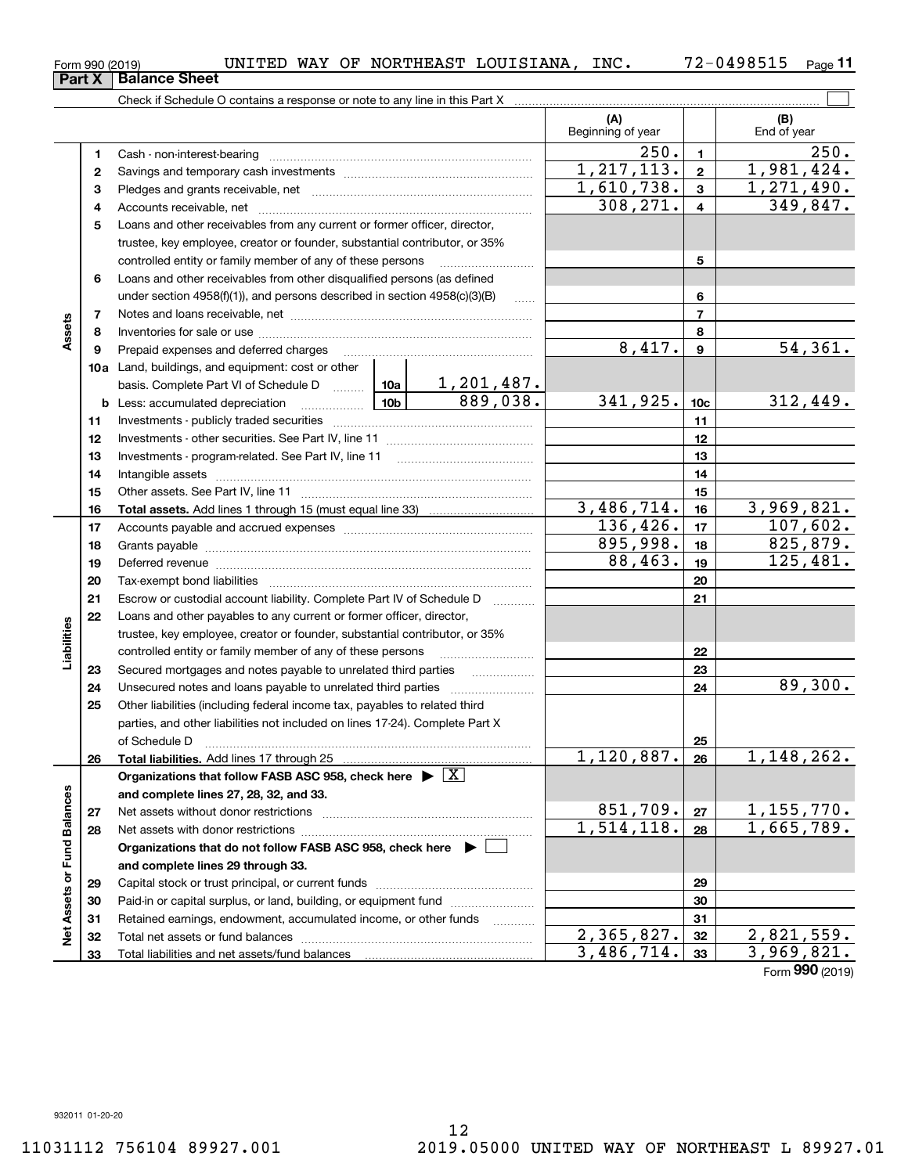# $_{\rm Form}$   $_{990}$   $_{(2019)}$   $_{\rm WAT}$   $_{\rm HNF}$   $_{\rm WAT}$   $_{\rm OF}$   $_{\rm NCT}$   $_{\rm HER}$   $_{\rm HDF}$   $_{\rm LCT}$   $_{\rm HDF}$   $_{\rm HDF}$   $_{\rm HDF}$   $_{\rm HDF}$   $_{\rm HDF}$   $_{\rm HDF}$   $_{\rm HDF}$   $_{\rm HDF}$   $_{\rm HDF}$   $_{\rm HDF}$   $_{\rm HDF}$   $_{\rm HDF}$   $_{\rm HDF}$   $_{\rm HDF}$ **Part X Balance Sheet**

**11**

|                             |          |                                                                                                                                                                                                                                |                               | (A)<br>Beginning of year |                 | (B)<br>End of year   |
|-----------------------------|----------|--------------------------------------------------------------------------------------------------------------------------------------------------------------------------------------------------------------------------------|-------------------------------|--------------------------|-----------------|----------------------|
|                             | 1        |                                                                                                                                                                                                                                |                               | 250.                     | $\mathbf{1}$    | 250.                 |
|                             | 2        |                                                                                                                                                                                                                                |                               | 1, 217, 113.             | $\mathbf{2}$    | 1,981,424.           |
|                             | 3        |                                                                                                                                                                                                                                |                               | 1,610,738.               | $\mathbf{3}$    | 1,271,490.           |
|                             | 4        |                                                                                                                                                                                                                                |                               | 308, 271.                | 4               | 349,847.             |
|                             | 5        | Loans and other receivables from any current or former officer, director,                                                                                                                                                      |                               |                          |                 |                      |
|                             |          | trustee, key employee, creator or founder, substantial contributor, or 35%                                                                                                                                                     |                               |                          |                 |                      |
|                             |          | controlled entity or family member of any of these persons                                                                                                                                                                     |                               |                          | 5               |                      |
|                             | 6        | Loans and other receivables from other disqualified persons (as defined                                                                                                                                                        |                               |                          |                 |                      |
|                             |          | under section $4958(f)(1)$ , and persons described in section $4958(c)(3)(B)$                                                                                                                                                  | <b>Contract</b>               |                          | 6               |                      |
|                             | 7        |                                                                                                                                                                                                                                |                               |                          | $\overline{7}$  |                      |
| Assets                      | 8        |                                                                                                                                                                                                                                |                               |                          | 8               |                      |
|                             | 9        | Prepaid expenses and deferred charges                                                                                                                                                                                          |                               | 8,417.                   | 9               | 54, 361.             |
|                             |          | 10a Land, buildings, and equipment: cost or other                                                                                                                                                                              |                               |                          |                 |                      |
|                             |          | basis. Complete Part VI of Schedule D  10a                                                                                                                                                                                     | $\frac{1,201,487.}{889,038.}$ |                          |                 |                      |
|                             |          |                                                                                                                                                                                                                                |                               | 341,925.                 | 10 <sub>c</sub> | 312,449.             |
|                             | 11       |                                                                                                                                                                                                                                |                               |                          | 11              |                      |
|                             | 12       |                                                                                                                                                                                                                                |                               |                          | 12              |                      |
|                             | 13       |                                                                                                                                                                                                                                |                               |                          | 13              |                      |
|                             | 14       |                                                                                                                                                                                                                                |                               |                          | 14              |                      |
|                             | 15       |                                                                                                                                                                                                                                |                               |                          | 15              |                      |
|                             | 16       |                                                                                                                                                                                                                                |                               | 3,486,714.               | 16              | 3,969,821.           |
|                             | 17       |                                                                                                                                                                                                                                |                               | 136,426.                 | 17              | 107,602.             |
|                             | 18       |                                                                                                                                                                                                                                |                               | 895,998.                 | 18              | 825,879.<br>125,481. |
|                             | 19       | Deferred revenue manual contracts and contracts are all the contracts and contracts are contracted and contracts are contracted and contract are contracted and contract are contracted and contract are contracted and contra |                               | 88,463.                  | 19              |                      |
|                             | 20       |                                                                                                                                                                                                                                |                               |                          | 20              |                      |
|                             | 21       | Escrow or custodial account liability. Complete Part IV of Schedule D                                                                                                                                                          |                               |                          | 21              |                      |
|                             | 22       | Loans and other payables to any current or former officer, director,                                                                                                                                                           |                               |                          |                 |                      |
| Liabilities                 |          | trustee, key employee, creator or founder, substantial contributor, or 35%                                                                                                                                                     |                               |                          |                 |                      |
|                             |          | controlled entity or family member of any of these persons                                                                                                                                                                     |                               |                          | 22<br>23        |                      |
|                             | 23<br>24 | Secured mortgages and notes payable to unrelated third parties                                                                                                                                                                 |                               |                          | 24              | 89,300.              |
|                             | 25       | Other liabilities (including federal income tax, payables to related third                                                                                                                                                     |                               |                          |                 |                      |
|                             |          | parties, and other liabilities not included on lines 17-24). Complete Part X                                                                                                                                                   |                               |                          |                 |                      |
|                             |          |                                                                                                                                                                                                                                |                               |                          | 25              |                      |
|                             | 26       |                                                                                                                                                                                                                                |                               | 1,120,887.               | 26              | 1,148,262.           |
|                             |          | Organizations that follow FASB ASC 958, check here $\blacktriangleright \lfloor X \rfloor$                                                                                                                                     |                               |                          |                 |                      |
|                             |          | and complete lines 27, 28, 32, and 33.                                                                                                                                                                                         |                               |                          |                 |                      |
|                             | 27       |                                                                                                                                                                                                                                |                               | 851,709.                 | 27              | 1, 155, 770.         |
|                             | 28       |                                                                                                                                                                                                                                |                               | 1,514,118.               | 28              | 1,665,789.           |
|                             |          | Organizations that do not follow FASB ASC 958, check here ▶ [                                                                                                                                                                  |                               |                          |                 |                      |
|                             |          | and complete lines 29 through 33.                                                                                                                                                                                              |                               |                          |                 |                      |
| Net Assets or Fund Balances | 29       |                                                                                                                                                                                                                                |                               |                          | 29              |                      |
|                             | 30       | Paid-in or capital surplus, or land, building, or equipment fund                                                                                                                                                               |                               |                          | 30              |                      |
|                             | 31       | Retained earnings, endowment, accumulated income, or other funds                                                                                                                                                               |                               |                          | 31              |                      |
|                             | 32       | Total net assets or fund balances                                                                                                                                                                                              |                               | $\overline{2,365,827}$ . | 32              | 2,821,559.           |
|                             | 33       |                                                                                                                                                                                                                                |                               | 3,486,714.               | 33              | 3,969,821.           |

Form (2019) **990**

 $\overline{a}$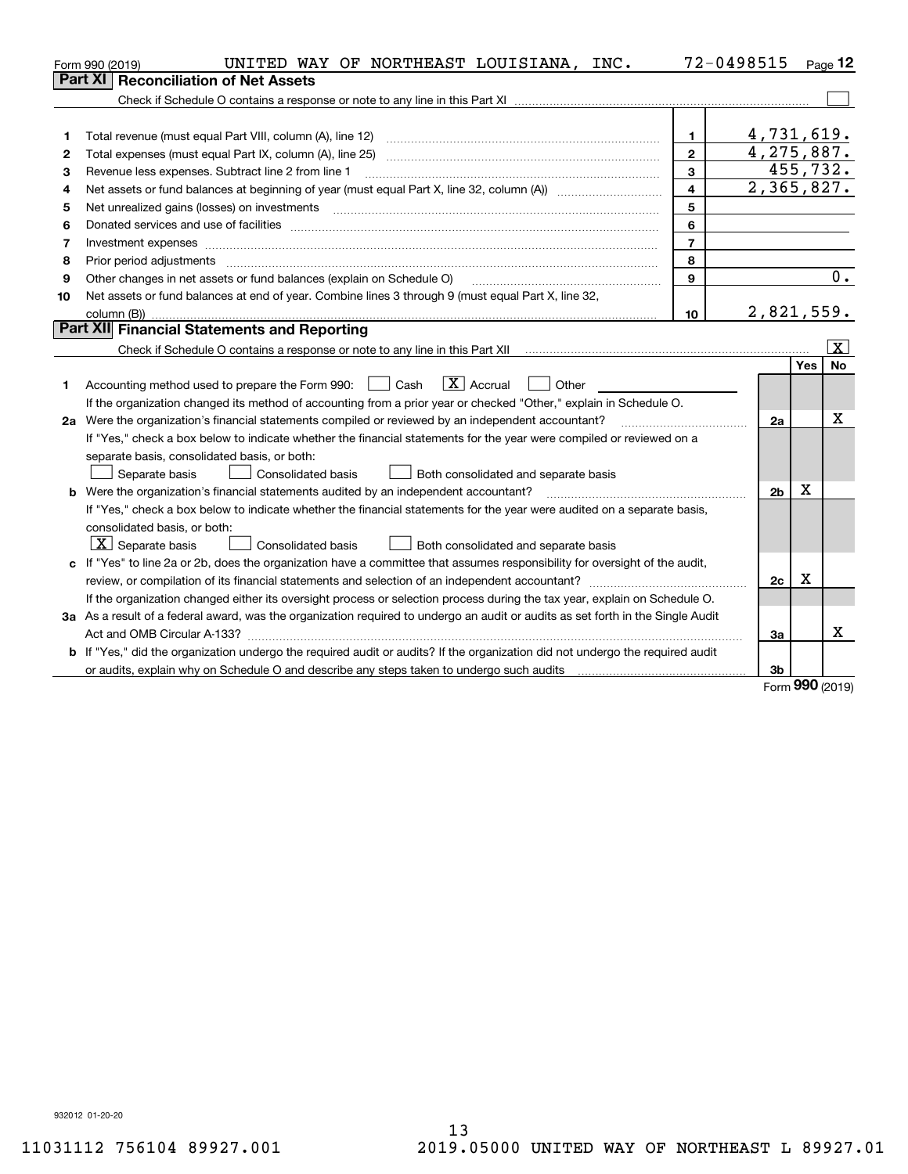|    | UNITED WAY OF NORTHEAST LOUISIANA, INC.<br>Form 990 (2019)                                                                      | 72-0498515              |                            |            | Page $12$ |
|----|---------------------------------------------------------------------------------------------------------------------------------|-------------------------|----------------------------|------------|-----------|
|    | <b>Reconciliation of Net Assets</b><br>Part XI                                                                                  |                         |                            |            |           |
|    |                                                                                                                                 |                         |                            |            |           |
|    |                                                                                                                                 |                         |                            |            |           |
| 1  | Total revenue (must equal Part VIII, column (A), line 12)                                                                       | $\mathbf{1}$            | 4,731,619.                 |            |           |
| 2  | Total expenses (must equal Part IX, column (A), line 25)                                                                        | $\mathbf{2}$            | 4,275,887.                 |            |           |
| з  | Revenue less expenses. Subtract line 2 from line 1                                                                              | 3                       |                            |            | 455,732.  |
| 4  |                                                                                                                                 | $\overline{\mathbf{4}}$ | $\overline{2}$ , 365, 827. |            |           |
| 5  | Net unrealized gains (losses) on investments                                                                                    | 5                       |                            |            |           |
| 6  |                                                                                                                                 | 6                       |                            |            |           |
| 7  | Investment expenses www.communication.communication.com/www.communication.com/www.communication.com                             | $\overline{7}$          |                            |            |           |
| 8  | Prior period adjustments                                                                                                        | 8                       |                            |            |           |
| 9  | Other changes in net assets or fund balances (explain on Schedule O)                                                            | $\mathbf{Q}$            |                            |            | 0.        |
| 10 | Net assets or fund balances at end of year. Combine lines 3 through 9 (must equal Part X, line 32,                              |                         |                            |            |           |
|    | column (B)).                                                                                                                    | 10                      | 2,821,559.                 |            |           |
|    | Part XII Financial Statements and Reporting                                                                                     |                         |                            |            |           |
|    |                                                                                                                                 |                         |                            |            | x         |
|    |                                                                                                                                 |                         |                            | <b>Yes</b> | <b>No</b> |
| 1. | $ X $ Accrual<br>Accounting method used to prepare the Form 990: <u>I</u> Cash<br>Other                                         |                         |                            |            |           |
|    | If the organization changed its method of accounting from a prior year or checked "Other," explain in Schedule O.               |                         |                            |            |           |
|    | 2a Were the organization's financial statements compiled or reviewed by an independent accountant?                              |                         | 2a                         |            | X         |
|    | If "Yes," check a box below to indicate whether the financial statements for the year were compiled or reviewed on a            |                         |                            |            |           |
|    | separate basis, consolidated basis, or both:                                                                                    |                         |                            |            |           |
|    | Separate basis<br>Consolidated basis<br>Both consolidated and separate basis                                                    |                         |                            |            |           |
|    | <b>b</b> Were the organization's financial statements audited by an independent accountant?                                     |                         | 2 <sub>b</sub>             | Χ          |           |
|    | If "Yes," check a box below to indicate whether the financial statements for the year were audited on a separate basis,         |                         |                            |            |           |
|    | consolidated basis, or both:                                                                                                    |                         |                            |            |           |
|    | $ \mathbf{X} $ Separate basis<br><b>Consolidated basis</b><br>Both consolidated and separate basis                              |                         |                            |            |           |
|    | c If "Yes" to line 2a or 2b, does the organization have a committee that assumes responsibility for oversight of the audit,     |                         |                            |            |           |
|    |                                                                                                                                 |                         | 2c                         | x          |           |
|    | If the organization changed either its oversight process or selection process during the tax year, explain on Schedule O.       |                         |                            |            |           |
|    | 3a As a result of a federal award, was the organization required to undergo an audit or audits as set forth in the Single Audit |                         |                            |            |           |
|    |                                                                                                                                 |                         | За                         |            | x         |
|    | b If "Yes," did the organization undergo the required audit or audits? If the organization did not undergo the required audit   |                         |                            |            |           |
|    | or audits, explain why on Schedule O and describe any steps taken to undergo such audits                                        |                         | 3b                         |            |           |

Form (2019) **990**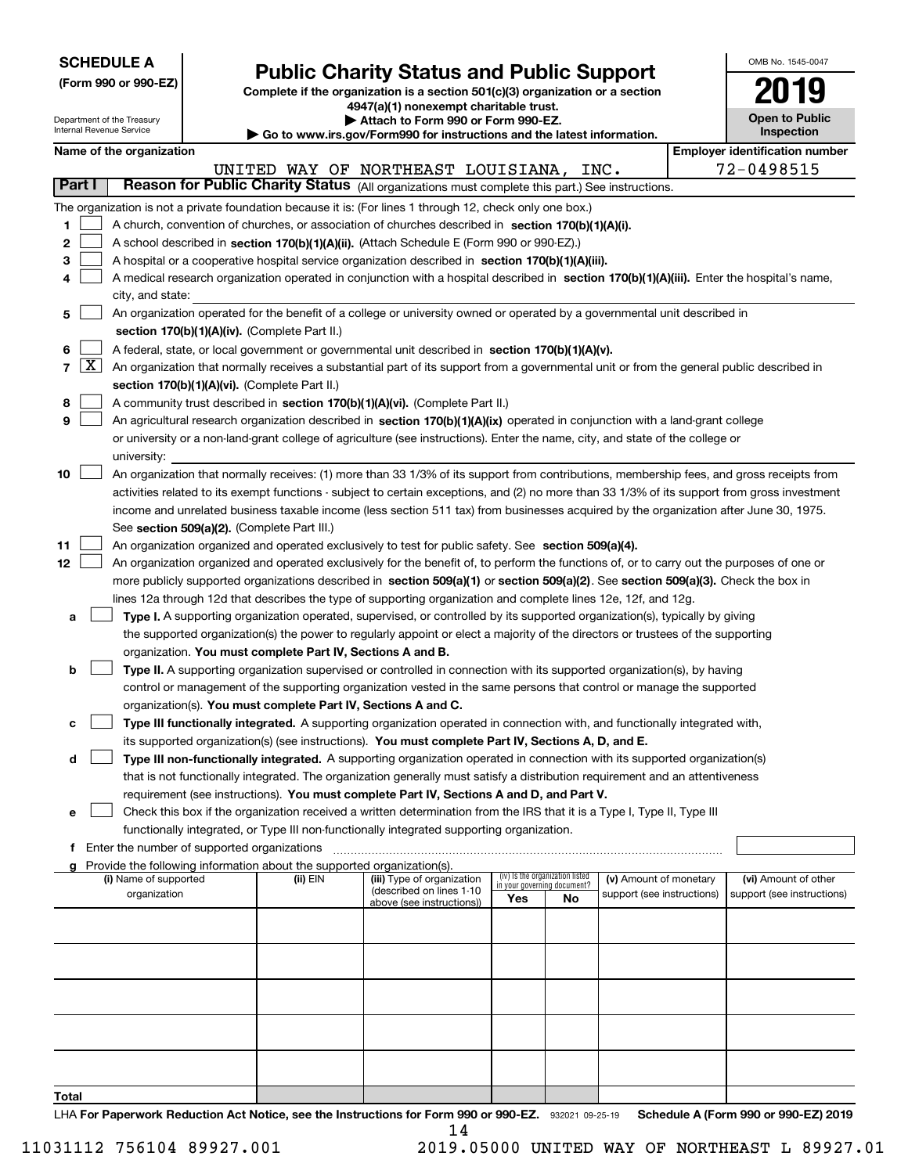| <b>SCHEDULE A</b> |
|-------------------|
|-------------------|

Department of the Treasury

**(Form 990 or 990-EZ)**

# **Public Charity Status and Public Support**

**Complete if the organization is a section 501(c)(3) organization or a section 4947(a)(1) nonexempt charitable trust. | Attach to Form 990 or Form 990-EZ.** 

|  |  | Go to www.irs.gov/Form990 for instructions and the latest information. |
|--|--|------------------------------------------------------------------------|
|  |  |                                                                        |

| OMB No. 1545-0047                   |
|-------------------------------------|
|                                     |
| <b>Open to Public</b><br>Inspection |

|        |                     | Internal Revenue Service |                                               |                                                                        | Go to www.irs.gov/Form990 for instructions and the latest information.                                                                                                                                               |     |                                                                |                                       | Inspection                 |  |
|--------|---------------------|--------------------------|-----------------------------------------------|------------------------------------------------------------------------|----------------------------------------------------------------------------------------------------------------------------------------------------------------------------------------------------------------------|-----|----------------------------------------------------------------|---------------------------------------|----------------------------|--|
|        |                     | Name of the organization |                                               |                                                                        |                                                                                                                                                                                                                      |     |                                                                | <b>Employer identification number</b> |                            |  |
|        |                     |                          |                                               |                                                                        | UNITED WAY OF NORTHEAST LOUISIANA, INC.                                                                                                                                                                              |     |                                                                |                                       | 72-0498515                 |  |
| Part I |                     |                          |                                               |                                                                        | Reason for Public Charity Status (All organizations must complete this part.) See instructions.                                                                                                                      |     |                                                                |                                       |                            |  |
|        |                     |                          |                                               |                                                                        | The organization is not a private foundation because it is: (For lines 1 through 12, check only one box.)                                                                                                            |     |                                                                |                                       |                            |  |
| 1      |                     |                          |                                               |                                                                        | A church, convention of churches, or association of churches described in section $170(b)(1)(A)(i)$ .                                                                                                                |     |                                                                |                                       |                            |  |
| 2      |                     |                          |                                               |                                                                        | A school described in section 170(b)(1)(A)(ii). (Attach Schedule E (Form 990 or 990-EZ).)                                                                                                                            |     |                                                                |                                       |                            |  |
| з      |                     |                          |                                               |                                                                        | A hospital or a cooperative hospital service organization described in section 170(b)(1)(A)(iii).                                                                                                                    |     |                                                                |                                       |                            |  |
|        |                     |                          |                                               |                                                                        | A medical research organization operated in conjunction with a hospital described in section 170(b)(1)(A)(iii). Enter the hospital's name,                                                                           |     |                                                                |                                       |                            |  |
|        |                     | city, and state:         |                                               |                                                                        |                                                                                                                                                                                                                      |     |                                                                |                                       |                            |  |
| 5      |                     |                          |                                               |                                                                        | An organization operated for the benefit of a college or university owned or operated by a governmental unit described in                                                                                            |     |                                                                |                                       |                            |  |
|        |                     |                          |                                               | section 170(b)(1)(A)(iv). (Complete Part II.)                          |                                                                                                                                                                                                                      |     |                                                                |                                       |                            |  |
| 6      |                     |                          |                                               |                                                                        | A federal, state, or local government or governmental unit described in section 170(b)(1)(A)(v).                                                                                                                     |     |                                                                |                                       |                            |  |
| 7      | $\lfloor x \rfloor$ |                          |                                               |                                                                        | An organization that normally receives a substantial part of its support from a governmental unit or from the general public described in                                                                            |     |                                                                |                                       |                            |  |
|        |                     |                          |                                               | section 170(b)(1)(A)(vi). (Complete Part II.)                          |                                                                                                                                                                                                                      |     |                                                                |                                       |                            |  |
| 8      |                     |                          |                                               |                                                                        | A community trust described in section 170(b)(1)(A)(vi). (Complete Part II.)                                                                                                                                         |     |                                                                |                                       |                            |  |
| 9      |                     |                          |                                               |                                                                        | An agricultural research organization described in section 170(b)(1)(A)(ix) operated in conjunction with a land-grant college                                                                                        |     |                                                                |                                       |                            |  |
|        |                     |                          |                                               |                                                                        | or university or a non-land-grant college of agriculture (see instructions). Enter the name, city, and state of the college or                                                                                       |     |                                                                |                                       |                            |  |
|        |                     | university:              |                                               |                                                                        |                                                                                                                                                                                                                      |     |                                                                |                                       |                            |  |
| 10     |                     |                          |                                               |                                                                        | An organization that normally receives: (1) more than 33 1/3% of its support from contributions, membership fees, and gross receipts from                                                                            |     |                                                                |                                       |                            |  |
|        |                     |                          |                                               |                                                                        | activities related to its exempt functions - subject to certain exceptions, and (2) no more than 33 1/3% of its support from gross investment                                                                        |     |                                                                |                                       |                            |  |
|        |                     |                          |                                               |                                                                        | income and unrelated business taxable income (less section 511 tax) from businesses acquired by the organization after June 30, 1975.                                                                                |     |                                                                |                                       |                            |  |
|        |                     |                          |                                               | See section 509(a)(2). (Complete Part III.)                            |                                                                                                                                                                                                                      |     |                                                                |                                       |                            |  |
| 11     |                     |                          |                                               |                                                                        | An organization organized and operated exclusively to test for public safety. See section 509(a)(4).                                                                                                                 |     |                                                                |                                       |                            |  |
| 12     |                     |                          |                                               |                                                                        | An organization organized and operated exclusively for the benefit of, to perform the functions of, or to carry out the purposes of one or                                                                           |     |                                                                |                                       |                            |  |
|        |                     |                          |                                               |                                                                        | more publicly supported organizations described in section 509(a)(1) or section 509(a)(2). See section 509(a)(3). Check the box in                                                                                   |     |                                                                |                                       |                            |  |
|        |                     |                          |                                               |                                                                        | lines 12a through 12d that describes the type of supporting organization and complete lines 12e, 12f, and 12g.                                                                                                       |     |                                                                |                                       |                            |  |
| а      |                     |                          |                                               |                                                                        | Type I. A supporting organization operated, supervised, or controlled by its supported organization(s), typically by giving                                                                                          |     |                                                                |                                       |                            |  |
|        |                     |                          |                                               |                                                                        | the supported organization(s) the power to regularly appoint or elect a majority of the directors or trustees of the supporting                                                                                      |     |                                                                |                                       |                            |  |
|        |                     |                          |                                               | organization. You must complete Part IV, Sections A and B.             |                                                                                                                                                                                                                      |     |                                                                |                                       |                            |  |
| b      |                     |                          |                                               |                                                                        | Type II. A supporting organization supervised or controlled in connection with its supported organization(s), by having                                                                                              |     |                                                                |                                       |                            |  |
|        |                     |                          |                                               |                                                                        | control or management of the supporting organization vested in the same persons that control or manage the supported                                                                                                 |     |                                                                |                                       |                            |  |
|        |                     |                          |                                               | organization(s). You must complete Part IV, Sections A and C.          |                                                                                                                                                                                                                      |     |                                                                |                                       |                            |  |
| с      |                     |                          |                                               |                                                                        | Type III functionally integrated. A supporting organization operated in connection with, and functionally integrated with,                                                                                           |     |                                                                |                                       |                            |  |
|        |                     |                          |                                               |                                                                        | its supported organization(s) (see instructions). You must complete Part IV, Sections A, D, and E.                                                                                                                   |     |                                                                |                                       |                            |  |
| d      |                     |                          |                                               |                                                                        | Type III non-functionally integrated. A supporting organization operated in connection with its supported organization(s)                                                                                            |     |                                                                |                                       |                            |  |
|        |                     |                          |                                               |                                                                        | that is not functionally integrated. The organization generally must satisfy a distribution requirement and an attentiveness                                                                                         |     |                                                                |                                       |                            |  |
|        |                     |                          |                                               |                                                                        | requirement (see instructions). You must complete Part IV, Sections A and D, and Part V.                                                                                                                             |     |                                                                |                                       |                            |  |
| е      |                     |                          |                                               |                                                                        | Check this box if the organization received a written determination from the IRS that it is a Type I, Type II, Type III<br>functionally integrated, or Type III non-functionally integrated supporting organization. |     |                                                                |                                       |                            |  |
|        |                     |                          | f Enter the number of supported organizations |                                                                        |                                                                                                                                                                                                                      |     |                                                                |                                       |                            |  |
|        |                     |                          |                                               | Provide the following information about the supported organization(s). |                                                                                                                                                                                                                      |     |                                                                |                                       |                            |  |
|        |                     | (i) Name of supported    |                                               | (ii) EIN                                                               | (iii) Type of organization                                                                                                                                                                                           |     | (iv) Is the organization listed<br>in your governing document? | (v) Amount of monetary                | (vi) Amount of other       |  |
|        |                     | organization             |                                               |                                                                        | (described on lines 1-10<br>above (see instructions))                                                                                                                                                                | Yes | No                                                             | support (see instructions)            | support (see instructions) |  |
|        |                     |                          |                                               |                                                                        |                                                                                                                                                                                                                      |     |                                                                |                                       |                            |  |
|        |                     |                          |                                               |                                                                        |                                                                                                                                                                                                                      |     |                                                                |                                       |                            |  |
|        |                     |                          |                                               |                                                                        |                                                                                                                                                                                                                      |     |                                                                |                                       |                            |  |
|        |                     |                          |                                               |                                                                        |                                                                                                                                                                                                                      |     |                                                                |                                       |                            |  |
|        |                     |                          |                                               |                                                                        |                                                                                                                                                                                                                      |     |                                                                |                                       |                            |  |
|        |                     |                          |                                               |                                                                        |                                                                                                                                                                                                                      |     |                                                                |                                       |                            |  |
|        |                     |                          |                                               |                                                                        |                                                                                                                                                                                                                      |     |                                                                |                                       |                            |  |
|        |                     |                          |                                               |                                                                        |                                                                                                                                                                                                                      |     |                                                                |                                       |                            |  |
|        |                     |                          |                                               |                                                                        |                                                                                                                                                                                                                      |     |                                                                |                                       |                            |  |
|        |                     |                          |                                               |                                                                        |                                                                                                                                                                                                                      |     |                                                                |                                       |                            |  |
| Total  |                     |                          |                                               |                                                                        |                                                                                                                                                                                                                      |     |                                                                |                                       |                            |  |

LHA For Paperwork Reduction Act Notice, see the Instructions for Form 990 or 990-EZ. 932021 09-25-19 Schedule A (Form 990 or 990-EZ) 2019 14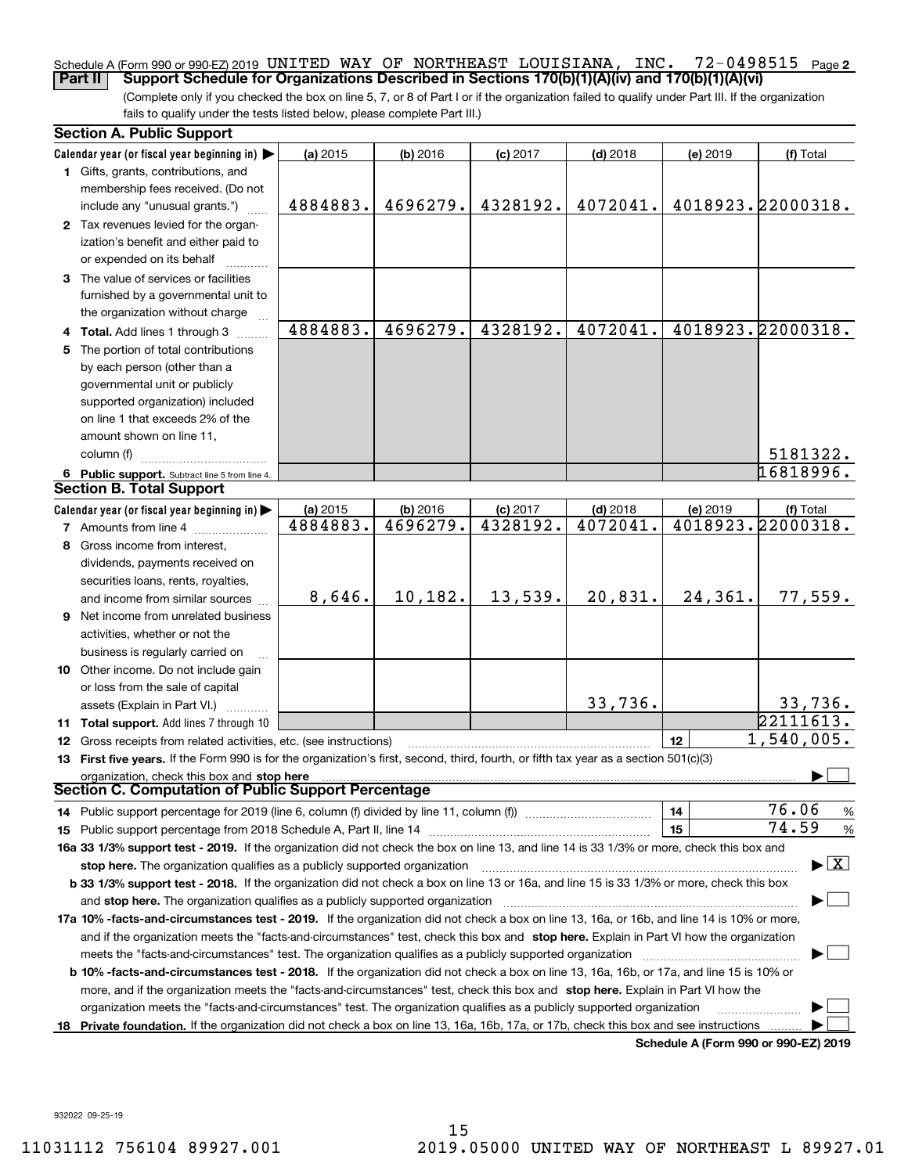### 72-0498515 <sub>Page 2</sub> Schedule A (Form 990 or 990-EZ) 2019 <code>UNITED WAY OF NORTHEAST LOUISIANA, INC.  $72\text{--}0498515$  Page</code> **Part II Support Schedule for Organizations Described in Sections 170(b)(1)(A)(iv) and 170(b)(1)(A)(vi)**

(Complete only if you checked the box on line 5, 7, or 8 of Part I or if the organization failed to qualify under Part III. If the organization fails to qualify under the tests listed below, please complete Part III.)

|    | <b>Section A. Public Support</b>                                                                                                                                                                                                                                                   |          |            |            |            |          |                                          |
|----|------------------------------------------------------------------------------------------------------------------------------------------------------------------------------------------------------------------------------------------------------------------------------------|----------|------------|------------|------------|----------|------------------------------------------|
|    | Calendar year (or fiscal year beginning in) $\blacktriangleright$                                                                                                                                                                                                                  | (a) 2015 | $(b)$ 2016 | $(c)$ 2017 | $(d)$ 2018 | (e) 2019 | (f) Total                                |
|    | 1 Gifts, grants, contributions, and                                                                                                                                                                                                                                                |          |            |            |            |          |                                          |
|    | membership fees received. (Do not                                                                                                                                                                                                                                                  |          |            |            |            |          |                                          |
|    | include any "unusual grants.")                                                                                                                                                                                                                                                     | 4884883. | 4696279.   | 4328192.   | 4072041.   |          | 4018923.22000318.                        |
|    | 2 Tax revenues levied for the organ-                                                                                                                                                                                                                                               |          |            |            |            |          |                                          |
|    | ization's benefit and either paid to                                                                                                                                                                                                                                               |          |            |            |            |          |                                          |
|    | or expended on its behalf                                                                                                                                                                                                                                                          |          |            |            |            |          |                                          |
|    | 3 The value of services or facilities                                                                                                                                                                                                                                              |          |            |            |            |          |                                          |
|    | furnished by a governmental unit to                                                                                                                                                                                                                                                |          |            |            |            |          |                                          |
|    | the organization without charge                                                                                                                                                                                                                                                    |          |            |            |            |          |                                          |
|    | 4 Total. Add lines 1 through 3                                                                                                                                                                                                                                                     | 4884883. | 4696279.   | 4328192.   | 4072041.   |          | 4018923.22000318.                        |
|    | 5 The portion of total contributions                                                                                                                                                                                                                                               |          |            |            |            |          |                                          |
|    | by each person (other than a                                                                                                                                                                                                                                                       |          |            |            |            |          |                                          |
|    | governmental unit or publicly                                                                                                                                                                                                                                                      |          |            |            |            |          |                                          |
|    | supported organization) included                                                                                                                                                                                                                                                   |          |            |            |            |          |                                          |
|    | on line 1 that exceeds 2% of the                                                                                                                                                                                                                                                   |          |            |            |            |          |                                          |
|    | amount shown on line 11,                                                                                                                                                                                                                                                           |          |            |            |            |          |                                          |
|    | column (f)                                                                                                                                                                                                                                                                         |          |            |            |            |          | 5181322.                                 |
|    | 6 Public support. Subtract line 5 from line 4.                                                                                                                                                                                                                                     |          |            |            |            |          | 16818996.                                |
|    | <b>Section B. Total Support</b>                                                                                                                                                                                                                                                    |          |            |            |            |          |                                          |
|    | Calendar year (or fiscal year beginning in)                                                                                                                                                                                                                                        | (a) 2015 | (b) 2016   | $(c)$ 2017 | $(d)$ 2018 | (e) 2019 | (f) Total                                |
|    | <b>7</b> Amounts from line 4                                                                                                                                                                                                                                                       | 4884883. | 4696279.   | 4328192.   | 4072041.   |          | 4018923.22000318.                        |
|    | 8 Gross income from interest,                                                                                                                                                                                                                                                      |          |            |            |            |          |                                          |
|    | dividends, payments received on                                                                                                                                                                                                                                                    |          |            |            |            |          |                                          |
|    | securities loans, rents, royalties,                                                                                                                                                                                                                                                |          |            |            |            |          |                                          |
|    | and income from similar sources                                                                                                                                                                                                                                                    | 8,646.   | 10,182.    | 13,539.    | 20,831.    | 24,361.  | 77,559.                                  |
|    | <b>9</b> Net income from unrelated business                                                                                                                                                                                                                                        |          |            |            |            |          |                                          |
|    | activities, whether or not the                                                                                                                                                                                                                                                     |          |            |            |            |          |                                          |
|    | business is regularly carried on                                                                                                                                                                                                                                                   |          |            |            |            |          |                                          |
|    | 10 Other income. Do not include gain                                                                                                                                                                                                                                               |          |            |            |            |          |                                          |
|    | or loss from the sale of capital                                                                                                                                                                                                                                                   |          |            |            |            |          |                                          |
|    | assets (Explain in Part VI.)                                                                                                                                                                                                                                                       |          |            |            | 33,736.    |          | 33,736.                                  |
|    | 11 Total support. Add lines 7 through 10                                                                                                                                                                                                                                           |          |            |            |            |          | 22111613.                                |
|    | 12 Gross receipts from related activities, etc. (see instructions)                                                                                                                                                                                                                 |          |            |            |            | 12       | 1,540,005.                               |
|    | 13 First five years. If the Form 990 is for the organization's first, second, third, fourth, or fifth tax year as a section 501(c)(3)                                                                                                                                              |          |            |            |            |          |                                          |
|    | organization, check this box and stop here<br><b>Section C. Computation of Public Support Percentage</b>                                                                                                                                                                           |          |            |            |            |          |                                          |
|    | 14 Public support percentage for 2019 (line 6, column (f) divided by line 11, column (f) <i></i>                                                                                                                                                                                   |          |            |            |            | 14       | 76.06<br>%                               |
|    |                                                                                                                                                                                                                                                                                    |          |            |            |            | 15       | 74.59<br>$\%$                            |
|    | 16a 33 1/3% support test - 2019. If the organization did not check the box on line 13, and line 14 is 33 1/3% or more, check this box and                                                                                                                                          |          |            |            |            |          |                                          |
|    | stop here. The organization qualifies as a publicly supported organization                                                                                                                                                                                                         |          |            |            |            |          | $\blacktriangleright$ $\boxed{\text{X}}$ |
|    | b 33 1/3% support test - 2018. If the organization did not check a box on line 13 or 16a, and line 15 is 33 1/3% or more, check this box                                                                                                                                           |          |            |            |            |          |                                          |
|    | and stop here. The organization qualifies as a publicly supported organization [11] [11] [12] [12] [12] [12] [                                                                                                                                                                     |          |            |            |            |          |                                          |
|    | 17a 10% -facts-and-circumstances test - 2019. If the organization did not check a box on line 13, 16a, or 16b, and line 14 is 10% or more,                                                                                                                                         |          |            |            |            |          |                                          |
|    |                                                                                                                                                                                                                                                                                    |          |            |            |            |          |                                          |
|    | and if the organization meets the "facts-and-circumstances" test, check this box and stop here. Explain in Part VI how the organization                                                                                                                                            |          |            |            |            |          |                                          |
|    |                                                                                                                                                                                                                                                                                    |          |            |            |            |          |                                          |
|    | <b>b 10% -facts-and-circumstances test - 2018.</b> If the organization did not check a box on line 13, 16a, 16b, or 17a, and line 15 is 10% or<br>more, and if the organization meets the "facts-and-circumstances" test, check this box and stop here. Explain in Part VI how the |          |            |            |            |          |                                          |
|    |                                                                                                                                                                                                                                                                                    |          |            |            |            |          |                                          |
| 18 | organization meets the "facts-and-circumstances" test. The organization qualifies as a publicly supported organization<br>Private foundation. If the organization did not check a box on line 13, 16a, 16b, 17a, or 17b, check this box and see instructions                       |          |            |            |            |          |                                          |
|    |                                                                                                                                                                                                                                                                                    |          |            |            |            |          | Schedule A (Form 990 or 990-EZ) 2019     |
|    |                                                                                                                                                                                                                                                                                    |          |            |            |            |          |                                          |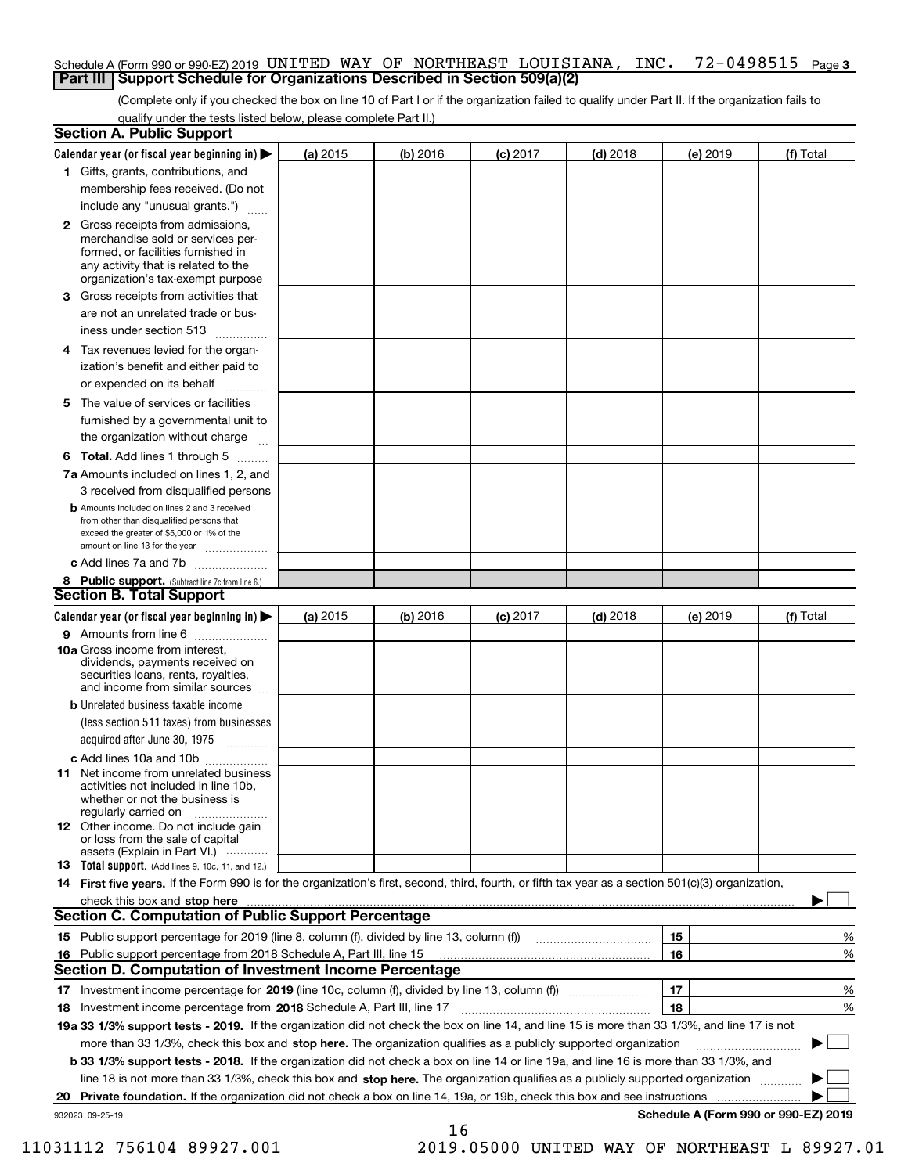# Schedule A (Form 990 or 990-EZ) 2019 <code>UNITED WAY OF NORTHEAST LOUISIANA, INC. 72-0498515 Page 3</code> **Part III Support Schedule for Organizations Described in Section 509(a)(2)**

(Complete only if you checked the box on line 10 of Part I or if the organization failed to qualify under Part II. If the organization fails to qualify under the tests listed below, please complete Part II.)

|    | <b>Section A. Public Support</b>                                                                                                                                                                                                    |          |            |            |            |                                           |           |
|----|-------------------------------------------------------------------------------------------------------------------------------------------------------------------------------------------------------------------------------------|----------|------------|------------|------------|-------------------------------------------|-----------|
|    | Calendar year (or fiscal year beginning in) $\blacktriangleright$                                                                                                                                                                   | (a) 2015 | $(b)$ 2016 | $(c)$ 2017 | $(d)$ 2018 | (e) 2019                                  | (f) Total |
|    | 1 Gifts, grants, contributions, and                                                                                                                                                                                                 |          |            |            |            |                                           |           |
|    | membership fees received. (Do not                                                                                                                                                                                                   |          |            |            |            |                                           |           |
|    | include any "unusual grants.")                                                                                                                                                                                                      |          |            |            |            |                                           |           |
|    | 2 Gross receipts from admissions,<br>merchandise sold or services per-<br>formed, or facilities furnished in<br>any activity that is related to the<br>organization's tax-exempt purpose                                            |          |            |            |            |                                           |           |
|    | 3 Gross receipts from activities that<br>are not an unrelated trade or bus-<br>iness under section 513                                                                                                                              |          |            |            |            |                                           |           |
|    | 4 Tax revenues levied for the organ-                                                                                                                                                                                                |          |            |            |            |                                           |           |
|    | ization's benefit and either paid to                                                                                                                                                                                                |          |            |            |            |                                           |           |
|    | or expended on its behalf<br>.                                                                                                                                                                                                      |          |            |            |            |                                           |           |
|    | 5 The value of services or facilities<br>furnished by a governmental unit to<br>the organization without charge                                                                                                                     |          |            |            |            |                                           |           |
|    | <b>6 Total.</b> Add lines 1 through 5                                                                                                                                                                                               |          |            |            |            |                                           |           |
|    | 7a Amounts included on lines 1, 2, and                                                                                                                                                                                              |          |            |            |            |                                           |           |
|    | 3 received from disqualified persons<br><b>b</b> Amounts included on lines 2 and 3 received                                                                                                                                         |          |            |            |            |                                           |           |
|    | from other than disqualified persons that                                                                                                                                                                                           |          |            |            |            |                                           |           |
|    | exceed the greater of \$5,000 or 1% of the<br>amount on line 13 for the year                                                                                                                                                        |          |            |            |            |                                           |           |
|    | c Add lines 7a and 7b                                                                                                                                                                                                               |          |            |            |            |                                           |           |
|    | 8 Public support. (Subtract line 7c from line 6.)                                                                                                                                                                                   |          |            |            |            |                                           |           |
|    | <b>Section B. Total Support</b>                                                                                                                                                                                                     |          |            |            |            |                                           |           |
|    | Calendar year (or fiscal year beginning in) $\blacktriangleright$                                                                                                                                                                   | (a) 2015 | (b) 2016   | $(c)$ 2017 | $(d)$ 2018 | (e) 2019                                  | (f) Total |
|    | 9 Amounts from line 6                                                                                                                                                                                                               |          |            |            |            |                                           |           |
|    | 10a Gross income from interest,<br>dividends, payments received on<br>securities loans, rents, royalties,<br>and income from similar sources                                                                                        |          |            |            |            |                                           |           |
|    | <b>b</b> Unrelated business taxable income                                                                                                                                                                                          |          |            |            |            |                                           |           |
|    | (less section 511 taxes) from businesses                                                                                                                                                                                            |          |            |            |            |                                           |           |
|    | acquired after June 30, 1975                                                                                                                                                                                                        |          |            |            |            |                                           |           |
|    | c Add lines 10a and 10b<br>11 Net income from unrelated business<br>activities not included in line 10b,<br>whether or not the business is<br>regularly carried on                                                                  |          |            |            |            |                                           |           |
|    | <b>12</b> Other income. Do not include gain<br>or loss from the sale of capital<br>assets (Explain in Part VI.)                                                                                                                     |          |            |            |            |                                           |           |
|    | 13 Total support. (Add lines 9, 10c, 11, and 12.)                                                                                                                                                                                   |          |            |            |            |                                           |           |
|    | 14 First five years. If the Form 990 is for the organization's first, second, third, fourth, or fifth tax year as a section 501(c)(3) organization,                                                                                 |          |            |            |            |                                           |           |
|    | check this box and stop here <i>machine and content and a content and a content and a content and stop</i> here and and stop here and a content and a content and a content and a content and a content and a content and a content |          |            |            |            |                                           |           |
|    | <b>Section C. Computation of Public Support Percentage</b>                                                                                                                                                                          |          |            |            |            |                                           |           |
|    | 15 Public support percentage for 2019 (line 8, column (f), divided by line 13, column (f))                                                                                                                                          |          |            |            |            | 15                                        | %         |
|    | 16 Public support percentage from 2018 Schedule A, Part III, line 15                                                                                                                                                                |          |            |            |            | 16                                        | %         |
|    | <b>Section D. Computation of Investment Income Percentage</b>                                                                                                                                                                       |          |            |            |            |                                           |           |
|    | 17 Investment income percentage for 2019 (line 10c, column (f), divided by line 13, column (f))                                                                                                                                     |          |            |            |            | 17                                        | %         |
|    | <b>18</b> Investment income percentage from <b>2018</b> Schedule A, Part III, line 17                                                                                                                                               |          |            |            |            | 18                                        | %         |
|    | 19a 33 1/3% support tests - 2019. If the organization did not check the box on line 14, and line 15 is more than 33 1/3%, and line 17 is not                                                                                        |          |            |            |            |                                           |           |
|    | more than 33 1/3%, check this box and stop here. The organization qualifies as a publicly supported organization                                                                                                                    |          |            |            |            |                                           | ▶         |
|    | b 33 1/3% support tests - 2018. If the organization did not check a box on line 14 or line 19a, and line 16 is more than 33 1/3%, and                                                                                               |          |            |            |            |                                           |           |
|    | line 18 is not more than 33 1/3%, check this box and stop here. The organization qualifies as a publicly supported organization                                                                                                     |          |            |            |            |                                           |           |
| 20 | Private foundation. If the organization did not check a box on line 14, 19a, or 19b, check this box and see instructions                                                                                                            |          |            |            |            | .<br>Schedule A (Form 990 or 990-EZ) 2019 |           |
|    | 932023 09-25-19                                                                                                                                                                                                                     |          |            |            |            |                                           |           |

16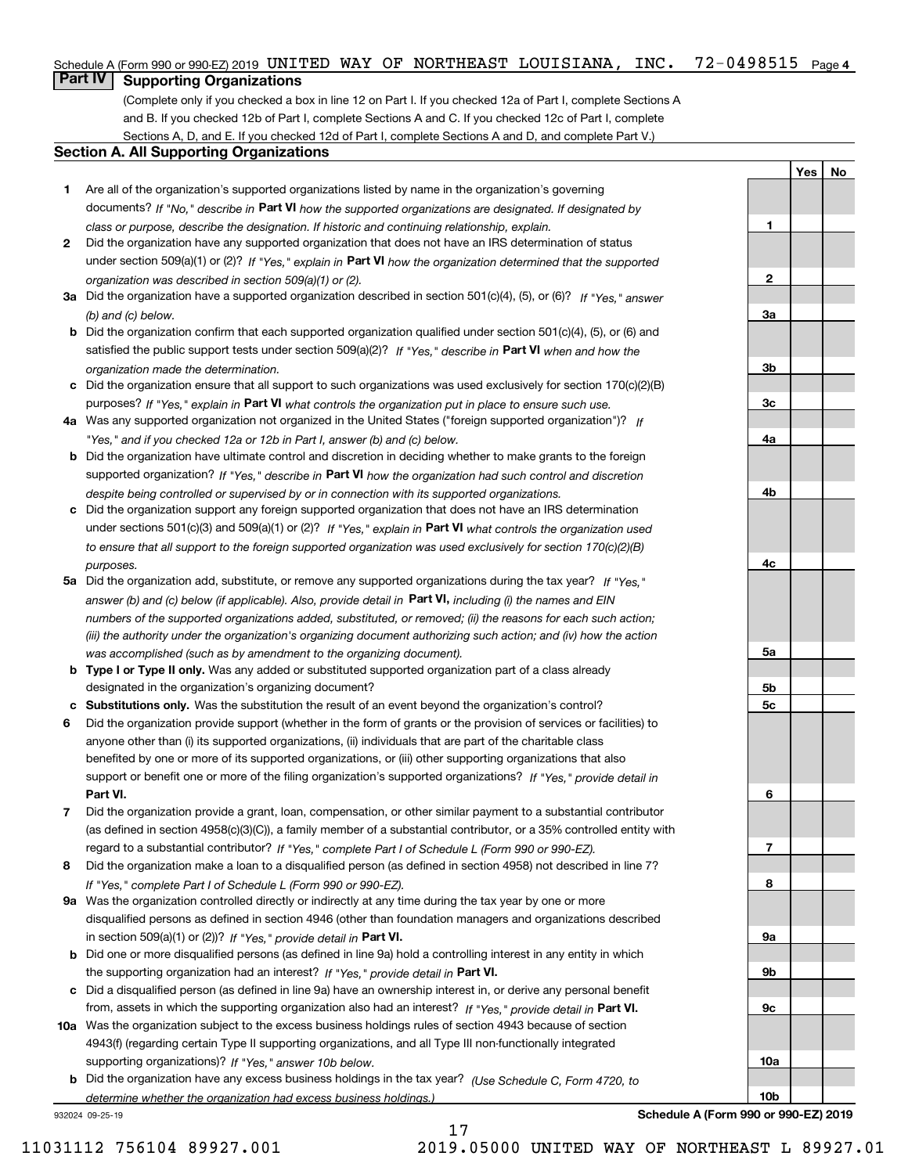### **INC.**  $72-0498515$  Page 4 Schedule A (Form 990 or 990-EZ) 2019 <code>UNITED WAY OF NORTHEAST LOUISIANA, INC.  $72\text{--}0498515$  Page</code>

# **Part IV Supporting Organizations**

(Complete only if you checked a box in line 12 on Part I. If you checked 12a of Part I, complete Sections A and B. If you checked 12b of Part I, complete Sections A and C. If you checked 12c of Part I, complete Sections A, D, and E. If you checked 12d of Part I, complete Sections A and D, and complete Part V.)

# **Section A. All Supporting Organizations**

- **1** Are all of the organization's supported organizations listed by name in the organization's governing documents? If "No," describe in **Part VI** how the supported organizations are designated. If designated by *class or purpose, describe the designation. If historic and continuing relationship, explain.*
- **2** Did the organization have any supported organization that does not have an IRS determination of status under section 509(a)(1) or (2)? If "Yes," explain in Part VI how the organization determined that the supported *organization was described in section 509(a)(1) or (2).*
- **3a** Did the organization have a supported organization described in section 501(c)(4), (5), or (6)? If "Yes," answer *(b) and (c) below.*
- **b** Did the organization confirm that each supported organization qualified under section 501(c)(4), (5), or (6) and satisfied the public support tests under section 509(a)(2)? If "Yes," describe in **Part VI** when and how the *organization made the determination.*
- **c**Did the organization ensure that all support to such organizations was used exclusively for section 170(c)(2)(B) purposes? If "Yes," explain in **Part VI** what controls the organization put in place to ensure such use.
- **4a***If* Was any supported organization not organized in the United States ("foreign supported organization")? *"Yes," and if you checked 12a or 12b in Part I, answer (b) and (c) below.*
- **b** Did the organization have ultimate control and discretion in deciding whether to make grants to the foreign supported organization? If "Yes," describe in **Part VI** how the organization had such control and discretion *despite being controlled or supervised by or in connection with its supported organizations.*
- **c** Did the organization support any foreign supported organization that does not have an IRS determination under sections 501(c)(3) and 509(a)(1) or (2)? If "Yes," explain in **Part VI** what controls the organization used *to ensure that all support to the foreign supported organization was used exclusively for section 170(c)(2)(B) purposes.*
- **5a** Did the organization add, substitute, or remove any supported organizations during the tax year? If "Yes," answer (b) and (c) below (if applicable). Also, provide detail in **Part VI,** including (i) the names and EIN *numbers of the supported organizations added, substituted, or removed; (ii) the reasons for each such action; (iii) the authority under the organization's organizing document authorizing such action; and (iv) how the action was accomplished (such as by amendment to the organizing document).*
- **b** Type I or Type II only. Was any added or substituted supported organization part of a class already designated in the organization's organizing document?
- **cSubstitutions only.**  Was the substitution the result of an event beyond the organization's control?
- **6** Did the organization provide support (whether in the form of grants or the provision of services or facilities) to **Part VI.** *If "Yes," provide detail in* support or benefit one or more of the filing organization's supported organizations? anyone other than (i) its supported organizations, (ii) individuals that are part of the charitable class benefited by one or more of its supported organizations, or (iii) other supporting organizations that also
- **7**Did the organization provide a grant, loan, compensation, or other similar payment to a substantial contributor *If "Yes," complete Part I of Schedule L (Form 990 or 990-EZ).* regard to a substantial contributor? (as defined in section 4958(c)(3)(C)), a family member of a substantial contributor, or a 35% controlled entity with
- **8** Did the organization make a loan to a disqualified person (as defined in section 4958) not described in line 7? *If "Yes," complete Part I of Schedule L (Form 990 or 990-EZ).*
- **9a** Was the organization controlled directly or indirectly at any time during the tax year by one or more in section 509(a)(1) or (2))? If "Yes," *provide detail in* <code>Part VI.</code> disqualified persons as defined in section 4946 (other than foundation managers and organizations described
- **b** Did one or more disqualified persons (as defined in line 9a) hold a controlling interest in any entity in which the supporting organization had an interest? If "Yes," provide detail in P**art VI**.
- **c**Did a disqualified person (as defined in line 9a) have an ownership interest in, or derive any personal benefit from, assets in which the supporting organization also had an interest? If "Yes," provide detail in P**art VI.**
- **10a** Was the organization subject to the excess business holdings rules of section 4943 because of section supporting organizations)? If "Yes," answer 10b below. 4943(f) (regarding certain Type II supporting organizations, and all Type III non-functionally integrated
- **b** Did the organization have any excess business holdings in the tax year? (Use Schedule C, Form 4720, to *determine whether the organization had excess business holdings.)*

17

932024 09-25-19

**Schedule A (Form 990 or 990-EZ) 2019**

**YesNo**

**1**

**2**

**3a**

**3b**

**3c**

**4a**

**4b**

**4c**

**5a**

**5b5c**

**6**

**7**

**8**

**9a**

**9b**

**9c**

**10a**

**10b**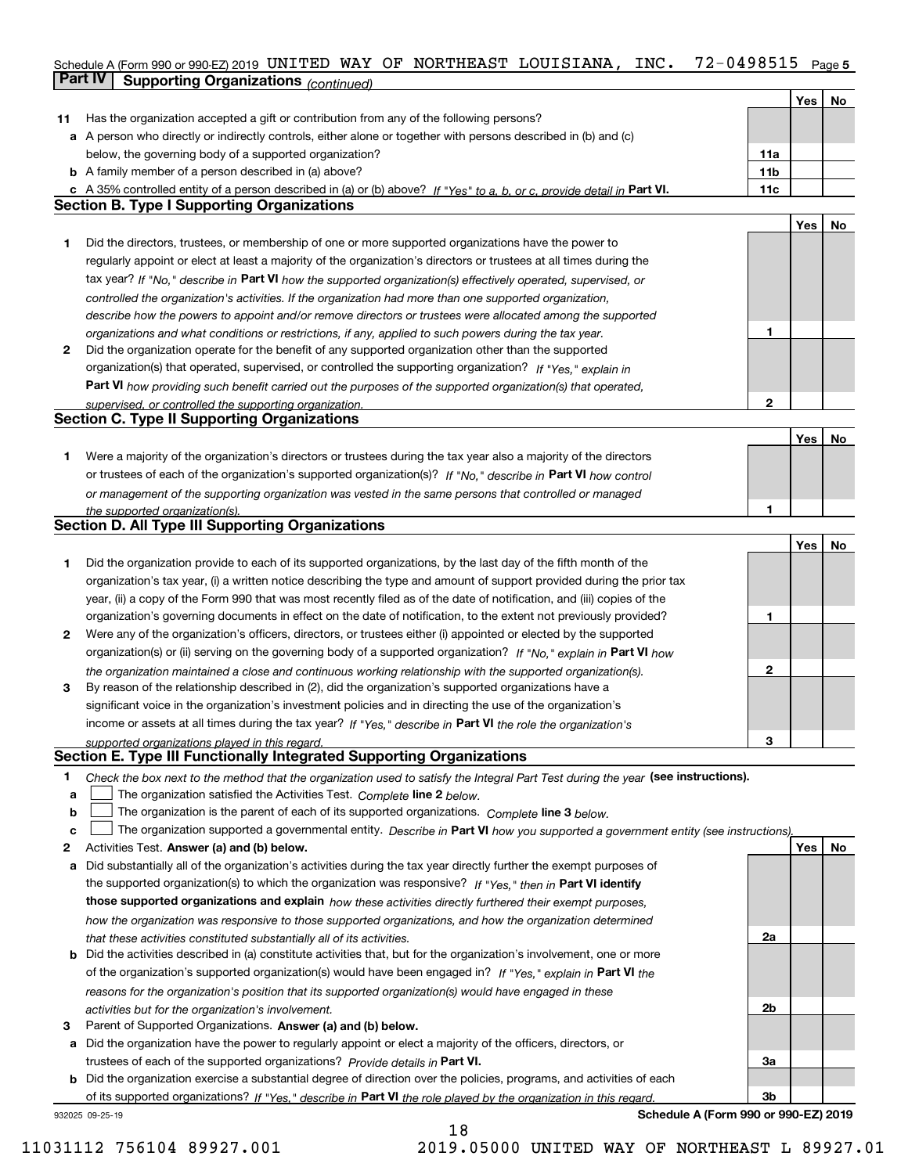# Schedule A (Form 990 or 990-EZ) 2019 <code>UNITED WAY OF NORTHEAST LOUISIANA, INC. 72-0498515 Page 5</code> **Part IV Supporting Organizations** *(continued)*

|    |                                                                                                                                   |                 | Yes | No |
|----|-----------------------------------------------------------------------------------------------------------------------------------|-----------------|-----|----|
| 11 | Has the organization accepted a gift or contribution from any of the following persons?                                           |                 |     |    |
|    | a A person who directly or indirectly controls, either alone or together with persons described in (b) and (c)                    |                 |     |    |
|    | below, the governing body of a supported organization?                                                                            | 11a             |     |    |
|    | <b>b</b> A family member of a person described in (a) above?                                                                      | 11 <sub>b</sub> |     |    |
|    | c A 35% controlled entity of a person described in (a) or (b) above? If "Yes" to a, b, or c, provide detail in Part VI.           | 11c             |     |    |
|    | <b>Section B. Type I Supporting Organizations</b>                                                                                 |                 |     |    |
|    |                                                                                                                                   |                 | Yes | No |
| 1  | Did the directors, trustees, or membership of one or more supported organizations have the power to                               |                 |     |    |
|    | regularly appoint or elect at least a majority of the organization's directors or trustees at all times during the                |                 |     |    |
|    | tax year? If "No," describe in Part VI how the supported organization(s) effectively operated, supervised, or                     |                 |     |    |
|    | controlled the organization's activities. If the organization had more than one supported organization,                           |                 |     |    |
|    | describe how the powers to appoint and/or remove directors or trustees were allocated among the supported                         |                 |     |    |
|    | organizations and what conditions or restrictions, if any, applied to such powers during the tax year.                            | 1               |     |    |
| 2  | Did the organization operate for the benefit of any supported organization other than the supported                               |                 |     |    |
|    | organization(s) that operated, supervised, or controlled the supporting organization? If "Yes," explain in                        |                 |     |    |
|    | Part VI how providing such benefit carried out the purposes of the supported organization(s) that operated,                       |                 |     |    |
|    | supervised, or controlled the supporting organization.                                                                            | $\mathbf{2}$    |     |    |
|    | <b>Section C. Type II Supporting Organizations</b>                                                                                |                 |     |    |
|    |                                                                                                                                   |                 | Yes | No |
| 1  | Were a majority of the organization's directors or trustees during the tax year also a majority of the directors                  |                 |     |    |
|    | or trustees of each of the organization's supported organization(s)? If "No," describe in Part VI how control                     |                 |     |    |
|    | or management of the supporting organization was vested in the same persons that controlled or managed                            |                 |     |    |
|    | the supported organization(s).                                                                                                    | 1               |     |    |
|    | <b>Section D. All Type III Supporting Organizations</b>                                                                           |                 |     |    |
|    |                                                                                                                                   |                 | Yes | No |
| 1  | Did the organization provide to each of its supported organizations, by the last day of the fifth month of the                    |                 |     |    |
|    | organization's tax year, (i) a written notice describing the type and amount of support provided during the prior tax             |                 |     |    |
|    | year, (ii) a copy of the Form 990 that was most recently filed as of the date of notification, and (iii) copies of the            |                 |     |    |
|    | organization's governing documents in effect on the date of notification, to the extent not previously provided?                  | 1               |     |    |
| 2  | Were any of the organization's officers, directors, or trustees either (i) appointed or elected by the supported                  |                 |     |    |
|    | organization(s) or (ii) serving on the governing body of a supported organization? If "No," explain in Part VI how                |                 |     |    |
|    | the organization maintained a close and continuous working relationship with the supported organization(s).                       | $\mathbf{2}$    |     |    |
| 3  | By reason of the relationship described in (2), did the organization's supported organizations have a                             |                 |     |    |
|    | significant voice in the organization's investment policies and in directing the use of the organization's                        |                 |     |    |
|    | income or assets at all times during the tax year? If "Yes," describe in Part VI the role the organization's                      |                 |     |    |
|    | supported organizations played in this regard.                                                                                    | 3               |     |    |
|    | Section E. Type III Functionally Integrated Supporting Organizations                                                              |                 |     |    |
| 1  | Check the box next to the method that the organization used to satisfy the Integral Part Test during the year (see instructions). |                 |     |    |
| а  | The organization satisfied the Activities Test. Complete line 2 below.                                                            |                 |     |    |
| b  | The organization is the parent of each of its supported organizations. Complete line 3 below.                                     |                 |     |    |
| c  | The organization supported a governmental entity. Describe in Part VI how you supported a government entity (see instructions),   |                 |     |    |
| 2  | Activities Test. Answer (a) and (b) below.                                                                                        |                 | Yes | No |
| а  | Did substantially all of the organization's activities during the tax year directly further the exempt purposes of                |                 |     |    |
|    | the supported organization(s) to which the organization was responsive? If "Yes," then in Part VI identify                        |                 |     |    |
|    | those supported organizations and explain how these activities directly furthered their exempt purposes,                          |                 |     |    |
|    | how the organization was responsive to those supported organizations, and how the organization determined                         |                 |     |    |
|    | that these activities constituted substantially all of its activities.                                                            | 2a              |     |    |
|    | <b>b</b> Did the activities described in (a) constitute activities that, but for the organization's involvement, one or more      |                 |     |    |
|    | of the organization's supported organization(s) would have been engaged in? If "Yes," explain in Part VI the                      |                 |     |    |
|    | reasons for the organization's position that its supported organization(s) would have engaged in these                            |                 |     |    |
|    | activities but for the organization's involvement.                                                                                | 2 <sub>b</sub>  |     |    |
| з  | Parent of Supported Organizations. Answer (a) and (b) below.                                                                      |                 |     |    |
|    | a Did the organization have the power to regularly appoint or elect a majority of the officers, directors, or                     |                 |     |    |
|    | trustees of each of the supported organizations? Provide details in Part VI.                                                      | За              |     |    |
|    | <b>b</b> Did the organization exercise a substantial degree of direction over the policies, programs, and activities of each      |                 |     |    |
|    | of its supported organizations? If "Yes." describe in Part VI the role played by the organization in this regard.                 | 3 <sub>b</sub>  |     |    |
|    | Schedule A (Form 990 or 990-EZ) 2019<br>932025 09-25-19                                                                           |                 |     |    |

18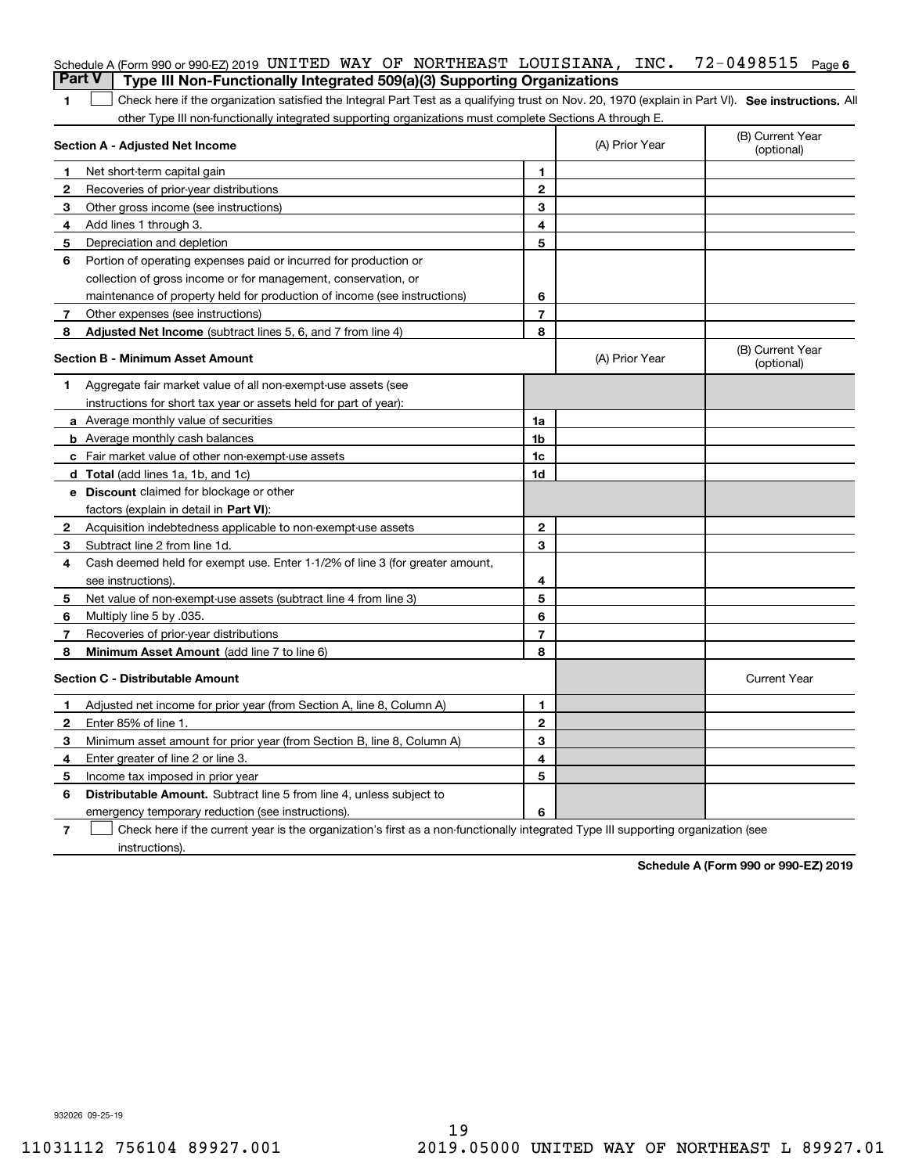| <b>Part V</b> | Schedule A (Form 990 or 990-EZ) 2019 UNITED WAY OF NORTHEAST LOUISIANA, INC.<br>Type III Non-Functionally Integrated 509(a)(3) Supporting Organizations |                |                | 72-0498515<br>Page 6           |
|---------------|---------------------------------------------------------------------------------------------------------------------------------------------------------|----------------|----------------|--------------------------------|
| 1             | Check here if the organization satisfied the Integral Part Test as a qualifying trust on Nov. 20, 1970 (explain in Part VI). See instructions. Al       |                |                |                                |
|               | other Type III non-functionally integrated supporting organizations must complete Sections A through E.                                                 |                |                |                                |
|               | Section A - Adjusted Net Income                                                                                                                         |                | (A) Prior Year | (B) Current Year<br>(optional) |
| 1             | Net short-term capital gain                                                                                                                             | 1              |                |                                |
| 2             | Recoveries of prior-year distributions                                                                                                                  | $\mathbf{2}$   |                |                                |
| 3             | Other gross income (see instructions)                                                                                                                   | 3              |                |                                |
| 4             | Add lines 1 through 3.                                                                                                                                  | 4              |                |                                |
| 5             | Depreciation and depletion                                                                                                                              | 5              |                |                                |
| 6             | Portion of operating expenses paid or incurred for production or                                                                                        |                |                |                                |
|               | collection of gross income or for management, conservation, or                                                                                          |                |                |                                |
|               | maintenance of property held for production of income (see instructions)                                                                                | 6              |                |                                |
| 7             | Other expenses (see instructions)                                                                                                                       | $\overline{7}$ |                |                                |
| 8             | Adjusted Net Income (subtract lines 5, 6, and 7 from line 4)                                                                                            | 8              |                |                                |
|               | Section B - Minimum Asset Amount                                                                                                                        |                | (A) Prior Year | (B) Current Year<br>(optional) |
| 1.            | Aggregate fair market value of all non-exempt-use assets (see                                                                                           |                |                |                                |
|               | instructions for short tax year or assets held for part of year):                                                                                       |                |                |                                |
|               | a Average monthly value of securities                                                                                                                   | 1a             |                |                                |
|               | <b>b</b> Average monthly cash balances                                                                                                                  | 1b             |                |                                |
|               | <b>c</b> Fair market value of other non-exempt-use assets                                                                                               | 1c             |                |                                |
|               | d Total (add lines 1a, 1b, and 1c)                                                                                                                      | 1d             |                |                                |
|               | <b>e</b> Discount claimed for blockage or other                                                                                                         |                |                |                                |
|               | factors (explain in detail in Part VI):                                                                                                                 |                |                |                                |
| 2             | Acquisition indebtedness applicable to non-exempt-use assets                                                                                            | $\mathbf{2}$   |                |                                |
| 3             | Subtract line 2 from line 1d.                                                                                                                           | 3              |                |                                |
| 4             | Cash deemed held for exempt use. Enter 1-1/2% of line 3 (for greater amount,                                                                            |                |                |                                |
|               | see instructions).                                                                                                                                      | 4              |                |                                |
| 5             | Net value of non-exempt-use assets (subtract line 4 from line 3)                                                                                        | 5              |                |                                |
| 6             | Multiply line 5 by .035.                                                                                                                                | 6              |                |                                |
| 7             | Recoveries of prior-year distributions                                                                                                                  | $\overline{7}$ |                |                                |
| 8             | Minimum Asset Amount (add line 7 to line 6)                                                                                                             | 8              |                |                                |
|               | <b>Section C - Distributable Amount</b>                                                                                                                 |                |                | <b>Current Year</b>            |
|               | Adjusted net income for prior year (from Section A, line 8, Column A)                                                                                   | 1              |                |                                |
| 2             | Enter 85% of line 1.                                                                                                                                    | 2              |                |                                |
| 3             | Minimum asset amount for prior year (from Section B, line 8, Column A)                                                                                  | 3              |                |                                |
| 4             | Enter greater of line 2 or line 3.                                                                                                                      | 4              |                |                                |
| 5             | Income tax imposed in prior year                                                                                                                        | 5              |                |                                |
| 6             | <b>Distributable Amount.</b> Subtract line 5 from line 4, unless subject to                                                                             |                |                |                                |
|               | emergency temporary reduction (see instructions).                                                                                                       | 6              |                |                                |
| 7             | Check here if the current year is the organization's first as a non-functionally integrated Type III supporting organization (see                       |                |                |                                |

instructions).

**Schedule A (Form 990 or 990-EZ) 2019**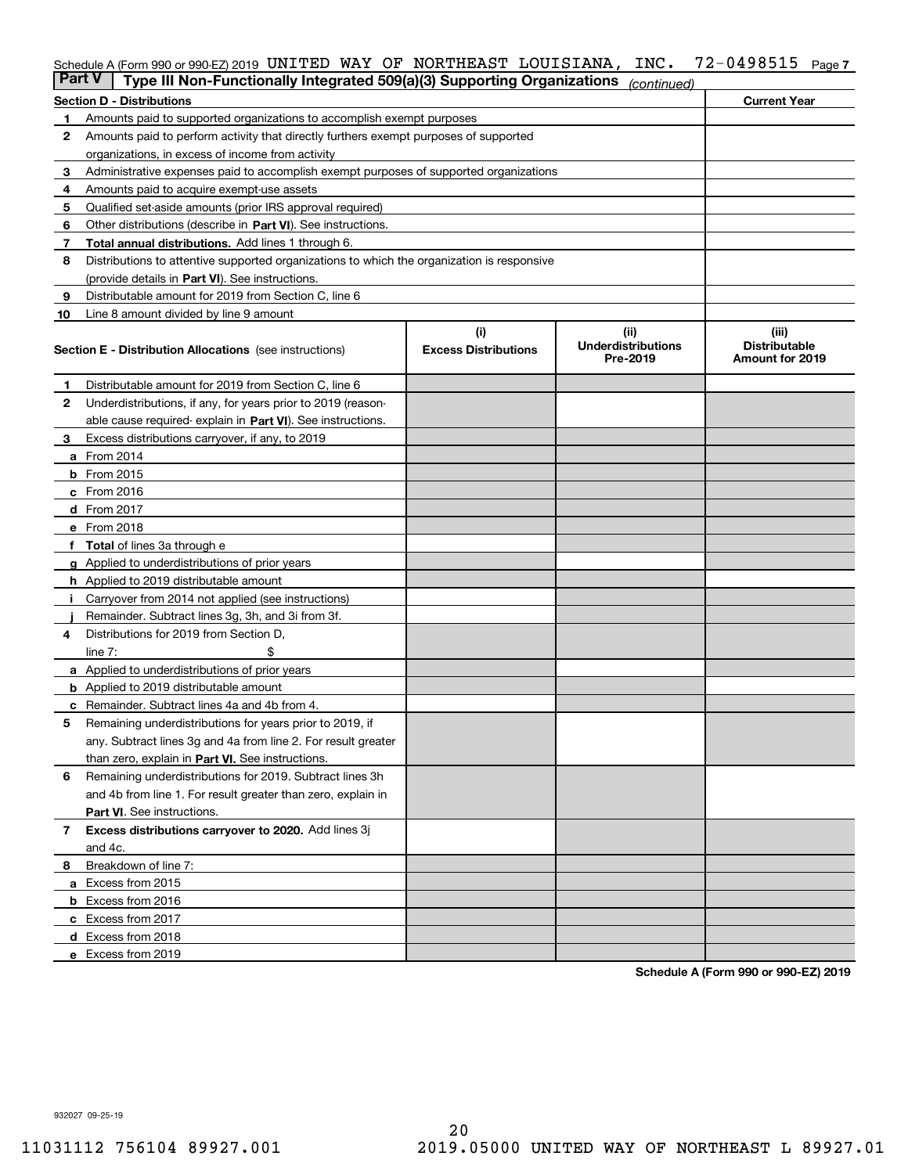# Schedule A (Form 990 or 990-EZ) 2019 <code>UNITED WAY OF NORTHEAST LOUISIANA, INC. 72-0498515 Page 7</code>

| <b>Part V</b> | Type III Non-Functionally Integrated 509(a)(3) Supporting Organizations                    |                                    | (continued)                                   |                                                         |
|---------------|--------------------------------------------------------------------------------------------|------------------------------------|-----------------------------------------------|---------------------------------------------------------|
|               | <b>Section D - Distributions</b>                                                           |                                    |                                               | <b>Current Year</b>                                     |
| 1             | Amounts paid to supported organizations to accomplish exempt purposes                      |                                    |                                               |                                                         |
| 2             | Amounts paid to perform activity that directly furthers exempt purposes of supported       |                                    |                                               |                                                         |
|               | organizations, in excess of income from activity                                           |                                    |                                               |                                                         |
| 3             | Administrative expenses paid to accomplish exempt purposes of supported organizations      |                                    |                                               |                                                         |
| 4             | Amounts paid to acquire exempt-use assets                                                  |                                    |                                               |                                                         |
| 5             | Qualified set-aside amounts (prior IRS approval required)                                  |                                    |                                               |                                                         |
| 6             | Other distributions (describe in Part VI). See instructions.                               |                                    |                                               |                                                         |
| 7             | <b>Total annual distributions.</b> Add lines 1 through 6.                                  |                                    |                                               |                                                         |
| 8             | Distributions to attentive supported organizations to which the organization is responsive |                                    |                                               |                                                         |
|               | (provide details in Part VI). See instructions.                                            |                                    |                                               |                                                         |
| 9             | Distributable amount for 2019 from Section C, line 6                                       |                                    |                                               |                                                         |
| 10            | Line 8 amount divided by line 9 amount                                                     |                                    |                                               |                                                         |
|               | <b>Section E - Distribution Allocations</b> (see instructions)                             | (i)<br><b>Excess Distributions</b> | (ii)<br><b>Underdistributions</b><br>Pre-2019 | (iii)<br><b>Distributable</b><br><b>Amount for 2019</b> |
| 1             | Distributable amount for 2019 from Section C, line 6                                       |                                    |                                               |                                                         |
| 2             | Underdistributions, if any, for years prior to 2019 (reason-                               |                                    |                                               |                                                         |
|               | able cause required- explain in Part VI). See instructions.                                |                                    |                                               |                                                         |
| З             | Excess distributions carryover, if any, to 2019                                            |                                    |                                               |                                                         |
|               | <b>a</b> From 2014                                                                         |                                    |                                               |                                                         |
|               | <b>b</b> From $2015$                                                                       |                                    |                                               |                                                         |
|               | $c$ From 2016                                                                              |                                    |                                               |                                                         |
|               | d From 2017                                                                                |                                    |                                               |                                                         |
|               | e From 2018                                                                                |                                    |                                               |                                                         |
|               | Total of lines 3a through e                                                                |                                    |                                               |                                                         |
| g             | Applied to underdistributions of prior years                                               |                                    |                                               |                                                         |
|               | h Applied to 2019 distributable amount                                                     |                                    |                                               |                                                         |
|               | Carryover from 2014 not applied (see instructions)                                         |                                    |                                               |                                                         |
|               | Remainder. Subtract lines 3g, 3h, and 3i from 3f.                                          |                                    |                                               |                                                         |
| 4             | Distributions for 2019 from Section D,                                                     |                                    |                                               |                                                         |
|               | line $7:$                                                                                  |                                    |                                               |                                                         |
|               | <b>a</b> Applied to underdistributions of prior years                                      |                                    |                                               |                                                         |
|               | <b>b</b> Applied to 2019 distributable amount                                              |                                    |                                               |                                                         |
|               | c Remainder. Subtract lines 4a and 4b from 4.                                              |                                    |                                               |                                                         |
| 5             | Remaining underdistributions for years prior to 2019, if                                   |                                    |                                               |                                                         |
|               | any. Subtract lines 3g and 4a from line 2. For result greater                              |                                    |                                               |                                                         |
|               | than zero, explain in Part VI. See instructions.                                           |                                    |                                               |                                                         |
| 6             | Remaining underdistributions for 2019. Subtract lines 3h                                   |                                    |                                               |                                                         |
|               | and 4b from line 1. For result greater than zero, explain in                               |                                    |                                               |                                                         |
|               | Part VI. See instructions.                                                                 |                                    |                                               |                                                         |
| 7             | Excess distributions carryover to 2020. Add lines 3j                                       |                                    |                                               |                                                         |
|               | and 4c.                                                                                    |                                    |                                               |                                                         |
| 8             | Breakdown of line 7:                                                                       |                                    |                                               |                                                         |
|               | a Excess from 2015                                                                         |                                    |                                               |                                                         |
|               | <b>b</b> Excess from 2016                                                                  |                                    |                                               |                                                         |
|               | c Excess from 2017                                                                         |                                    |                                               |                                                         |
|               | d Excess from 2018                                                                         |                                    |                                               |                                                         |
|               | e Excess from 2019                                                                         |                                    |                                               |                                                         |

**Schedule A (Form 990 or 990-EZ) 2019**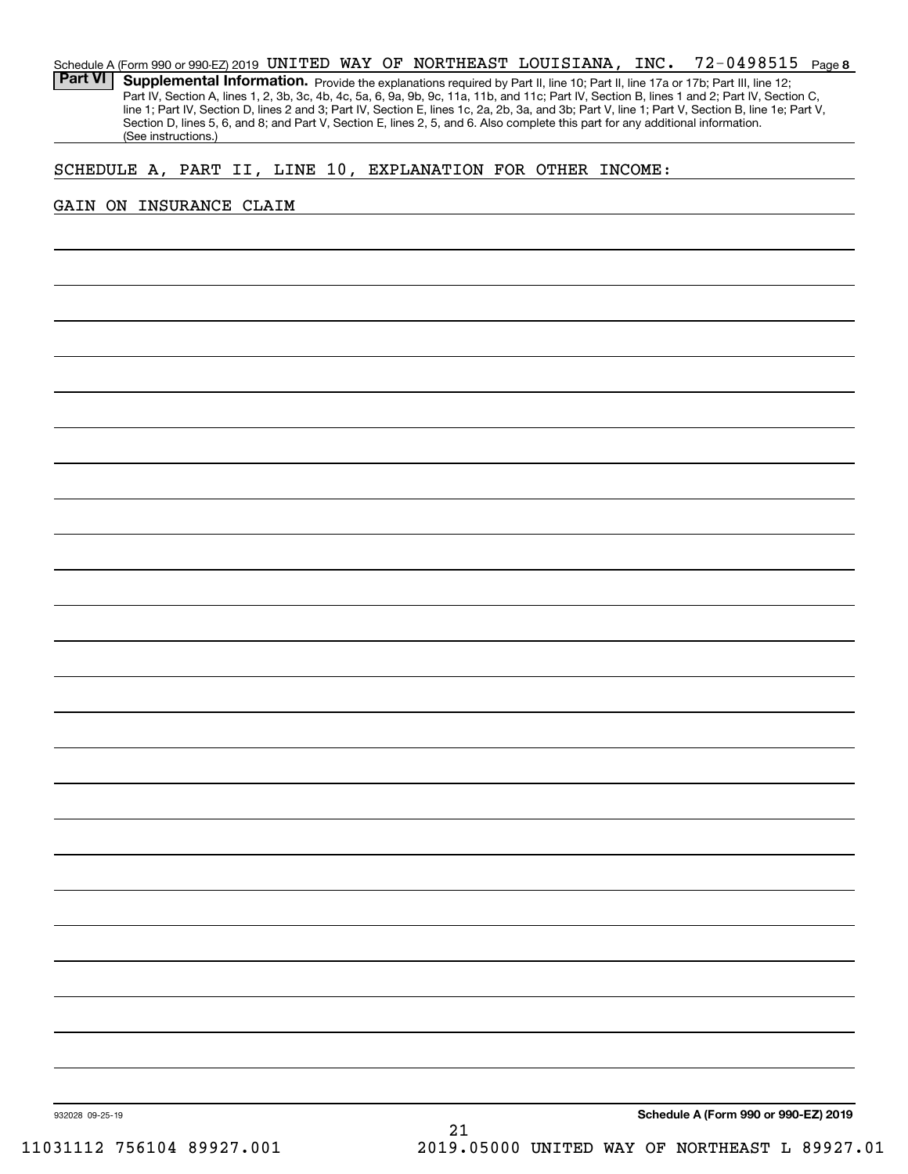### **8**72-0498515 Schedule A (Form 990 or 990-EZ) 2019 <code>UNITED WAY OF NORTHEAST LOUISIANA, INC.  $72$ –0498515  $\,$  Page  $\,$ </code> Part VI | Supplemental Information. Provide the explanations required by Part II, line 10; Part II, line 17a or 17b; Part III, line 12; Part IV, Section A, lines 1, 2, 3b, 3c, 4b, 4c, 5a, 6, 9a, 9b, 9c, 11a, 11b, and 11c; Part IV, Section B, lines 1 and 2; Part IV, Section C, line 1; Part IV, Section D, lines 2 and 3; Part IV, Section E, lines 1c, 2a, 2b, 3a, and 3b; Part V, line 1; Part V, Section B, line 1e; Part V, Section D, lines 5, 6, and 8; and Part V, Section E, lines 2, 5, and 6. Also complete this part for any additional information. (See instructions.)

# SCHEDULE A, PART II, LINE 10, EXPLANATION FOR OTHER INCOME:

# GAIN ON INSURANCE CLAIM

**Schedule A (Form 990 or 990-EZ) 2019**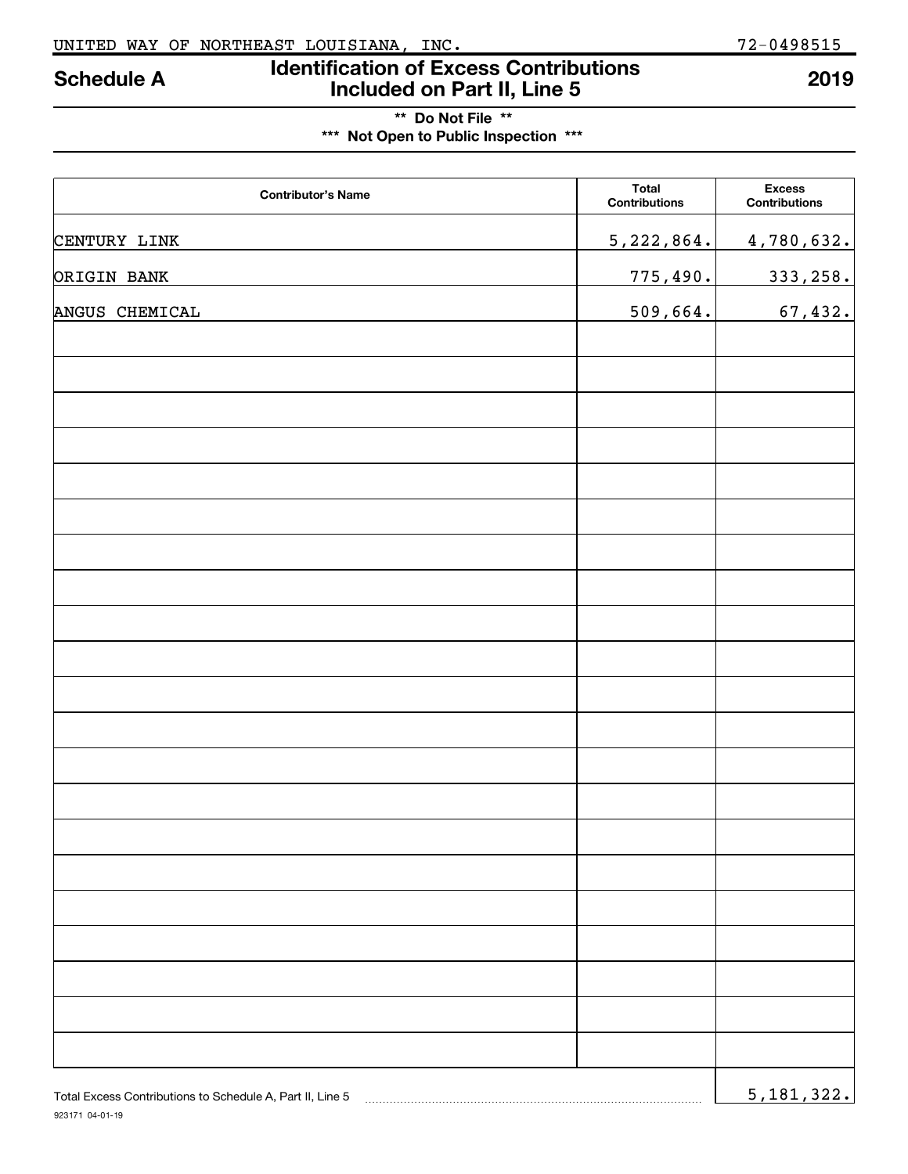# **Identification of Excess Contributions Included on Part II, Line 5 Schedule A 2019**

# **\*\* Do Not File \*\* \*\*\* Not Open to Public Inspection \*\*\***

| <b>Contributor's Name</b>                                 | <b>Total</b><br>Contributions | <b>Excess</b><br>Contributions |
|-----------------------------------------------------------|-------------------------------|--------------------------------|
| CENTURY LINK                                              | 5, 222, 864.                  | 4,780,632.                     |
| ORIGIN BANK                                               | 775,490.                      | 333, 258.                      |
| ANGUS CHEMICAL                                            | 509,664.                      | 67,432.                        |
|                                                           |                               |                                |
|                                                           |                               |                                |
|                                                           |                               |                                |
|                                                           |                               |                                |
|                                                           |                               |                                |
|                                                           |                               |                                |
|                                                           |                               |                                |
|                                                           |                               |                                |
|                                                           |                               |                                |
|                                                           |                               |                                |
|                                                           |                               |                                |
|                                                           |                               |                                |
|                                                           |                               |                                |
|                                                           |                               |                                |
|                                                           |                               |                                |
|                                                           |                               |                                |
|                                                           |                               |                                |
|                                                           |                               |                                |
|                                                           |                               |                                |
|                                                           |                               |                                |
| Total Excess Contributions to Schedule A, Part II, Line 5 |                               | 5,181,322.                     |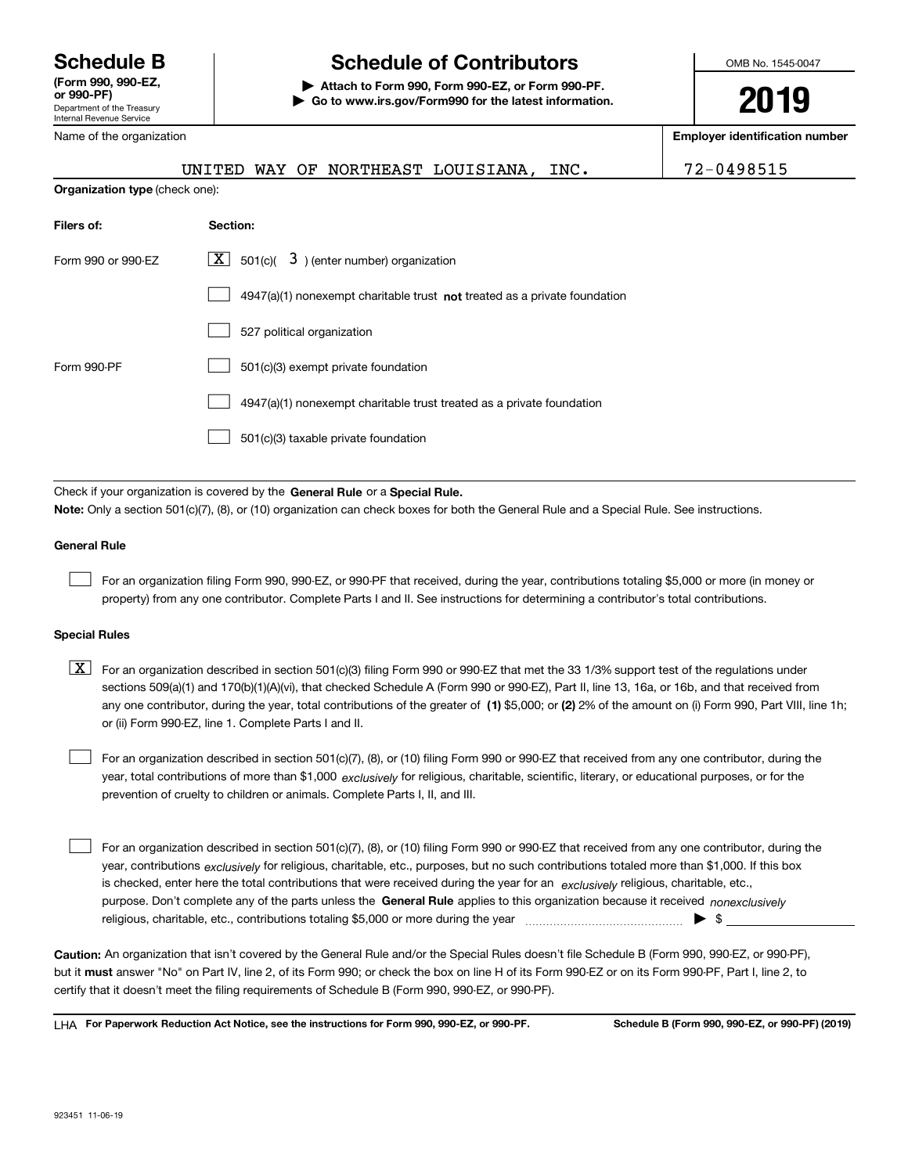Department of the Treasury Internal Revenue Service **(Form 990, 990-EZ, or 990-PF)** Name of the organization

# **Schedule B Schedule of Contributors**

**| Attach to Form 990, Form 990-EZ, or Form 990-PF. | Go to www.irs.gov/Form990 for the latest information.** OMB No. 1545-0047

**2019**

**Employer identification number**

|                    | UNITED WAY OF NORTHEAST LOUISIANA, INC.                                   | 72-0498515 |  |  |  |  |  |
|--------------------|---------------------------------------------------------------------------|------------|--|--|--|--|--|
|                    | <b>Organization type (check one):</b>                                     |            |  |  |  |  |  |
| Filers of:         | Section:                                                                  |            |  |  |  |  |  |
| Form 990 or 990-EZ | 501(c)( $3$ ) (enter number) organization<br>X                            |            |  |  |  |  |  |
|                    | 4947(a)(1) nonexempt charitable trust not treated as a private foundation |            |  |  |  |  |  |
|                    | 527 political organization                                                |            |  |  |  |  |  |
| Form 990-PF        | 501(c)(3) exempt private foundation                                       |            |  |  |  |  |  |
|                    | 4947(a)(1) nonexempt charitable trust treated as a private foundation     |            |  |  |  |  |  |
|                    | 501(c)(3) taxable private foundation                                      |            |  |  |  |  |  |
|                    |                                                                           |            |  |  |  |  |  |

Check if your organization is covered by the **General Rule** or a **Special Rule. Note:**  Only a section 501(c)(7), (8), or (10) organization can check boxes for both the General Rule and a Special Rule. See instructions.

# **General Rule**

 $\mathcal{L}^{\text{max}}$ 

For an organization filing Form 990, 990-EZ, or 990-PF that received, during the year, contributions totaling \$5,000 or more (in money or property) from any one contributor. Complete Parts I and II. See instructions for determining a contributor's total contributions.

## **Special Rules**

any one contributor, during the year, total contributions of the greater of  $\,$  (1) \$5,000; or **(2)** 2% of the amount on (i) Form 990, Part VIII, line 1h;  $\boxed{\textbf{X}}$  For an organization described in section 501(c)(3) filing Form 990 or 990-EZ that met the 33 1/3% support test of the regulations under sections 509(a)(1) and 170(b)(1)(A)(vi), that checked Schedule A (Form 990 or 990-EZ), Part II, line 13, 16a, or 16b, and that received from or (ii) Form 990-EZ, line 1. Complete Parts I and II.

year, total contributions of more than \$1,000 *exclusively* for religious, charitable, scientific, literary, or educational purposes, or for the For an organization described in section 501(c)(7), (8), or (10) filing Form 990 or 990-EZ that received from any one contributor, during the prevention of cruelty to children or animals. Complete Parts I, II, and III.  $\mathcal{L}^{\text{max}}$ 

purpose. Don't complete any of the parts unless the **General Rule** applies to this organization because it received *nonexclusively* year, contributions <sub>exclusively</sub> for religious, charitable, etc., purposes, but no such contributions totaled more than \$1,000. If this box is checked, enter here the total contributions that were received during the year for an  $\;$ exclusively religious, charitable, etc., For an organization described in section 501(c)(7), (8), or (10) filing Form 990 or 990-EZ that received from any one contributor, during the religious, charitable, etc., contributions totaling \$5,000 or more during the year  $\Box$ — $\Box$   $\Box$  $\mathcal{L}^{\text{max}}$ 

**Caution:**  An organization that isn't covered by the General Rule and/or the Special Rules doesn't file Schedule B (Form 990, 990-EZ, or 990-PF),  **must** but it answer "No" on Part IV, line 2, of its Form 990; or check the box on line H of its Form 990-EZ or on its Form 990-PF, Part I, line 2, to certify that it doesn't meet the filing requirements of Schedule B (Form 990, 990-EZ, or 990-PF).

**For Paperwork Reduction Act Notice, see the instructions for Form 990, 990-EZ, or 990-PF. Schedule B (Form 990, 990-EZ, or 990-PF) (2019)** LHA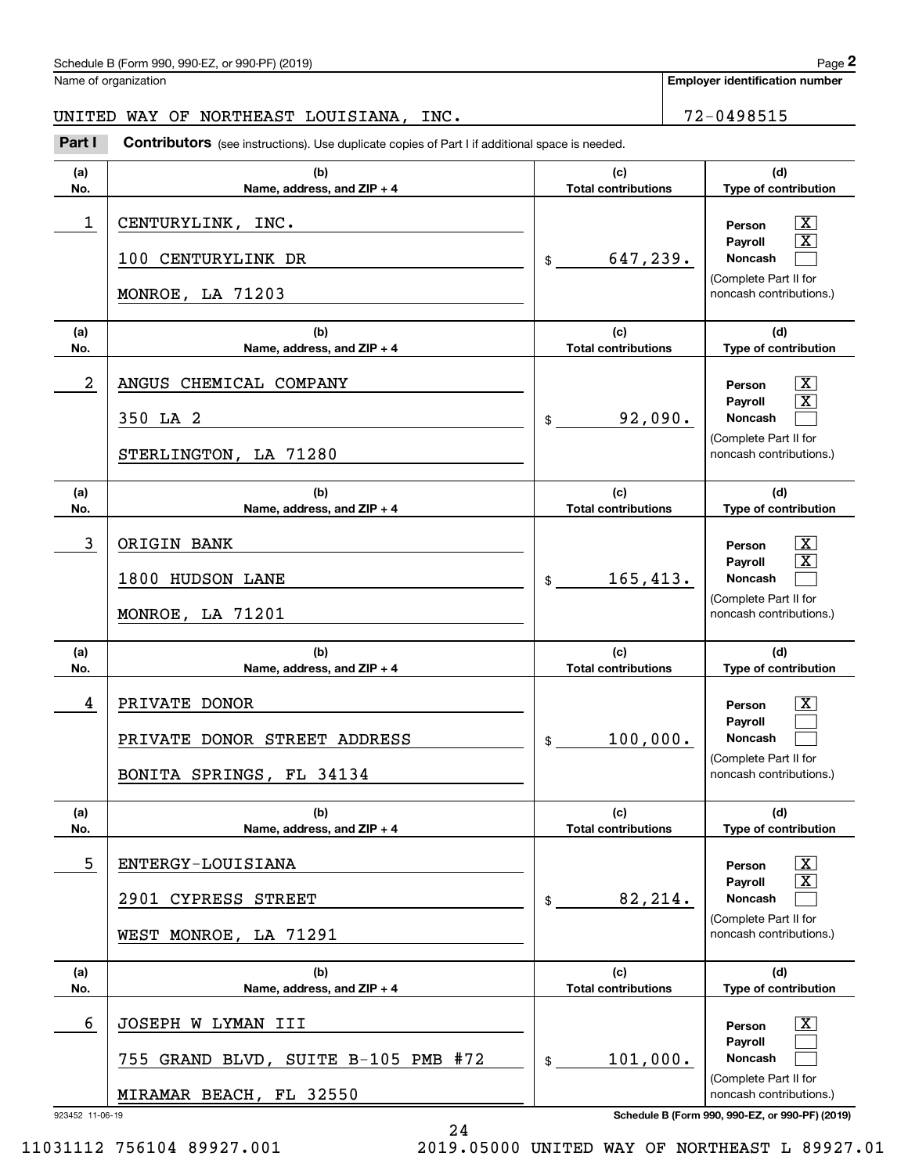# Schedule B (Form 990, 990-EZ, or 990-PF) (2019)  $P_0 = 2$

Name of organization

**Employer identification number**

UNITED WAY OF NORTHEAST LOUISIANA, INC.  $\vert$  72-0498515

923452 11-06-19 **Schedule B (Form 990, 990-EZ, or 990-PF) (2019) (a)No.(b)Name, address, and ZIP + 4 (c)Total contributions (d)Type of contribution PersonPayrollNoncash (a)No.(b)Name, address, and ZIP + 4 (c)Total contributions (d)Type of contribution PersonPayrollNoncash (a)No.(b)Name, address, and ZIP + 4 (c)Total contributions (d)Type of contribution PersonPayrollNoncash (a) No.(b)Name, address, and ZIP + 4 (c) Total contributions (d)Type of contribution PersonPayrollNoncash(a) No.(b)Name, address, and ZIP + 4 (c)Total contributions (d)Type of contribution PersonPayrollNoncash (a)No.(b)Name, address, and ZIP + 4 (c)Total contributions (d)Type of contribution PersonPayrollNoncash Contributors** (see instructions). Use duplicate copies of Part I if additional space is needed. \$(Complete Part II for noncash contributions.) \$(Complete Part II for noncash contributions.) \$(Complete Part II for noncash contributions.) \$(Complete Part II for noncash contributions.) \$(Complete Part II for noncash contributions.) \$(Complete Part II for noncash contributions.) Chedule B (Form 990, 990-EZ, or 990-PF) (2019)<br>Iame of organization<br>**2Part I 2Part I Contributors** (see instructions). Use duplicate copies of Part I if additional space is needed.  $|X|$  X  $\mathcal{L}^{\text{max}}$  $\boxed{\text{X}}$  X  $\mathcal{L}^{\text{max}}$  $\lceil \text{X} \rceil$  X  $\mathcal{L}^{\text{max}}$  $|X|$  $\mathcal{L}^{\text{max}}$  $\mathcal{L}^{\text{max}}$  $|X|$  X  $\mathcal{L}^{\text{max}}$  $\boxed{\text{X}}$  $\mathcal{L}^{\text{max}}$  $\mathcal{L}^{\text{max}}$ 1 X CENTURYLINK, INC. 647,239. 100 CENTURYLINK DR MONROE, LA 71203 2 X ANGUS CHEMICAL COMPANY 92,090. 350 LA 2 STERLINGTON, LA 71280 3 X ORIGIN BANK 165,413. 1800 HUDSON LANE MONROE, LA 71201 4 PRIVATE DONOR NATURAL RESERVE TO A SERVE THE SERVE TO A SERVE THE SERVE TO A SERVE THE SERVE TO A SERVE THE SERVE THE SERVE THE SERVE THAT A SERVE THE SERVE THE SERVE THAT A SERVE THE SERVE THE SERVE THAT A SERVE THE SER 100,000. PRIVATE DONOR STREET ADDRESS BONITA SPRINGS, FL 34134 5 X ENTERGY-LOUISIANA 82,214. 2901 CYPRESS STREET WEST MONROE, LA 71291 6 X JOSEPH W LYMAN III 101,000. 755 GRAND BLVD, SUITE B-105 PMB #72 MIRAMAR BEACH, FL 32550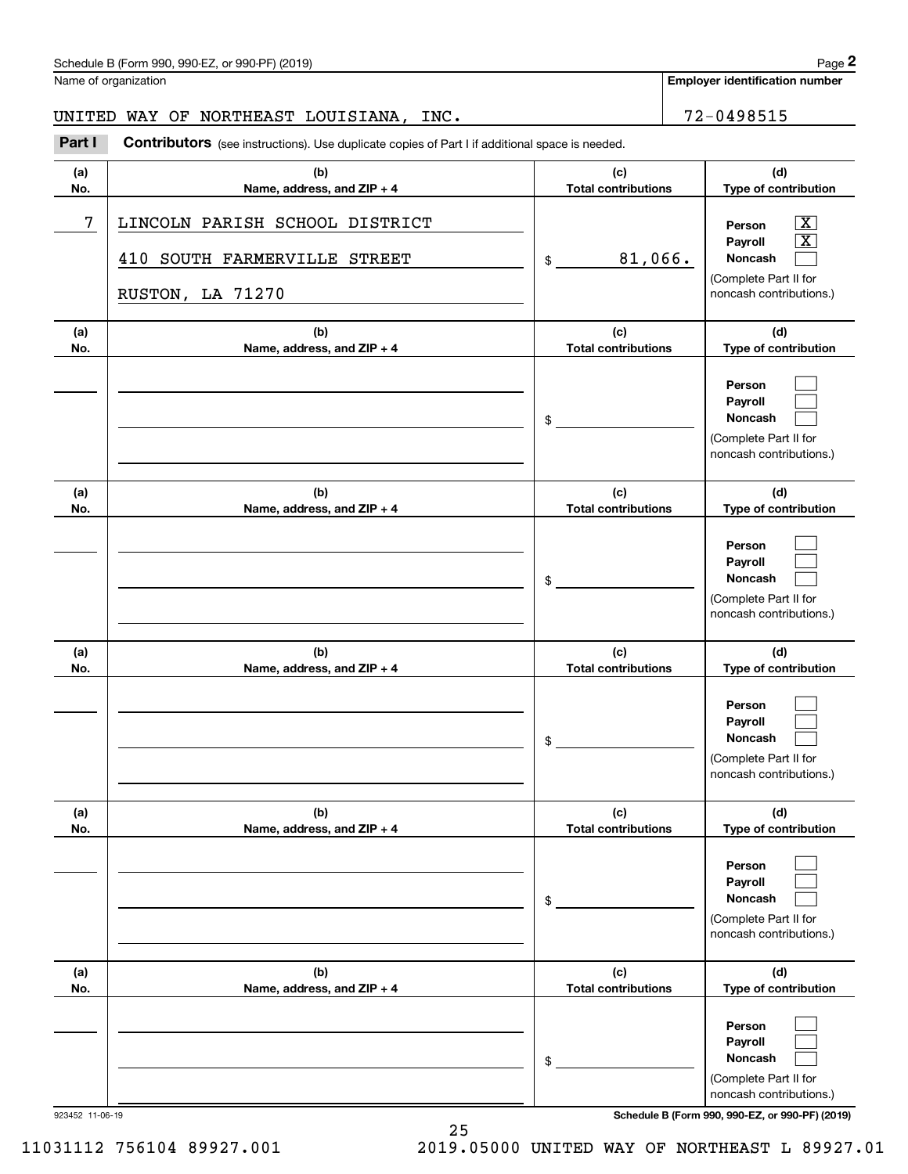**Employer identification number**

# UNITED WAY OF NORTHEAST LOUISIANA, INC.  $\vert$  72-0498515

**(a)No.(b)Name, address, and ZIP + 4 (c)Total contributions (d)Type of contribution PersonPayrollNoncash (a)No.(b)Name, address, and ZIP + 4 (c)Total contributions (d)Type of contribution PersonPayrollNoncash (a)No.(b)Name, address, and ZIP + 4 (c)Total contributions (d)Type of contribution PersonPayrollNoncash (a) No.(b)Name, address, and ZIP + 4 (c) Total contributions (d) Type of contribution PersonPayrollNoncash (a) No.(b)Name, address, and ZIP + 4 (c) Total contributions (d) Type of contribution PersonPayrollNoncash(a) No.(b)Name, address, and ZIP + 4 (c) Total contributions (d)Type of contribution PersonPayrollNoncash Contributors** (see instructions). Use duplicate copies of Part I if additional space is needed. \$(Complete Part II for noncash contributions.) \$(Complete Part II for noncash contributions.) \$(Complete Part II for noncash contributions.) \$(Complete Part II for noncash contributions.) \$(Complete Part II for noncash contributions.) \$(Complete Part II for Chedule B (Form 990, 990-EZ, or 990-PF) (2019)<br>Iame of organization<br>**2Part I 2Part I Contributors** (see instructions). Use duplicate copies of Part I if additional space is needed.  $|X|$  X  $\mathcal{L}^{\text{max}}$  $\mathcal{L}^{\text{max}}$  $\mathcal{L}^{\text{max}}$  $\mathcal{L}^{\text{max}}$  $\mathcal{L}^{\text{max}}$  $\mathcal{L}^{\text{max}}$  $\mathcal{L}^{\text{max}}$  $\mathcal{L}^{\text{max}}$  $\mathcal{L}^{\text{max}}$  $\mathcal{L}^{\text{max}}$  $\mathcal{L}^{\text{max}}$  $\mathcal{L}^{\text{max}}$  $\mathcal{L}^{\text{max}}$  $\mathcal{L}^{\text{max}}$  $\mathcal{L}^{\text{max}}$  $\mathcal{L}^{\text{max}}$ 7 X LINCOLN PARISH SCHOOL DISTRICT 81,066. 410 SOUTH FARMERVILLE STREET RUSTON, LA 71270

923452 11-06-19 **Schedule B (Form 990, 990-EZ, or 990-PF) (2019)**

noncash contributions.)

11031112 756104 89927.001 2019.05000 UNITED WAY OF NORTHEAST L 89927.01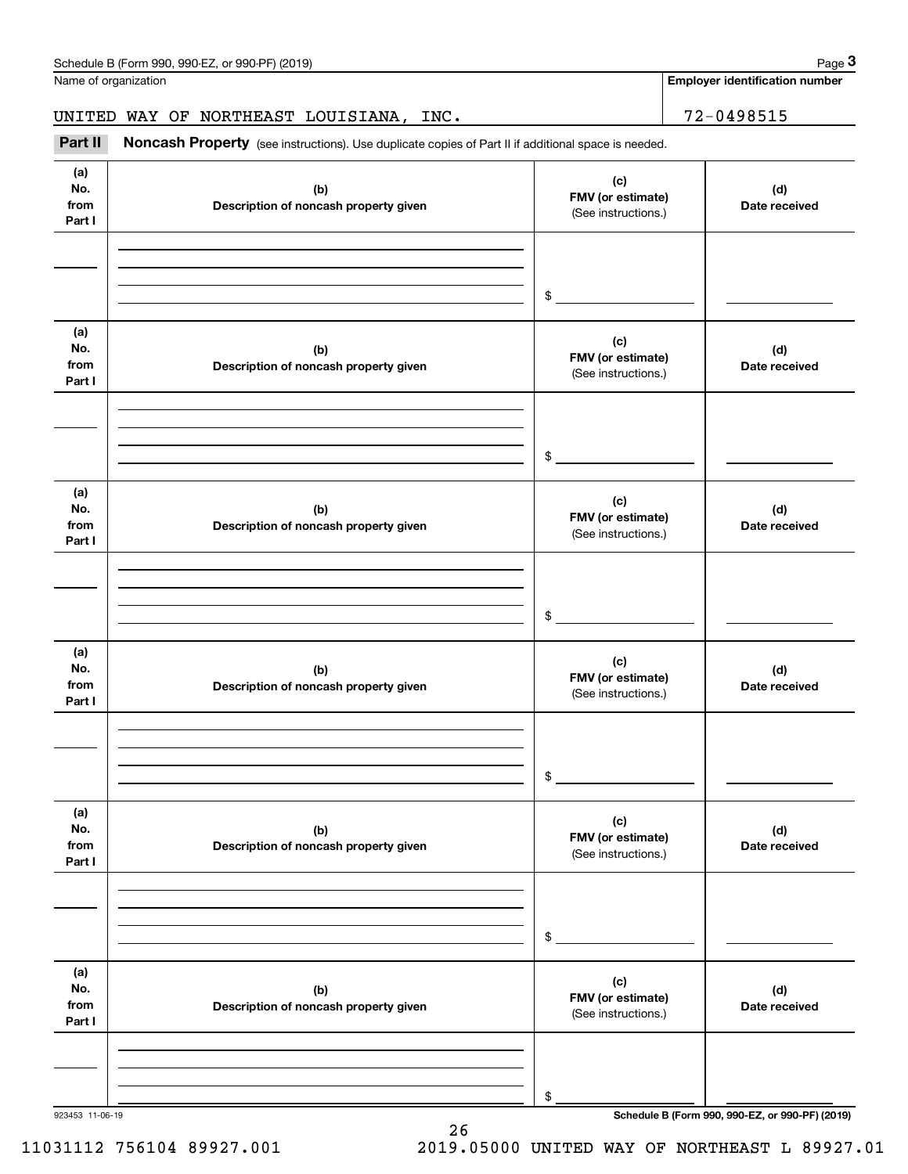| Schedule B (Form 990, 990-EZ, or 990-PF) (2019) | Page |
|-------------------------------------------------|------|
|-------------------------------------------------|------|

| Name of organization<br>72-0498515<br>UNITED WAY OF NORTHEAST LOUISIANA, INC.<br>Part II<br>Noncash Property (see instructions). Use duplicate copies of Part II if additional space is needed.<br>(a)<br>(c)<br>No.<br>(b)<br>(d)<br>FMV (or estimate)<br>from<br>Description of noncash property given<br>(See instructions.)<br>Part I<br>\$<br>(a)<br>(c)<br>No.<br>(b)<br>(d)<br>FMV (or estimate)<br>from<br>Description of noncash property given<br>(See instructions.)<br>Part I<br>\$<br>(a)<br>(c)<br>No.<br>(b)<br>(d)<br>FMV (or estimate)<br>from<br>Description of noncash property given<br>(See instructions.)<br>Part I<br>\$<br>(a)<br>(c)<br>No.<br>(b)<br>(d)<br>FMV (or estimate)<br>from<br>Description of noncash property given<br>(See instructions.)<br>Part I<br>\$<br>(a)<br>(c)<br>No.<br>(d)<br>(b)<br>FMV (or estimate)<br>from<br>Description of noncash property given<br>(See instructions.)<br>Part I<br>\$<br>(a)<br>(c)<br>No.<br>(d)<br>(b)<br>FMV (or estimate)<br>from<br>Description of noncash property given<br>(See instructions.)<br>Part I | Schedule B (Form 990, 990-EZ, or 990-PF) (2019) | Page 3                                |
|-------------------------------------------------------------------------------------------------------------------------------------------------------------------------------------------------------------------------------------------------------------------------------------------------------------------------------------------------------------------------------------------------------------------------------------------------------------------------------------------------------------------------------------------------------------------------------------------------------------------------------------------------------------------------------------------------------------------------------------------------------------------------------------------------------------------------------------------------------------------------------------------------------------------------------------------------------------------------------------------------------------------------------------------------------------------------------------------|-------------------------------------------------|---------------------------------------|
|                                                                                                                                                                                                                                                                                                                                                                                                                                                                                                                                                                                                                                                                                                                                                                                                                                                                                                                                                                                                                                                                                           |                                                 | <b>Employer identification number</b> |
|                                                                                                                                                                                                                                                                                                                                                                                                                                                                                                                                                                                                                                                                                                                                                                                                                                                                                                                                                                                                                                                                                           |                                                 |                                       |
|                                                                                                                                                                                                                                                                                                                                                                                                                                                                                                                                                                                                                                                                                                                                                                                                                                                                                                                                                                                                                                                                                           |                                                 |                                       |
|                                                                                                                                                                                                                                                                                                                                                                                                                                                                                                                                                                                                                                                                                                                                                                                                                                                                                                                                                                                                                                                                                           |                                                 | Date received                         |
|                                                                                                                                                                                                                                                                                                                                                                                                                                                                                                                                                                                                                                                                                                                                                                                                                                                                                                                                                                                                                                                                                           |                                                 |                                       |
|                                                                                                                                                                                                                                                                                                                                                                                                                                                                                                                                                                                                                                                                                                                                                                                                                                                                                                                                                                                                                                                                                           |                                                 | Date received                         |
|                                                                                                                                                                                                                                                                                                                                                                                                                                                                                                                                                                                                                                                                                                                                                                                                                                                                                                                                                                                                                                                                                           |                                                 |                                       |
|                                                                                                                                                                                                                                                                                                                                                                                                                                                                                                                                                                                                                                                                                                                                                                                                                                                                                                                                                                                                                                                                                           |                                                 | Date received                         |
|                                                                                                                                                                                                                                                                                                                                                                                                                                                                                                                                                                                                                                                                                                                                                                                                                                                                                                                                                                                                                                                                                           |                                                 |                                       |
|                                                                                                                                                                                                                                                                                                                                                                                                                                                                                                                                                                                                                                                                                                                                                                                                                                                                                                                                                                                                                                                                                           |                                                 | Date received                         |
|                                                                                                                                                                                                                                                                                                                                                                                                                                                                                                                                                                                                                                                                                                                                                                                                                                                                                                                                                                                                                                                                                           |                                                 |                                       |
|                                                                                                                                                                                                                                                                                                                                                                                                                                                                                                                                                                                                                                                                                                                                                                                                                                                                                                                                                                                                                                                                                           |                                                 | Date received                         |
|                                                                                                                                                                                                                                                                                                                                                                                                                                                                                                                                                                                                                                                                                                                                                                                                                                                                                                                                                                                                                                                                                           |                                                 |                                       |
|                                                                                                                                                                                                                                                                                                                                                                                                                                                                                                                                                                                                                                                                                                                                                                                                                                                                                                                                                                                                                                                                                           |                                                 | Date received                         |
| \$                                                                                                                                                                                                                                                                                                                                                                                                                                                                                                                                                                                                                                                                                                                                                                                                                                                                                                                                                                                                                                                                                        |                                                 |                                       |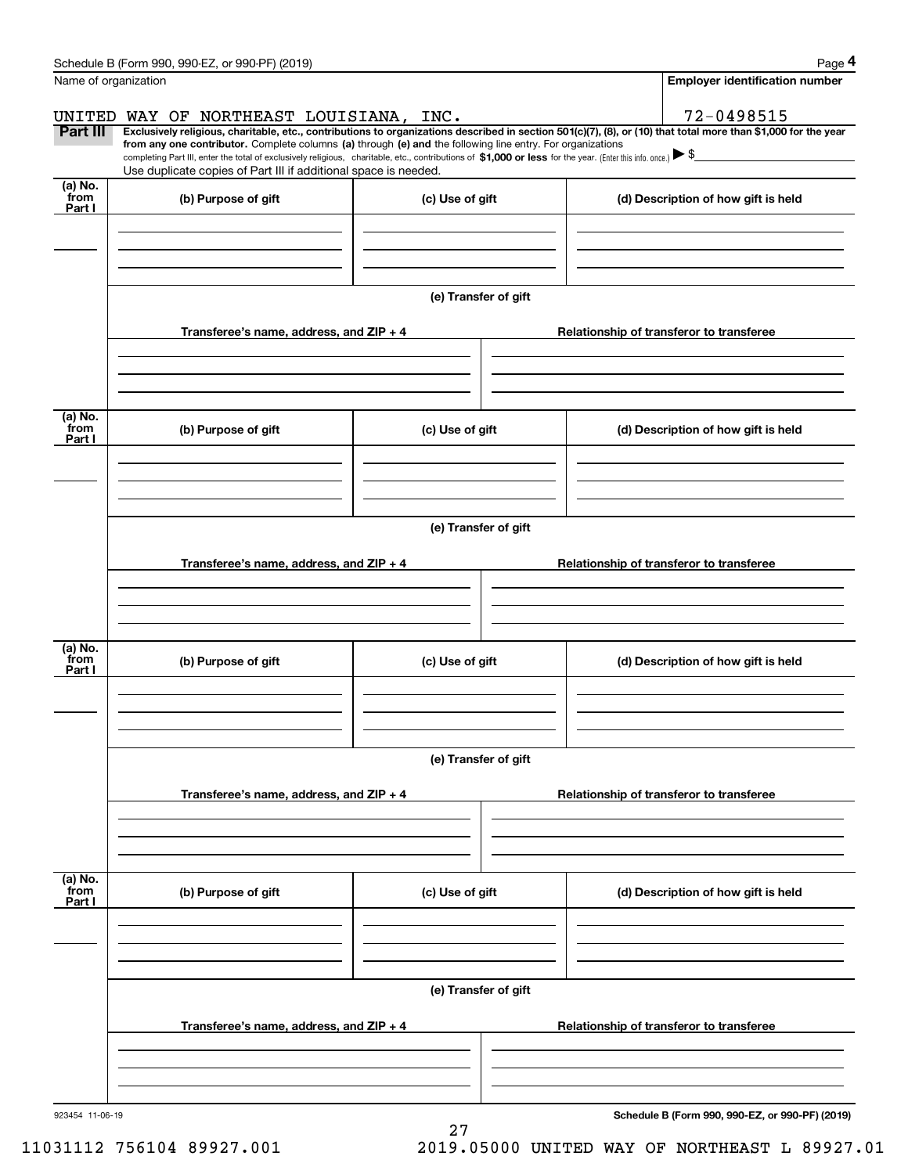|                      | Schedule B (Form 990, 990-EZ, or 990-PF) (2019)                                                                                                                                                                                                                              |                      |                                          | Page 4                                          |  |  |  |  |
|----------------------|------------------------------------------------------------------------------------------------------------------------------------------------------------------------------------------------------------------------------------------------------------------------------|----------------------|------------------------------------------|-------------------------------------------------|--|--|--|--|
| Name of organization |                                                                                                                                                                                                                                                                              |                      |                                          | <b>Employer identification number</b>           |  |  |  |  |
|                      | UNITED WAY OF NORTHEAST LOUISIANA, INC.                                                                                                                                                                                                                                      |                      |                                          | 72-0498515                                      |  |  |  |  |
| Part III             | Exclusively religious, charitable, etc., contributions to organizations described in section 501(c)(7), (8), or (10) that total more than \$1,000 for the year<br>from any one contributor. Complete columns (a) through (e) and the following line entry. For organizations |                      |                                          |                                                 |  |  |  |  |
|                      | completing Part III, enter the total of exclusively religious, charitable, etc., contributions of \$1,000 or less for the year. (Enter this info. once.) $\blacktriangleright$ \$<br>Use duplicate copies of Part III if additional space is needed.                         |                      |                                          |                                                 |  |  |  |  |
| $(a)$ No.<br>from    | (b) Purpose of gift                                                                                                                                                                                                                                                          | (c) Use of gift      |                                          | (d) Description of how gift is held             |  |  |  |  |
| Part I               |                                                                                                                                                                                                                                                                              |                      |                                          |                                                 |  |  |  |  |
|                      |                                                                                                                                                                                                                                                                              |                      |                                          |                                                 |  |  |  |  |
|                      |                                                                                                                                                                                                                                                                              |                      |                                          |                                                 |  |  |  |  |
|                      |                                                                                                                                                                                                                                                                              | (e) Transfer of gift |                                          |                                                 |  |  |  |  |
|                      |                                                                                                                                                                                                                                                                              |                      |                                          |                                                 |  |  |  |  |
|                      | Transferee's name, address, and ZIP + 4                                                                                                                                                                                                                                      |                      | Relationship of transferor to transferee |                                                 |  |  |  |  |
|                      |                                                                                                                                                                                                                                                                              |                      |                                          |                                                 |  |  |  |  |
|                      |                                                                                                                                                                                                                                                                              |                      |                                          |                                                 |  |  |  |  |
| (a) No.<br>from      | (b) Purpose of gift                                                                                                                                                                                                                                                          | (c) Use of gift      |                                          | (d) Description of how gift is held             |  |  |  |  |
| Part I               |                                                                                                                                                                                                                                                                              |                      |                                          |                                                 |  |  |  |  |
|                      |                                                                                                                                                                                                                                                                              |                      |                                          |                                                 |  |  |  |  |
|                      |                                                                                                                                                                                                                                                                              |                      |                                          |                                                 |  |  |  |  |
|                      | (e) Transfer of gift                                                                                                                                                                                                                                                         |                      |                                          |                                                 |  |  |  |  |
|                      |                                                                                                                                                                                                                                                                              |                      | Relationship of transferor to transferee |                                                 |  |  |  |  |
|                      | Transferee's name, address, and ZIP + 4                                                                                                                                                                                                                                      |                      |                                          |                                                 |  |  |  |  |
|                      |                                                                                                                                                                                                                                                                              |                      |                                          |                                                 |  |  |  |  |
|                      |                                                                                                                                                                                                                                                                              |                      |                                          |                                                 |  |  |  |  |
| (a) No.<br>from      | (b) Purpose of gift                                                                                                                                                                                                                                                          | (c) Use of gift      |                                          | (d) Description of how gift is held             |  |  |  |  |
| Part I               |                                                                                                                                                                                                                                                                              |                      |                                          |                                                 |  |  |  |  |
|                      |                                                                                                                                                                                                                                                                              |                      |                                          |                                                 |  |  |  |  |
|                      |                                                                                                                                                                                                                                                                              |                      |                                          |                                                 |  |  |  |  |
|                      |                                                                                                                                                                                                                                                                              | (e) Transfer of gift |                                          |                                                 |  |  |  |  |
|                      | Transferee's name, address, and $ZIP + 4$                                                                                                                                                                                                                                    |                      |                                          | Relationship of transferor to transferee        |  |  |  |  |
|                      |                                                                                                                                                                                                                                                                              |                      |                                          |                                                 |  |  |  |  |
|                      |                                                                                                                                                                                                                                                                              |                      |                                          |                                                 |  |  |  |  |
|                      |                                                                                                                                                                                                                                                                              |                      |                                          |                                                 |  |  |  |  |
| (a) No.<br>from      | (b) Purpose of gift                                                                                                                                                                                                                                                          | (c) Use of gift      |                                          | (d) Description of how gift is held             |  |  |  |  |
| Part I               |                                                                                                                                                                                                                                                                              |                      |                                          |                                                 |  |  |  |  |
|                      |                                                                                                                                                                                                                                                                              |                      |                                          |                                                 |  |  |  |  |
|                      |                                                                                                                                                                                                                                                                              |                      |                                          |                                                 |  |  |  |  |
|                      | (e) Transfer of gift                                                                                                                                                                                                                                                         |                      |                                          |                                                 |  |  |  |  |
|                      | Transferee's name, address, and ZIP + 4                                                                                                                                                                                                                                      |                      |                                          | Relationship of transferor to transferee        |  |  |  |  |
|                      |                                                                                                                                                                                                                                                                              |                      |                                          |                                                 |  |  |  |  |
|                      |                                                                                                                                                                                                                                                                              |                      |                                          |                                                 |  |  |  |  |
|                      |                                                                                                                                                                                                                                                                              |                      |                                          |                                                 |  |  |  |  |
| 923454 11-06-19      |                                                                                                                                                                                                                                                                              |                      |                                          | Schedule B (Form 990, 990-EZ, or 990-PF) (2019) |  |  |  |  |
|                      |                                                                                                                                                                                                                                                                              | 27                   |                                          |                                                 |  |  |  |  |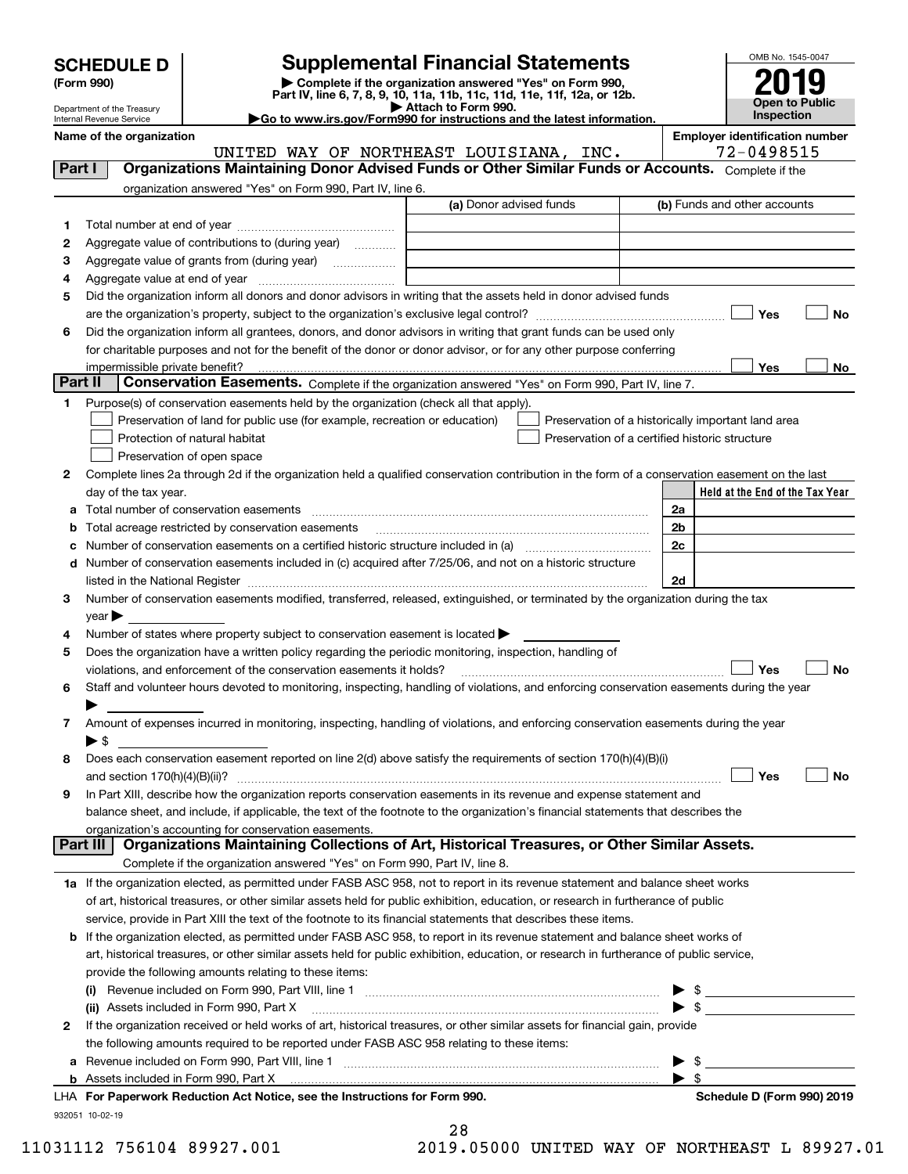| <b>SCHEDULE D</b> |  |
|-------------------|--|
|-------------------|--|

# **Supplemental Financial Statements**

(Form 990)<br>
Pepartment of the Treasury<br>
Department of the Treasury<br>
Department of the Treasury<br>
Department of the Treasury<br> **Co to www.irs.gov/Form990 for instructions and the latest information.**<br> **Co to www.irs.gov/Form9** 



Department of the Treasury Internal Revenue Service

**Name of the organization Employer identification number** UNITED WAY OF NORTHEAST LOUISIANA, INC. | 72-0498515

| Part I  | Organizations Maintaining Donor Advised Funds or Other Similar Funds or Accounts. Complete if the                                                                                                                             |                         |                                                    |
|---------|-------------------------------------------------------------------------------------------------------------------------------------------------------------------------------------------------------------------------------|-------------------------|----------------------------------------------------|
|         | organization answered "Yes" on Form 990, Part IV, line 6.                                                                                                                                                                     |                         |                                                    |
|         |                                                                                                                                                                                                                               | (a) Donor advised funds | (b) Funds and other accounts                       |
| 1       |                                                                                                                                                                                                                               |                         |                                                    |
| 2       | Aggregate value of contributions to (during year)                                                                                                                                                                             |                         |                                                    |
| 3       | Aggregate value of grants from (during year)                                                                                                                                                                                  |                         |                                                    |
| 4       |                                                                                                                                                                                                                               |                         |                                                    |
| 5       | Did the organization inform all donors and donor advisors in writing that the assets held in donor advised funds                                                                                                              |                         |                                                    |
|         |                                                                                                                                                                                                                               |                         | Yes<br>No                                          |
| 6       | Did the organization inform all grantees, donors, and donor advisors in writing that grant funds can be used only                                                                                                             |                         |                                                    |
|         | for charitable purposes and not for the benefit of the donor or donor advisor, or for any other purpose conferring                                                                                                            |                         |                                                    |
|         | impermissible private benefit?                                                                                                                                                                                                |                         | Yes<br>No                                          |
| Part II | <b>Conservation Easements.</b> Complete if the organization answered "Yes" on Form 990, Part IV, line 7.                                                                                                                      |                         |                                                    |
| 1.      | Purpose(s) of conservation easements held by the organization (check all that apply).                                                                                                                                         |                         |                                                    |
|         | Preservation of land for public use (for example, recreation or education)                                                                                                                                                    |                         | Preservation of a historically important land area |
|         | Protection of natural habitat                                                                                                                                                                                                 |                         | Preservation of a certified historic structure     |
|         | Preservation of open space                                                                                                                                                                                                    |                         |                                                    |
| 2       | Complete lines 2a through 2d if the organization held a qualified conservation contribution in the form of a conservation easement on the last                                                                                |                         |                                                    |
|         | day of the tax year.                                                                                                                                                                                                          |                         | Held at the End of the Tax Year                    |
|         | a Total number of conservation easements                                                                                                                                                                                      |                         | 2a                                                 |
| b       | Total acreage restricted by conservation easements                                                                                                                                                                            |                         | 2b                                                 |
| с       |                                                                                                                                                                                                                               |                         | 2c                                                 |
|         | d Number of conservation easements included in (c) acquired after 7/25/06, and not on a historic structure                                                                                                                    |                         |                                                    |
|         | listed in the National Register [111] Marshall Register [11] Marshall Register [11] Marshall Register [11] Marshall Register [11] Marshall Register [11] Marshall Register [11] Marshall Register [11] Marshall Register [11] |                         | 2d                                                 |
| з       | Number of conservation easements modified, transferred, released, extinguished, or terminated by the organization during the tax                                                                                              |                         |                                                    |
|         | $year \triangleright$                                                                                                                                                                                                         |                         |                                                    |
| 4       | Number of states where property subject to conservation easement is located >                                                                                                                                                 |                         |                                                    |
| 5       | Does the organization have a written policy regarding the periodic monitoring, inspection, handling of                                                                                                                        |                         | Yes<br>No                                          |
| 6       | violations, and enforcement of the conservation easements it holds?<br>Staff and volunteer hours devoted to monitoring, inspecting, handling of violations, and enforcing conservation easements during the year              |                         |                                                    |
|         |                                                                                                                                                                                                                               |                         |                                                    |
| 7       | Amount of expenses incurred in monitoring, inspecting, handling of violations, and enforcing conservation easements during the year                                                                                           |                         |                                                    |
|         | ▶ \$                                                                                                                                                                                                                          |                         |                                                    |
| 8       | Does each conservation easement reported on line 2(d) above satisfy the requirements of section 170(h)(4)(B)(i)                                                                                                               |                         |                                                    |
|         | and section $170(h)(4)(B)(ii)?$                                                                                                                                                                                               |                         | Yes<br>No                                          |
| 9       | In Part XIII, describe how the organization reports conservation easements in its revenue and expense statement and                                                                                                           |                         |                                                    |
|         | balance sheet, and include, if applicable, the text of the footnote to the organization's financial statements that describes the                                                                                             |                         |                                                    |
|         | organization's accounting for conservation easements.                                                                                                                                                                         |                         |                                                    |
|         | Organizations Maintaining Collections of Art, Historical Treasures, or Other Similar Assets.<br>Part III                                                                                                                      |                         |                                                    |
|         | Complete if the organization answered "Yes" on Form 990, Part IV, line 8.                                                                                                                                                     |                         |                                                    |
|         | 1a If the organization elected, as permitted under FASB ASC 958, not to report in its revenue statement and balance sheet works                                                                                               |                         |                                                    |
|         | of art, historical treasures, or other similar assets held for public exhibition, education, or research in furtherance of public                                                                                             |                         |                                                    |
|         | service, provide in Part XIII the text of the footnote to its financial statements that describes these items.                                                                                                                |                         |                                                    |
|         | <b>b</b> If the organization elected, as permitted under FASB ASC 958, to report in its revenue statement and balance sheet works of                                                                                          |                         |                                                    |
|         | art, historical treasures, or other similar assets held for public exhibition, education, or research in furtherance of public service,                                                                                       |                         |                                                    |
|         | provide the following amounts relating to these items:                                                                                                                                                                        |                         |                                                    |
|         |                                                                                                                                                                                                                               |                         | \$                                                 |
|         |                                                                                                                                                                                                                               |                         | $\blacktriangleright$ s                            |
| 2       | If the organization received or held works of art, historical treasures, or other similar assets for financial gain, provide                                                                                                  |                         |                                                    |
|         | the following amounts required to be reported under FASB ASC 958 relating to these items:                                                                                                                                     |                         |                                                    |
|         | a Revenue included on Form 990, Part VIII, line 1 [2000] [2000] [2000] [2000] [2000] [2000] [2000] [2000] [2000                                                                                                               |                         | \$                                                 |
|         |                                                                                                                                                                                                                               |                         | $\blacktriangleright$ s                            |
|         | LHA For Paperwork Reduction Act Notice, see the Instructions for Form 990.                                                                                                                                                    |                         | Schedule D (Form 990) 2019                         |
|         | 932051 10-02-19                                                                                                                                                                                                               |                         |                                                    |

|  | י<br>D<br>A<br>× |  |
|--|------------------|--|
|  |                  |  |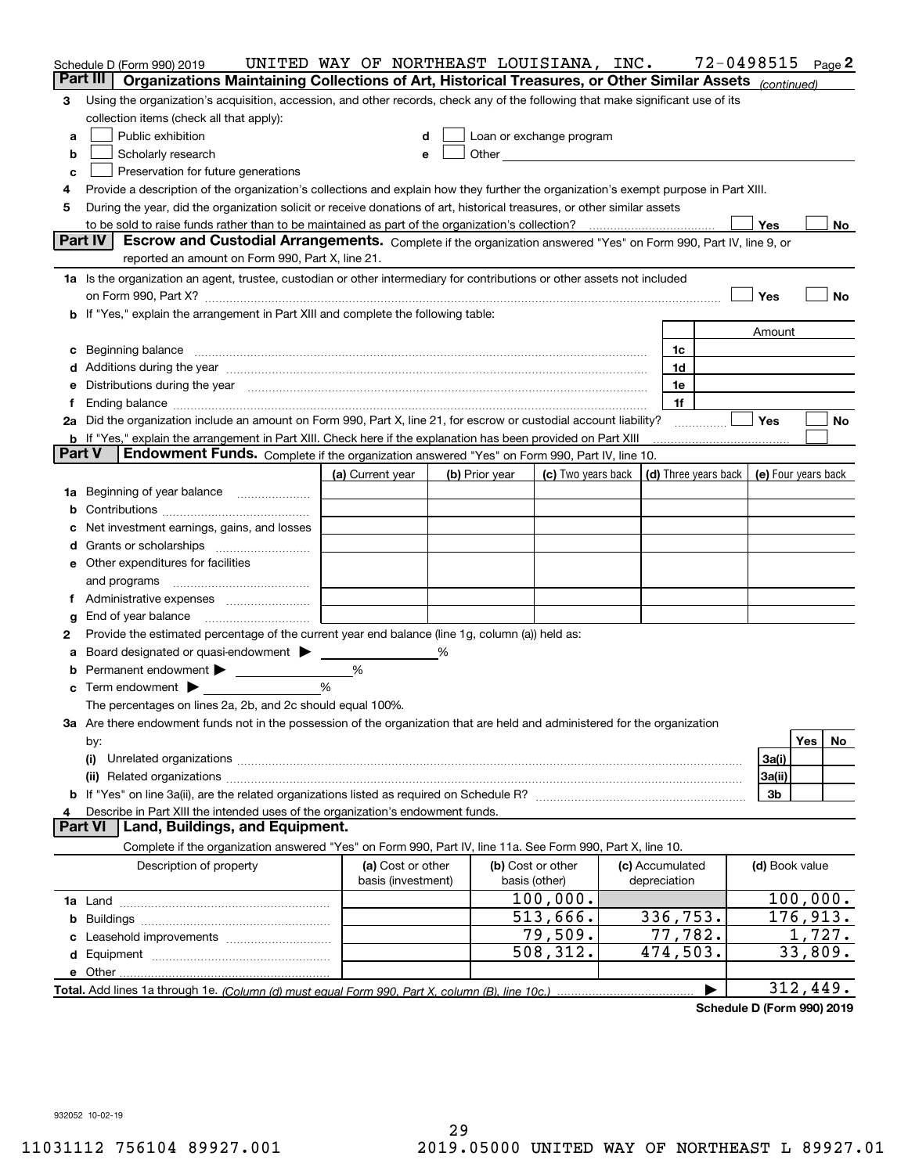|               | Schedule D (Form 990) 2019                                                                                                                                                                                                           | UNITED WAY OF NORTHEAST LOUISIANA, INC. |                |                                                                                                                                                                                                                               |                                 | 72-0498515          |         | Page 2 |
|---------------|--------------------------------------------------------------------------------------------------------------------------------------------------------------------------------------------------------------------------------------|-----------------------------------------|----------------|-------------------------------------------------------------------------------------------------------------------------------------------------------------------------------------------------------------------------------|---------------------------------|---------------------|---------|--------|
| Part III      | Organizations Maintaining Collections of Art, Historical Treasures, or Other Similar Assets (continued)                                                                                                                              |                                         |                |                                                                                                                                                                                                                               |                                 |                     |         |        |
| 3             | Using the organization's acquisition, accession, and other records, check any of the following that make significant use of its                                                                                                      |                                         |                |                                                                                                                                                                                                                               |                                 |                     |         |        |
|               | collection items (check all that apply):                                                                                                                                                                                             |                                         |                |                                                                                                                                                                                                                               |                                 |                     |         |        |
| a             | Public exhibition                                                                                                                                                                                                                    | d                                       |                | Loan or exchange program                                                                                                                                                                                                      |                                 |                     |         |        |
| b             | Scholarly research                                                                                                                                                                                                                   | е                                       |                | Other and the contract of the contract of the contract of the contract of the contract of the contract of the contract of the contract of the contract of the contract of the contract of the contract of the contract of the |                                 |                     |         |        |
| c             | Preservation for future generations                                                                                                                                                                                                  |                                         |                |                                                                                                                                                                                                                               |                                 |                     |         |        |
| 4             | Provide a description of the organization's collections and explain how they further the organization's exempt purpose in Part XIII.                                                                                                 |                                         |                |                                                                                                                                                                                                                               |                                 |                     |         |        |
| 5             | During the year, did the organization solicit or receive donations of art, historical treasures, or other similar assets                                                                                                             |                                         |                |                                                                                                                                                                                                                               |                                 |                     |         |        |
|               |                                                                                                                                                                                                                                      |                                         |                |                                                                                                                                                                                                                               |                                 | Yes                 |         | No     |
|               | Part IV<br>Escrow and Custodial Arrangements. Complete if the organization answered "Yes" on Form 990, Part IV, line 9, or<br>reported an amount on Form 990, Part X, line 21.                                                       |                                         |                |                                                                                                                                                                                                                               |                                 |                     |         |        |
|               | 1a Is the organization an agent, trustee, custodian or other intermediary for contributions or other assets not included                                                                                                             |                                         |                |                                                                                                                                                                                                                               |                                 |                     |         |        |
|               |                                                                                                                                                                                                                                      |                                         |                |                                                                                                                                                                                                                               |                                 | Yes                 |         | No     |
| b             | If "Yes," explain the arrangement in Part XIII and complete the following table:                                                                                                                                                     |                                         |                |                                                                                                                                                                                                                               |                                 |                     |         |        |
|               |                                                                                                                                                                                                                                      |                                         |                |                                                                                                                                                                                                                               |                                 | Amount              |         |        |
| c             | Beginning balance <b>contract the contract of the contract of the contract of the contract of the contract of the contract of the contract of the contract of the contract of the contract of the contract of the contract of th</b> |                                         |                |                                                                                                                                                                                                                               | 1c                              |                     |         |        |
|               | Additions during the year manufactured and an annual contract of the year manufactured and all the year manufactured and all the year manufactured and all the year manufactured and all the year manufactured and all the yea       |                                         |                |                                                                                                                                                                                                                               | 1d                              |                     |         |        |
|               | Distributions during the year manufactured and continuum control of the year manufactured and the year manufactured and the year manufactured and the year manufactured and the year manufactured and the year manufactured an       |                                         |                |                                                                                                                                                                                                                               | 1e                              |                     |         |        |
| f             |                                                                                                                                                                                                                                      |                                         |                |                                                                                                                                                                                                                               | 1f                              |                     |         |        |
|               | 2a Did the organization include an amount on Form 990, Part X, line 21, for escrow or custodial account liability?                                                                                                                   |                                         |                |                                                                                                                                                                                                                               |                                 | Yes                 |         | No     |
|               | <b>b</b> If "Yes," explain the arrangement in Part XIII. Check here if the explanation has been provided on Part XIII                                                                                                                |                                         |                |                                                                                                                                                                                                                               |                                 |                     |         |        |
| <b>Part V</b> | Endowment Funds. Complete if the organization answered "Yes" on Form 990, Part IV, line 10.                                                                                                                                          |                                         |                |                                                                                                                                                                                                                               |                                 |                     |         |        |
|               |                                                                                                                                                                                                                                      | (a) Current year                        | (b) Prior year | (c) Two years back $\vert$ (d) Three years back $\vert$                                                                                                                                                                       |                                 | (e) Four years back |         |        |
| 1a            | Beginning of year balance                                                                                                                                                                                                            |                                         |                |                                                                                                                                                                                                                               |                                 |                     |         |        |
| b             |                                                                                                                                                                                                                                      |                                         |                |                                                                                                                                                                                                                               |                                 |                     |         |        |
|               | Net investment earnings, gains, and losses                                                                                                                                                                                           |                                         |                |                                                                                                                                                                                                                               |                                 |                     |         |        |
| d             |                                                                                                                                                                                                                                      |                                         |                |                                                                                                                                                                                                                               |                                 |                     |         |        |
|               | <b>e</b> Other expenditures for facilities                                                                                                                                                                                           |                                         |                |                                                                                                                                                                                                                               |                                 |                     |         |        |
|               | and programs                                                                                                                                                                                                                         |                                         |                |                                                                                                                                                                                                                               |                                 |                     |         |        |
| 1.            |                                                                                                                                                                                                                                      |                                         |                |                                                                                                                                                                                                                               |                                 |                     |         |        |
| g             | End of year balance                                                                                                                                                                                                                  |                                         |                |                                                                                                                                                                                                                               |                                 |                     |         |        |
| 2             | Provide the estimated percentage of the current year end balance (line 1g, column (a)) held as:                                                                                                                                      |                                         |                |                                                                                                                                                                                                                               |                                 |                     |         |        |
| а             | Board designated or quasi-endowment >                                                                                                                                                                                                |                                         |                |                                                                                                                                                                                                                               |                                 |                     |         |        |
| b             | Permanent endowment                                                                                                                                                                                                                  | %                                       |                |                                                                                                                                                                                                                               |                                 |                     |         |        |
| с             | Term endowment $\blacktriangleright$                                                                                                                                                                                                 | %                                       |                |                                                                                                                                                                                                                               |                                 |                     |         |        |
|               | The percentages on lines 2a, 2b, and 2c should equal 100%.<br>3a Are there endowment funds not in the possession of the organization that are held and administered for the organization                                             |                                         |                |                                                                                                                                                                                                                               |                                 |                     |         |        |
|               |                                                                                                                                                                                                                                      |                                         |                |                                                                                                                                                                                                                               |                                 |                     | Yes     |        |
|               | by:<br>(i)                                                                                                                                                                                                                           |                                         |                |                                                                                                                                                                                                                               |                                 | 3a(i)               |         | No     |
|               |                                                                                                                                                                                                                                      |                                         |                |                                                                                                                                                                                                                               |                                 | 3a(ii)              |         |        |
|               |                                                                                                                                                                                                                                      |                                         |                |                                                                                                                                                                                                                               |                                 | 3b                  |         |        |
|               | Describe in Part XIII the intended uses of the organization's endowment funds.                                                                                                                                                       |                                         |                |                                                                                                                                                                                                                               |                                 |                     |         |        |
|               | <b>Part VI</b><br>Land, Buildings, and Equipment.                                                                                                                                                                                    |                                         |                |                                                                                                                                                                                                                               |                                 |                     |         |        |
|               | Complete if the organization answered "Yes" on Form 990, Part IV, line 11a. See Form 990, Part X, line 10.                                                                                                                           |                                         |                |                                                                                                                                                                                                                               |                                 |                     |         |        |
|               | Description of property                                                                                                                                                                                                              | (a) Cost or other<br>basis (investment) |                | (b) Cost or other<br>basis (other)                                                                                                                                                                                            | (c) Accumulated<br>depreciation | (d) Book value      |         |        |
|               |                                                                                                                                                                                                                                      |                                         |                | 100,000.                                                                                                                                                                                                                      |                                 | 100,000.            |         |        |
|               |                                                                                                                                                                                                                                      |                                         |                | 513,666.                                                                                                                                                                                                                      | 336,753.                        | 176,913.            |         |        |
|               |                                                                                                                                                                                                                                      |                                         |                | 79,509.                                                                                                                                                                                                                       | 77,782.                         |                     | 1,727.  |        |
|               |                                                                                                                                                                                                                                      |                                         |                | 508,312.                                                                                                                                                                                                                      | 474,503.                        |                     | 33,809. |        |
|               |                                                                                                                                                                                                                                      |                                         |                |                                                                                                                                                                                                                               |                                 |                     |         |        |
|               |                                                                                                                                                                                                                                      |                                         |                |                                                                                                                                                                                                                               |                                 | 312,449.            |         |        |
|               |                                                                                                                                                                                                                                      |                                         |                |                                                                                                                                                                                                                               |                                 |                     |         |        |

**Schedule D (Form 990) 2019**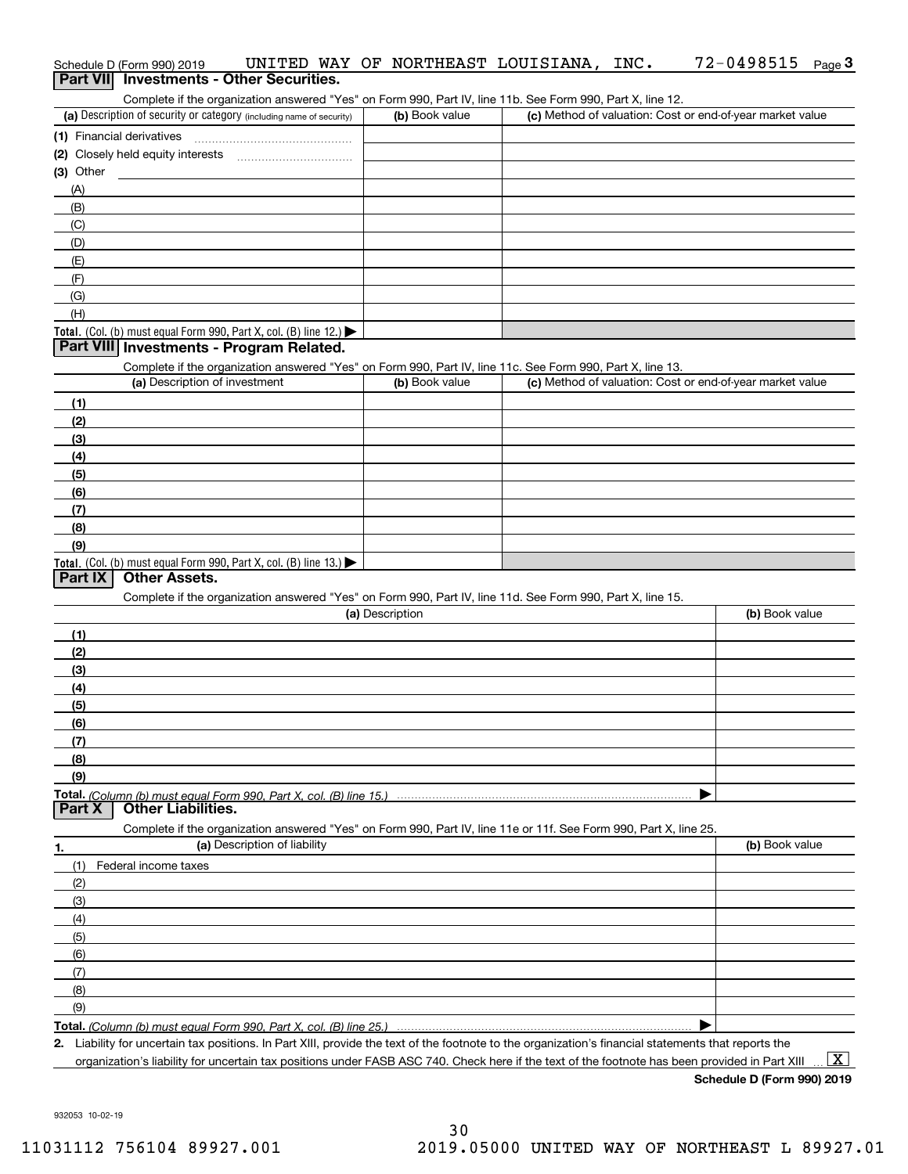|             | Schedule D (Form 990) 2019                                           |                              | UNITED WAY OF NORTHEAST LOUISIANA, INC.                                                                                                              |  | 72-0498515                                                                                                                                     | Page $3$                |
|-------------|----------------------------------------------------------------------|------------------------------|------------------------------------------------------------------------------------------------------------------------------------------------------|--|------------------------------------------------------------------------------------------------------------------------------------------------|-------------------------|
|             | Part VII Investments - Other Securities.                             |                              |                                                                                                                                                      |  |                                                                                                                                                |                         |
|             |                                                                      |                              | Complete if the organization answered "Yes" on Form 990, Part IV, line 11b. See Form 990, Part X, line 12.                                           |  |                                                                                                                                                |                         |
|             | (a) Description of security or category (including name of security) |                              | (b) Book value                                                                                                                                       |  | (c) Method of valuation: Cost or end-of-year market value                                                                                      |                         |
|             | (1) Financial derivatives                                            |                              |                                                                                                                                                      |  |                                                                                                                                                |                         |
|             |                                                                      |                              |                                                                                                                                                      |  |                                                                                                                                                |                         |
| $(3)$ Other |                                                                      |                              |                                                                                                                                                      |  |                                                                                                                                                |                         |
| (A)         |                                                                      |                              |                                                                                                                                                      |  |                                                                                                                                                |                         |
| (B)         |                                                                      |                              |                                                                                                                                                      |  |                                                                                                                                                |                         |
| (C)         |                                                                      |                              |                                                                                                                                                      |  |                                                                                                                                                |                         |
| (D)         |                                                                      |                              |                                                                                                                                                      |  |                                                                                                                                                |                         |
| (E)         |                                                                      |                              |                                                                                                                                                      |  |                                                                                                                                                |                         |
| (F)         |                                                                      |                              |                                                                                                                                                      |  |                                                                                                                                                |                         |
| (G)         |                                                                      |                              |                                                                                                                                                      |  |                                                                                                                                                |                         |
| (H)         |                                                                      |                              |                                                                                                                                                      |  |                                                                                                                                                |                         |
|             | Total. (Col. (b) must equal Form 990, Part X, col. (B) line 12.)     |                              |                                                                                                                                                      |  |                                                                                                                                                |                         |
|             | Part VIII Investments - Program Related.                             |                              |                                                                                                                                                      |  |                                                                                                                                                |                         |
|             |                                                                      |                              | Complete if the organization answered "Yes" on Form 990, Part IV, line 11c. See Form 990, Part X, line 13.                                           |  |                                                                                                                                                |                         |
|             | (a) Description of investment                                        |                              | (b) Book value                                                                                                                                       |  | (c) Method of valuation: Cost or end-of-year market value                                                                                      |                         |
| (1)         |                                                                      |                              |                                                                                                                                                      |  |                                                                                                                                                |                         |
| (2)         |                                                                      |                              |                                                                                                                                                      |  |                                                                                                                                                |                         |
| (3)         |                                                                      |                              |                                                                                                                                                      |  |                                                                                                                                                |                         |
| (4)         |                                                                      |                              |                                                                                                                                                      |  |                                                                                                                                                |                         |
| (5)         |                                                                      |                              |                                                                                                                                                      |  |                                                                                                                                                |                         |
| (6)         |                                                                      |                              |                                                                                                                                                      |  |                                                                                                                                                |                         |
| (7)         |                                                                      |                              |                                                                                                                                                      |  |                                                                                                                                                |                         |
| (8)         |                                                                      |                              |                                                                                                                                                      |  |                                                                                                                                                |                         |
| (9)         |                                                                      |                              |                                                                                                                                                      |  |                                                                                                                                                |                         |
|             | Total. (Col. (b) must equal Form 990, Part X, col. (B) line 13.)     |                              |                                                                                                                                                      |  |                                                                                                                                                |                         |
| Part IX     | <b>Other Assets.</b>                                                 |                              |                                                                                                                                                      |  |                                                                                                                                                |                         |
|             |                                                                      |                              | Complete if the organization answered "Yes" on Form 990, Part IV, line 11d. See Form 990, Part X, line 15.                                           |  |                                                                                                                                                |                         |
|             |                                                                      |                              | (a) Description                                                                                                                                      |  | (b) Book value                                                                                                                                 |                         |
| (1)         |                                                                      |                              |                                                                                                                                                      |  |                                                                                                                                                |                         |
| (2)         |                                                                      |                              |                                                                                                                                                      |  |                                                                                                                                                |                         |
| (3)         |                                                                      |                              |                                                                                                                                                      |  |                                                                                                                                                |                         |
| (4)         |                                                                      |                              |                                                                                                                                                      |  |                                                                                                                                                |                         |
| (5)         |                                                                      |                              |                                                                                                                                                      |  |                                                                                                                                                |                         |
| (6)         |                                                                      |                              |                                                                                                                                                      |  |                                                                                                                                                |                         |
| (7)         |                                                                      |                              |                                                                                                                                                      |  |                                                                                                                                                |                         |
| (8)         |                                                                      |                              |                                                                                                                                                      |  |                                                                                                                                                |                         |
| (9)         |                                                                      |                              |                                                                                                                                                      |  |                                                                                                                                                |                         |
|             |                                                                      |                              |                                                                                                                                                      |  |                                                                                                                                                |                         |
| Part X      | Other Liabilities.                                                   |                              |                                                                                                                                                      |  |                                                                                                                                                |                         |
|             |                                                                      |                              | Complete if the organization answered "Yes" on Form 990, Part IV, line 11e or 11f. See Form 990, Part X, line 25.                                    |  |                                                                                                                                                |                         |
| 1.          |                                                                      | (a) Description of liability |                                                                                                                                                      |  | (b) Book value                                                                                                                                 |                         |
| (1)         | Federal income taxes                                                 |                              |                                                                                                                                                      |  |                                                                                                                                                |                         |
| (2)         |                                                                      |                              |                                                                                                                                                      |  |                                                                                                                                                |                         |
| (3)         |                                                                      |                              |                                                                                                                                                      |  |                                                                                                                                                |                         |
| (4)         |                                                                      |                              |                                                                                                                                                      |  |                                                                                                                                                |                         |
| (5)         |                                                                      |                              |                                                                                                                                                      |  |                                                                                                                                                |                         |
| (6)         |                                                                      |                              |                                                                                                                                                      |  |                                                                                                                                                |                         |
| (7)         |                                                                      |                              |                                                                                                                                                      |  |                                                                                                                                                |                         |
| (8)         |                                                                      |                              |                                                                                                                                                      |  |                                                                                                                                                |                         |
| (9)         |                                                                      |                              |                                                                                                                                                      |  |                                                                                                                                                |                         |
|             |                                                                      |                              |                                                                                                                                                      |  |                                                                                                                                                |                         |
|             |                                                                      |                              | 2. Liability for uncertain tax positions. In Part XIII, provide the text of the footnote to the organization's financial statements that reports the |  |                                                                                                                                                |                         |
|             |                                                                      |                              |                                                                                                                                                      |  | organization's liability for uncertain tax positions under FASB ASC 740. Check here if the text of the footnote has been provided in Part XIII | $\overline{\mathbf{x}}$ |

**Schedule D (Form 990) 2019**

932053 10-02-19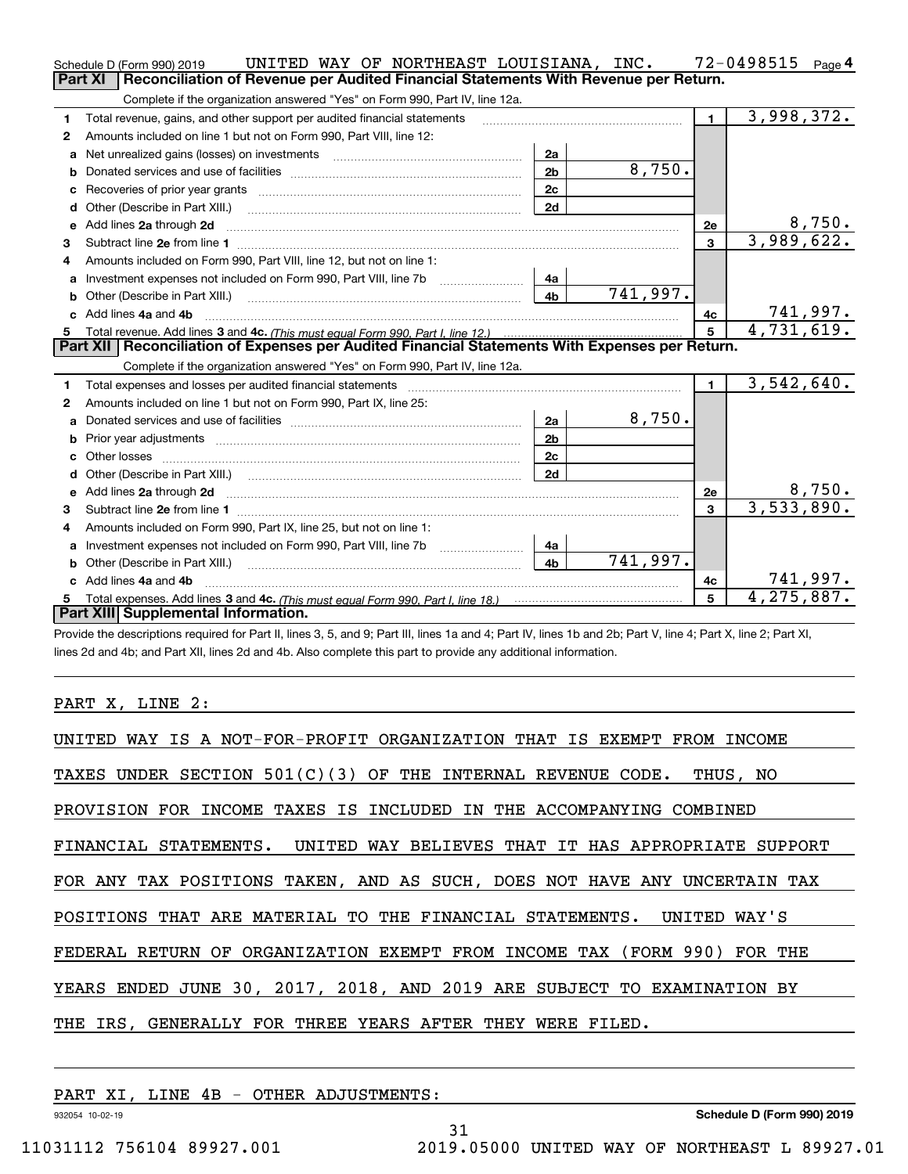|              | UNITED WAY OF NORTHEAST LOUISIANA, INC.<br>Schedule D (Form 990) 2019                                                                                                                                                          |                |          |                         | $72 - 0498515$ Page 4         |
|--------------|--------------------------------------------------------------------------------------------------------------------------------------------------------------------------------------------------------------------------------|----------------|----------|-------------------------|-------------------------------|
|              | Reconciliation of Revenue per Audited Financial Statements With Revenue per Return.<br>Part XI                                                                                                                                 |                |          |                         |                               |
|              | Complete if the organization answered "Yes" on Form 990, Part IV, line 12a.                                                                                                                                                    |                |          |                         |                               |
| 1            | Total revenue, gains, and other support per audited financial statements                                                                                                                                                       |                |          | $\blacksquare$          | 3,998,372.                    |
| $\mathbf{2}$ | Amounts included on line 1 but not on Form 990, Part VIII, line 12:                                                                                                                                                            |                |          |                         |                               |
| a            | Net unrealized gains (losses) on investments [11] matter contracts and the unrealized gains (losses) on investments                                                                                                            | 2a             |          |                         |                               |
|              |                                                                                                                                                                                                                                | 2 <sub>b</sub> | 8,750.   |                         |                               |
| c            |                                                                                                                                                                                                                                | 2 <sub>c</sub> |          |                         |                               |
|              |                                                                                                                                                                                                                                | 2d             |          |                         |                               |
| е            | Add lines 2a through 2d                                                                                                                                                                                                        |                |          | <b>2e</b>               | 8,750.                        |
| 3            |                                                                                                                                                                                                                                |                |          | 3                       | 3,989,622.                    |
| 4            | Amounts included on Form 990, Part VIII, line 12, but not on line 1:                                                                                                                                                           |                |          |                         |                               |
|              | Investment expenses not included on Form 990, Part VIII, line 7b [11, 111, 111, 111]                                                                                                                                           | 4a             |          |                         |                               |
| b            |                                                                                                                                                                                                                                | 4 <sub>b</sub> | 741,997. |                         |                               |
| c.           | Add lines 4a and 4b                                                                                                                                                                                                            |                |          | 4с                      | $\frac{741,997.}{4,731,619.}$ |
|              |                                                                                                                                                                                                                                |                |          | 5                       |                               |
|              |                                                                                                                                                                                                                                |                |          |                         |                               |
|              | Part XII   Reconciliation of Expenses per Audited Financial Statements With Expenses per Return.                                                                                                                               |                |          |                         |                               |
|              | Complete if the organization answered "Yes" on Form 990, Part IV, line 12a.                                                                                                                                                    |                |          |                         |                               |
| 1            | Total expenses and losses per audited financial statements [111] [12] content and a superior and statements [12] and a superior and a superior and statements and statements and statements and statements and statements and  |                |          | $\mathbf{1}$            | 3,542,640.                    |
| 2            | Amounts included on line 1 but not on Form 990, Part IX, line 25:                                                                                                                                                              |                |          |                         |                               |
| a            |                                                                                                                                                                                                                                | 2a             | 8,750.   |                         |                               |
|              |                                                                                                                                                                                                                                | 2 <sub>b</sub> |          |                         |                               |
|              |                                                                                                                                                                                                                                | 2c             |          |                         |                               |
|              |                                                                                                                                                                                                                                | 2d             |          |                         |                               |
|              |                                                                                                                                                                                                                                |                |          | 2e                      | 8,750.                        |
| 3            |                                                                                                                                                                                                                                |                |          | $\overline{\mathbf{3}}$ | 3,533,890.                    |
| 4            | Amounts included on Form 990, Part IX, line 25, but not on line 1:                                                                                                                                                             |                |          |                         |                               |
|              |                                                                                                                                                                                                                                | 4a             |          |                         |                               |
| b            | Other (Describe in Part XIII.) [100] [200] [2010] [2010] [2010] [2010] [2010] [2010] [2010] [2010] [2010] [2010] [2010] [2010] [2010] [2010] [2010] [2010] [2010] [2010] [2010] [2010] [2010] [2010] [2010] [2010] [2010] [201 | 4 <sub>b</sub> | 741,997. |                         |                               |
|              | c Add lines 4a and 4b                                                                                                                                                                                                          |                |          | 4c                      | 741,997.                      |
|              | Part XIII Supplemental Information.                                                                                                                                                                                            |                |          | 5                       | 4,275,887.                    |

Provide the descriptions required for Part II, lines 3, 5, and 9; Part III, lines 1a and 4; Part IV, lines 1b and 2b; Part V, line 4; Part X, line 2; Part XI, lines 2d and 4b; and Part XII, lines 2d and 4b. Also complete this part to provide any additional information.

PART X, LINE 2:

| UNITED WAY IS A NOT-FOR-PROFIT ORGANIZATION THAT IS EXEMPT FROM INCOME    |
|---------------------------------------------------------------------------|
| TAXES UNDER SECTION $501(C)(3)$ OF THE INTERNAL REVENUE CODE. THUS, NO    |
| PROVISION FOR INCOME TAXES IS INCLUDED IN THE ACCOMPANYING COMBINED       |
| FINANCIAL STATEMENTS. UNITED WAY BELIEVES THAT IT HAS APPROPRIATE SUPPORT |
| FOR ANY TAX POSITIONS TAKEN, AND AS SUCH, DOES NOT HAVE ANY UNCERTAIN TAX |
| POSITIONS THAT ARE MATERIAL TO THE FINANCIAL STATEMENTS. UNITED WAY'S     |
| FEDERAL RETURN OF ORGANIZATION EXEMPT FROM INCOME TAX (FORM 990) FOR THE  |
| YEARS ENDED JUNE 30, 2017, 2018, AND 2019 ARE SUBJECT TO EXAMINATION BY   |
| THE IRS, GENERALLY FOR THREE YEARS AFTER THEY WERE FILED.                 |

31

PART XI, LINE 4B - OTHER ADJUSTMENTS:

932054 10-02-19

**Schedule D (Form 990) 2019**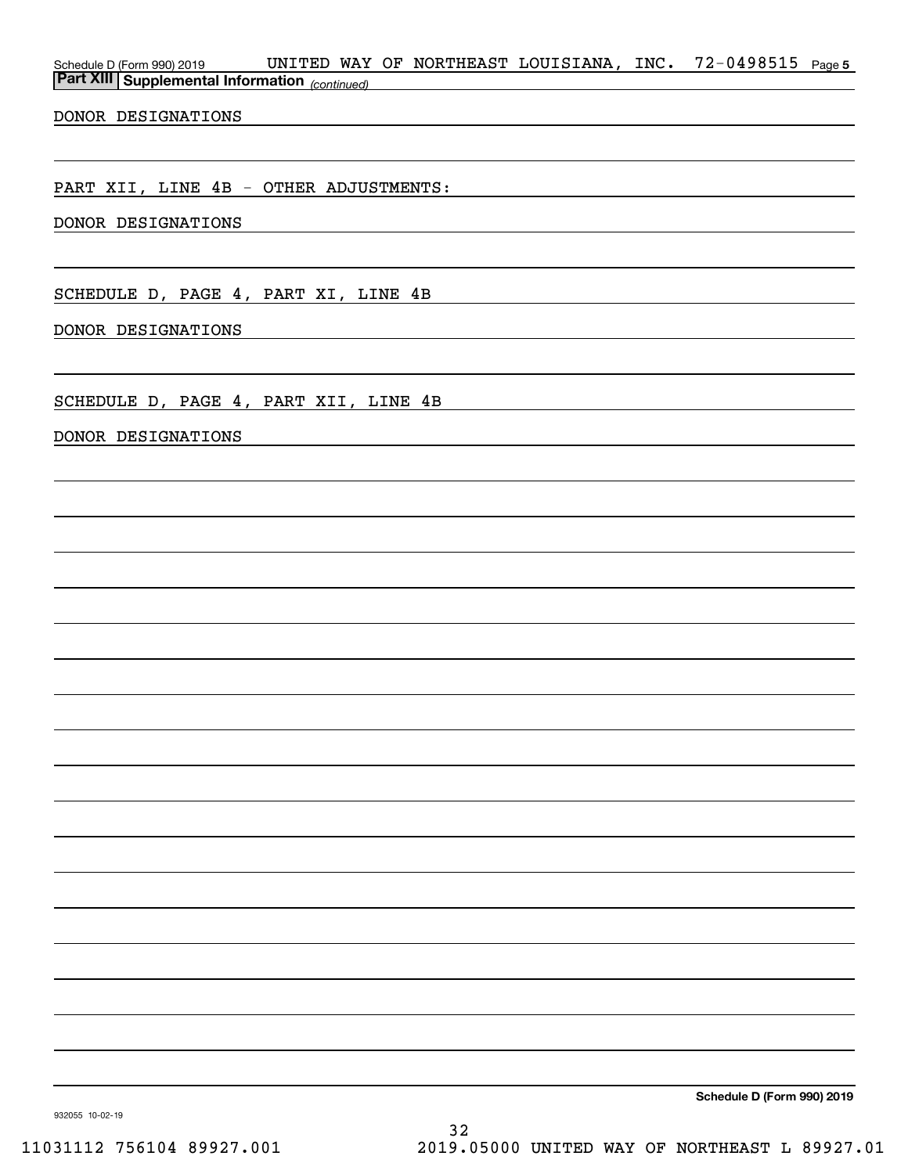| Schedule D (Form 990) 2019 UNITED WAY OF NORTHEAST LOUISIANA, INC. 72-0498515 Page 5<br><b>Part XIII Supplemental Information</b> (continued) |  | <u> 1980 - Johann Barbara, martxa eta idazlea (h. 1980).</u>                                                                                                                                                                  |                                                                                                                                                                                                                               |                                                                                                                        |  |
|-----------------------------------------------------------------------------------------------------------------------------------------------|--|-------------------------------------------------------------------------------------------------------------------------------------------------------------------------------------------------------------------------------|-------------------------------------------------------------------------------------------------------------------------------------------------------------------------------------------------------------------------------|------------------------------------------------------------------------------------------------------------------------|--|
| DONOR DESIGNATIONS                                                                                                                            |  | the control of the control of the control of the control of the control of the control of the control of the control of the control of the control of the control of the control of the control of the control of the control |                                                                                                                                                                                                                               |                                                                                                                        |  |
|                                                                                                                                               |  |                                                                                                                                                                                                                               |                                                                                                                                                                                                                               |                                                                                                                        |  |
| PART XII, LINE 4B - OTHER ADJUSTMENTS:                                                                                                        |  |                                                                                                                                                                                                                               |                                                                                                                                                                                                                               |                                                                                                                        |  |
| DONOR DESIGNATIONS                                                                                                                            |  |                                                                                                                                                                                                                               |                                                                                                                                                                                                                               |                                                                                                                        |  |
|                                                                                                                                               |  |                                                                                                                                                                                                                               |                                                                                                                                                                                                                               |                                                                                                                        |  |
| SCHEDULE D, PAGE 4, PART XI, LINE 4B                                                                                                          |  |                                                                                                                                                                                                                               |                                                                                                                                                                                                                               | <u> Andreas Andreas (1989), est anno 1980 ann an t-Ann an t-Ann an t-Ann an t-Ann an t-Ann an t-Ann an t-Ann an t-</u> |  |
| DONOR DESIGNATIONS                                                                                                                            |  |                                                                                                                                                                                                                               |                                                                                                                                                                                                                               |                                                                                                                        |  |
| SCHEDULE D, PAGE 4, PART XII, LINE 4B                                                                                                         |  |                                                                                                                                                                                                                               |                                                                                                                                                                                                                               |                                                                                                                        |  |
| DONOR DESIGNATIONS                                                                                                                            |  |                                                                                                                                                                                                                               | the control of the control of the control of the control of the control of the control of the control of the control of the control of the control of the control of the control of the control of the control of the control |                                                                                                                        |  |
|                                                                                                                                               |  |                                                                                                                                                                                                                               |                                                                                                                                                                                                                               |                                                                                                                        |  |
|                                                                                                                                               |  |                                                                                                                                                                                                                               |                                                                                                                                                                                                                               |                                                                                                                        |  |
|                                                                                                                                               |  |                                                                                                                                                                                                                               |                                                                                                                                                                                                                               |                                                                                                                        |  |
|                                                                                                                                               |  |                                                                                                                                                                                                                               |                                                                                                                                                                                                                               |                                                                                                                        |  |
|                                                                                                                                               |  |                                                                                                                                                                                                                               |                                                                                                                                                                                                                               |                                                                                                                        |  |
|                                                                                                                                               |  |                                                                                                                                                                                                                               |                                                                                                                                                                                                                               |                                                                                                                        |  |
|                                                                                                                                               |  |                                                                                                                                                                                                                               |                                                                                                                                                                                                                               |                                                                                                                        |  |
|                                                                                                                                               |  |                                                                                                                                                                                                                               |                                                                                                                                                                                                                               |                                                                                                                        |  |
|                                                                                                                                               |  |                                                                                                                                                                                                                               |                                                                                                                                                                                                                               |                                                                                                                        |  |
|                                                                                                                                               |  |                                                                                                                                                                                                                               |                                                                                                                                                                                                                               |                                                                                                                        |  |
|                                                                                                                                               |  |                                                                                                                                                                                                                               |                                                                                                                                                                                                                               |                                                                                                                        |  |
|                                                                                                                                               |  |                                                                                                                                                                                                                               |                                                                                                                                                                                                                               |                                                                                                                        |  |
|                                                                                                                                               |  |                                                                                                                                                                                                                               |                                                                                                                                                                                                                               |                                                                                                                        |  |
|                                                                                                                                               |  |                                                                                                                                                                                                                               |                                                                                                                                                                                                                               |                                                                                                                        |  |
|                                                                                                                                               |  |                                                                                                                                                                                                                               |                                                                                                                                                                                                                               |                                                                                                                        |  |
|                                                                                                                                               |  |                                                                                                                                                                                                                               |                                                                                                                                                                                                                               |                                                                                                                        |  |
|                                                                                                                                               |  |                                                                                                                                                                                                                               |                                                                                                                                                                                                                               | Schedule D (Form 990) 2019                                                                                             |  |

932055 10-02-19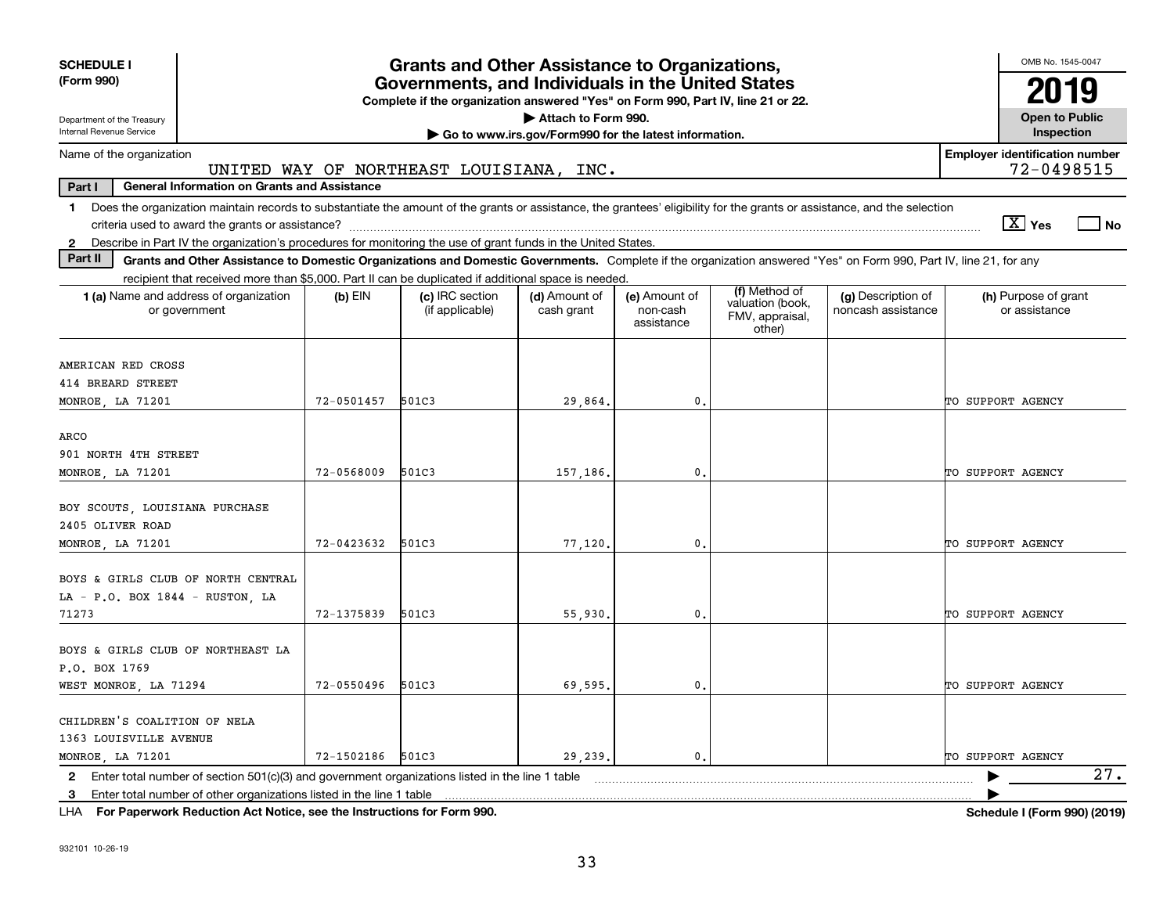| <b>SCHEDULE I</b><br>(Form 990)                                                                                                                                                         |            | <b>Grants and Other Assistance to Organizations,</b><br>Governments, and Individuals in the United States<br>Complete if the organization answered "Yes" on Form 990, Part IV, line 21 or 22. |                                                       |                                         |                                               |                                          | OMB No. 1545-0047<br>2019                           |
|-----------------------------------------------------------------------------------------------------------------------------------------------------------------------------------------|------------|-----------------------------------------------------------------------------------------------------------------------------------------------------------------------------------------------|-------------------------------------------------------|-----------------------------------------|-----------------------------------------------|------------------------------------------|-----------------------------------------------------|
| Department of the Treasury                                                                                                                                                              |            |                                                                                                                                                                                               | Attach to Form 990.                                   |                                         |                                               |                                          | <b>Open to Public</b>                               |
| Internal Revenue Service                                                                                                                                                                |            |                                                                                                                                                                                               | Go to www.irs.gov/Form990 for the latest information. |                                         |                                               |                                          | Inspection                                          |
| Name of the organization                                                                                                                                                                |            | UNITED WAY OF NORTHEAST LOUISIANA, INC.                                                                                                                                                       |                                                       |                                         |                                               |                                          | <b>Employer identification number</b><br>72-0498515 |
| Part I<br><b>General Information on Grants and Assistance</b>                                                                                                                           |            |                                                                                                                                                                                               |                                                       |                                         |                                               |                                          |                                                     |
| Does the organization maintain records to substantiate the amount of the grants or assistance, the grantees' eligibility for the grants or assistance, and the selection<br>$\mathbf 1$ |            |                                                                                                                                                                                               |                                                       |                                         |                                               |                                          | $\sqrt{X}$ Yes<br>l No                              |
| Describe in Part IV the organization's procedures for monitoring the use of grant funds in the United States.<br>$\mathbf{2}$                                                           |            |                                                                                                                                                                                               |                                                       |                                         |                                               |                                          |                                                     |
| Part II<br>Grants and Other Assistance to Domestic Organizations and Domestic Governments. Complete if the organization answered "Yes" on Form 990, Part IV, line 21, for any           |            |                                                                                                                                                                                               |                                                       |                                         |                                               |                                          |                                                     |
| recipient that received more than \$5,000. Part II can be duplicated if additional space is needed.                                                                                     |            |                                                                                                                                                                                               |                                                       |                                         | (f) Method of                                 |                                          |                                                     |
| 1 (a) Name and address of organization<br>or government                                                                                                                                 | $(b)$ EIN  | (c) IRC section<br>(if applicable)                                                                                                                                                            | (d) Amount of<br>cash grant                           | (e) Amount of<br>non-cash<br>assistance | valuation (book,<br>FMV, appraisal,<br>other) | (g) Description of<br>noncash assistance | (h) Purpose of grant<br>or assistance               |
| AMERICAN RED CROSS<br>414 BREARD STREET<br>MONROE, LA 71201                                                                                                                             | 72-0501457 | 501C3                                                                                                                                                                                         | 29,864.                                               | 0.                                      |                                               |                                          | TO SUPPORT AGENCY                                   |
| ARCO<br>901 NORTH 4TH STREET<br>MONROE, LA 71201                                                                                                                                        | 72-0568009 | 501C3                                                                                                                                                                                         | 157,186.                                              | $\mathbf{0}$                            |                                               |                                          | TO SUPPORT AGENCY                                   |
| BOY SCOUTS, LOUISIANA PURCHASE<br>2405 OLIVER ROAD<br>MONROE, LA 71201                                                                                                                  | 72-0423632 | 501C3                                                                                                                                                                                         | 77,120.                                               | $\mathbf{0}$                            |                                               |                                          | TO SUPPORT AGENCY                                   |
| BOYS & GIRLS CLUB OF NORTH CENTRAL<br>LA - P.O. BOX 1844 - RUSTON, LA<br>71273                                                                                                          | 72-1375839 | 501C3                                                                                                                                                                                         | 55,930,                                               | $\mathbf{0}$                            |                                               |                                          | TO SUPPORT AGENCY                                   |
| BOYS & GIRLS CLUB OF NORTHEAST LA<br>P.O. BOX 1769<br>WEST MONROE, LA 71294                                                                                                             | 72-0550496 | 501C3                                                                                                                                                                                         | 69.595.                                               | $\mathbf{0}$ .                          |                                               |                                          | TO SUPPORT AGENCY                                   |
| CHILDREN'S COALITION OF NELA<br>1363 LOUISVILLE AVENUE<br>MONROE, LA 71201                                                                                                              | 72-1502186 | 501C3                                                                                                                                                                                         | 29.239.                                               | $\mathbf{0}$ .                          |                                               |                                          | TO SUPPORT AGENCY                                   |
| 2 Enter total number of section 501(c)(3) and government organizations listed in the line 1 table                                                                                       |            |                                                                                                                                                                                               |                                                       |                                         |                                               |                                          | 27.                                                 |
| 3 Enter total number of other organizations listed in the line 1 table                                                                                                                  |            |                                                                                                                                                                                               |                                                       |                                         |                                               |                                          |                                                     |

**For Paperwork Reduction Act Notice, see the Instructions for Form 990. Schedule I (Form 990) (2019)** LHA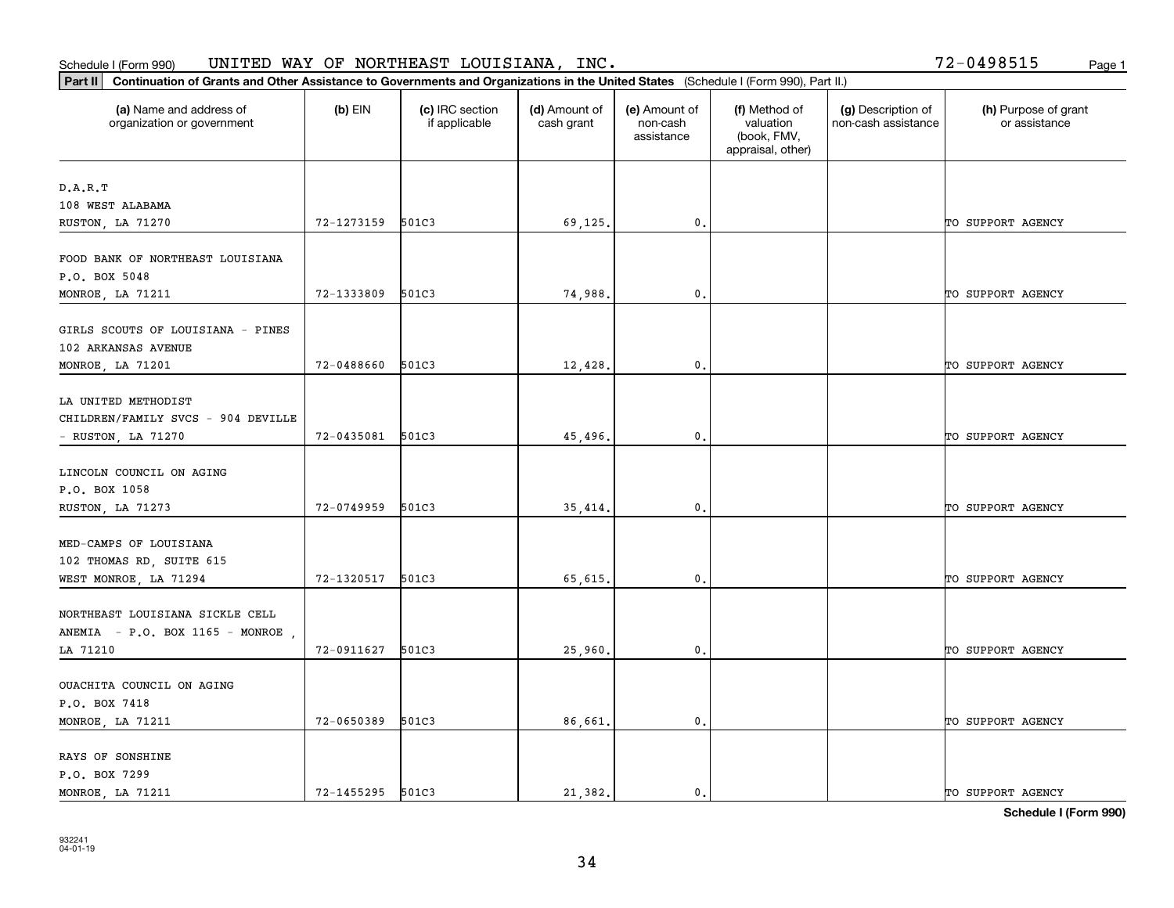### **Part II Continuation of Grants and Other Assistance (Part II Continuation of Grants and Other Assistance** Schedule I (Form 990) UNITED WAY OF NORTHEAST LOUISIANA, INC. Page 1

| Continuation of Grants and Other Assistance to Governments and Organizations in the United States (Schedule I (Form 990), Part II.)<br>Part II |                  |                                  |                             |                                         |                                                                |                                           |                                       |
|------------------------------------------------------------------------------------------------------------------------------------------------|------------------|----------------------------------|-----------------------------|-----------------------------------------|----------------------------------------------------------------|-------------------------------------------|---------------------------------------|
| (a) Name and address of<br>organization or government                                                                                          | $(b)$ EIN        | (c) IRC section<br>if applicable | (d) Amount of<br>cash grant | (e) Amount of<br>non-cash<br>assistance | (f) Method of<br>valuation<br>(book, FMV,<br>appraisal, other) | (g) Description of<br>non-cash assistance | (h) Purpose of grant<br>or assistance |
| D.A.R.T                                                                                                                                        |                  |                                  |                             |                                         |                                                                |                                           |                                       |
| 108 WEST ALABAMA                                                                                                                               |                  |                                  |                             |                                         |                                                                |                                           |                                       |
| RUSTON, LA 71270                                                                                                                               | 72-1273159 501C3 |                                  | 69,125.                     | 0.                                      |                                                                |                                           | TO SUPPORT AGENCY                     |
| FOOD BANK OF NORTHEAST LOUISIANA<br>P.O. BOX 5048                                                                                              |                  |                                  |                             |                                         |                                                                |                                           |                                       |
| MONROE, LA 71211                                                                                                                               | 72-1333809       | 501C3                            | 74,988.                     | $\mathfrak{o}$ .                        |                                                                |                                           | TO SUPPORT AGENCY                     |
| GIRLS SCOUTS OF LOUISIANA - PINES<br>102 ARKANSAS AVENUE                                                                                       |                  |                                  |                             |                                         |                                                                |                                           |                                       |
| MONROE, LA 71201                                                                                                                               | 72-0488660       | 501C3                            | 12,428.                     | 0.                                      |                                                                |                                           | TO SUPPORT AGENCY                     |
| LA UNITED METHODIST<br>CHILDREN/FAMILY SVCS - 904 DEVILLE<br>- RUSTON, LA 71270                                                                | 72-0435081 501C3 |                                  | 45,496.                     | $^{\circ}$ .                            |                                                                |                                           | TO SUPPORT AGENCY                     |
| LINCOLN COUNCIL ON AGING<br>P.O. BOX 1058<br>RUSTON, LA 71273                                                                                  | 72-0749959 501C3 |                                  | 35,414.                     | $\mathfrak{o}$ .                        |                                                                |                                           | TO SUPPORT AGENCY                     |
| MED-CAMPS OF LOUISIANA<br>102 THOMAS RD, SUITE 615<br>WEST MONROE, LA 71294                                                                    | 72-1320517       | 501C3                            | 65,615.                     | 0.                                      |                                                                |                                           | TO SUPPORT AGENCY                     |
| NORTHEAST LOUISIANA SICKLE CELL<br>ANEMIA - P.O. BOX 1165 - MONROE                                                                             |                  |                                  |                             |                                         |                                                                |                                           |                                       |
| LA 71210                                                                                                                                       | 72-0911627 501C3 |                                  | 25,960                      | $\mathbf{0}$ .                          |                                                                |                                           | TO SUPPORT AGENCY                     |
| OUACHITA COUNCIL ON AGING<br>P.O. BOX 7418                                                                                                     |                  |                                  |                             |                                         |                                                                |                                           |                                       |
| MONROE, LA 71211                                                                                                                               | 72-0650389       | 501C3                            | 86,661.                     | $\mathfrak o$ .                         |                                                                |                                           | TO SUPPORT AGENCY                     |
| RAYS OF SONSHINE<br>P.O. BOX 7299<br>MONROE, LA 71211                                                                                          | 72-1455295 501C3 |                                  | 21,382.                     | $\mathbf{0}$ .                          |                                                                |                                           | TO SUPPORT AGENCY                     |

**Schedule I (Form 990)**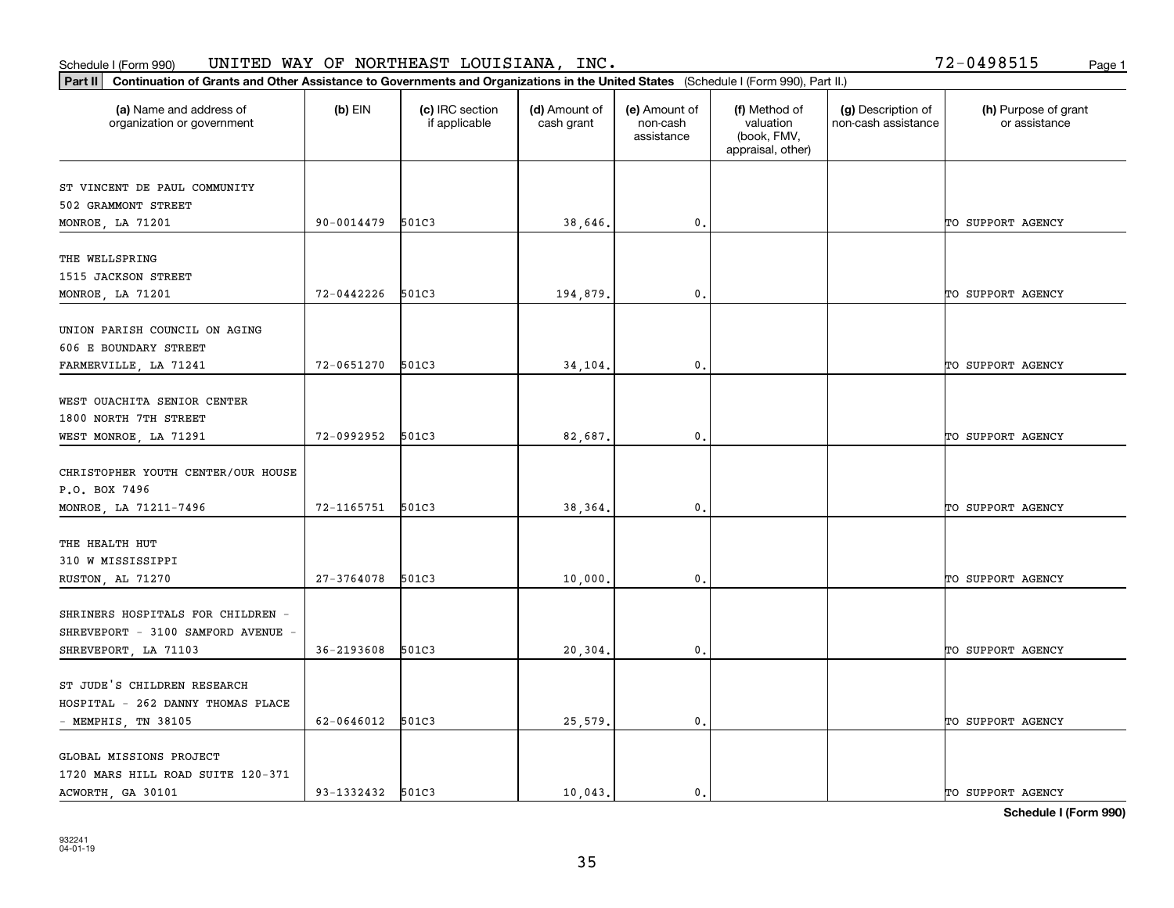### Schedule I (Form 990) UNITED WAY OF NORTHEAST LOUISIANA, INC. Page 1 UNITED WAY OF NORTHEAST LOUISIANA, INC. 72-0498515

| Part II   Continuation of Grants and Other Assistance to Governments and Organizations in the United States (Schedule I (Form 990), Part II.) |                  |                                  |                             |                                         |                                                                |                                           |                                       |
|-----------------------------------------------------------------------------------------------------------------------------------------------|------------------|----------------------------------|-----------------------------|-----------------------------------------|----------------------------------------------------------------|-------------------------------------------|---------------------------------------|
| (a) Name and address of<br>organization or government                                                                                         | $(b)$ EIN        | (c) IRC section<br>if applicable | (d) Amount of<br>cash grant | (e) Amount of<br>non-cash<br>assistance | (f) Method of<br>valuation<br>(book, FMV,<br>appraisal, other) | (g) Description of<br>non-cash assistance | (h) Purpose of grant<br>or assistance |
| ST VINCENT DE PAUL COMMUNITY                                                                                                                  |                  |                                  |                             |                                         |                                                                |                                           |                                       |
| 502 GRAMMONT STREET                                                                                                                           |                  |                                  |                             |                                         |                                                                |                                           |                                       |
| MONROE, LA 71201                                                                                                                              | 90-0014479       | 501C3                            | 38,646.                     | 0.                                      |                                                                |                                           | TO SUPPORT AGENCY                     |
|                                                                                                                                               |                  |                                  |                             |                                         |                                                                |                                           |                                       |
| THE WELLSPRING                                                                                                                                |                  |                                  |                             |                                         |                                                                |                                           |                                       |
| 1515 JACKSON STREET                                                                                                                           |                  |                                  |                             |                                         |                                                                |                                           |                                       |
| MONROE, LA 71201                                                                                                                              | 72-0442226       | 501C3                            | 194,879.                    | 0.                                      |                                                                |                                           | TO SUPPORT AGENCY                     |
|                                                                                                                                               |                  |                                  |                             |                                         |                                                                |                                           |                                       |
| UNION PARISH COUNCIL ON AGING                                                                                                                 |                  |                                  |                             |                                         |                                                                |                                           |                                       |
| 606 E BOUNDARY STREET<br>FARMERVILLE, LA 71241                                                                                                | 72-0651270       | 501C3                            | 34,104.                     | $\mathfrak{o}$ .                        |                                                                |                                           | TO SUPPORT AGENCY                     |
|                                                                                                                                               |                  |                                  |                             |                                         |                                                                |                                           |                                       |
| WEST OUACHITA SENIOR CENTER                                                                                                                   |                  |                                  |                             |                                         |                                                                |                                           |                                       |
| 1800 NORTH 7TH STREET                                                                                                                         |                  |                                  |                             |                                         |                                                                |                                           |                                       |
| WEST MONROE, LA 71291                                                                                                                         | 72-0992952       | 501C3                            | 82,687.                     | $\mathfrak{o}$ .                        |                                                                |                                           | TO SUPPORT AGENCY                     |
|                                                                                                                                               |                  |                                  |                             |                                         |                                                                |                                           |                                       |
| CHRISTOPHER YOUTH CENTER/OUR HOUSE                                                                                                            |                  |                                  |                             |                                         |                                                                |                                           |                                       |
| P.O. BOX 7496                                                                                                                                 |                  |                                  |                             |                                         |                                                                |                                           |                                       |
| MONROE, LA 71211-7496                                                                                                                         | 72-1165751 501C3 |                                  | 38,364.                     | 0.                                      |                                                                |                                           | TO SUPPORT AGENCY                     |
| THE HEALTH HUT                                                                                                                                |                  |                                  |                             |                                         |                                                                |                                           |                                       |
| 310 W MISSISSIPPI                                                                                                                             |                  |                                  |                             |                                         |                                                                |                                           |                                       |
| RUSTON, AL 71270                                                                                                                              | 27-3764078       | 501C3                            | 10,000                      | 0.                                      |                                                                |                                           | TO SUPPORT AGENCY                     |
|                                                                                                                                               |                  |                                  |                             |                                         |                                                                |                                           |                                       |
| SHRINERS HOSPITALS FOR CHILDREN -                                                                                                             |                  |                                  |                             |                                         |                                                                |                                           |                                       |
| SHREVEPORT - 3100 SAMFORD AVENUE                                                                                                              |                  |                                  |                             |                                         |                                                                |                                           |                                       |
| SHREVEPORT, LA 71103                                                                                                                          | 36-2193608       | 501C3                            | 20,304.                     | $\mathfrak{o}$ .                        |                                                                |                                           | TO SUPPORT AGENCY                     |
|                                                                                                                                               |                  |                                  |                             |                                         |                                                                |                                           |                                       |
| ST JUDE'S CHILDREN RESEARCH                                                                                                                   |                  |                                  |                             |                                         |                                                                |                                           |                                       |
| HOSPITAL - 262 DANNY THOMAS PLACE                                                                                                             |                  |                                  |                             |                                         |                                                                |                                           |                                       |
| - MEMPHIS, TN 38105                                                                                                                           | 62-0646012       | 501C3                            | 25,579.                     | 0.                                      |                                                                |                                           | TO SUPPORT AGENCY                     |
| GLOBAL MISSIONS PROJECT                                                                                                                       |                  |                                  |                             |                                         |                                                                |                                           |                                       |
| 1720 MARS HILL ROAD SUITE 120-371                                                                                                             |                  |                                  |                             |                                         |                                                                |                                           |                                       |
| ACWORTH, GA 30101                                                                                                                             | 93-1332432 501C3 |                                  | 10,043.                     | $\mathbf{0}$ .                          |                                                                |                                           | TO SUPPORT AGENCY                     |

**Schedule I (Form 990)**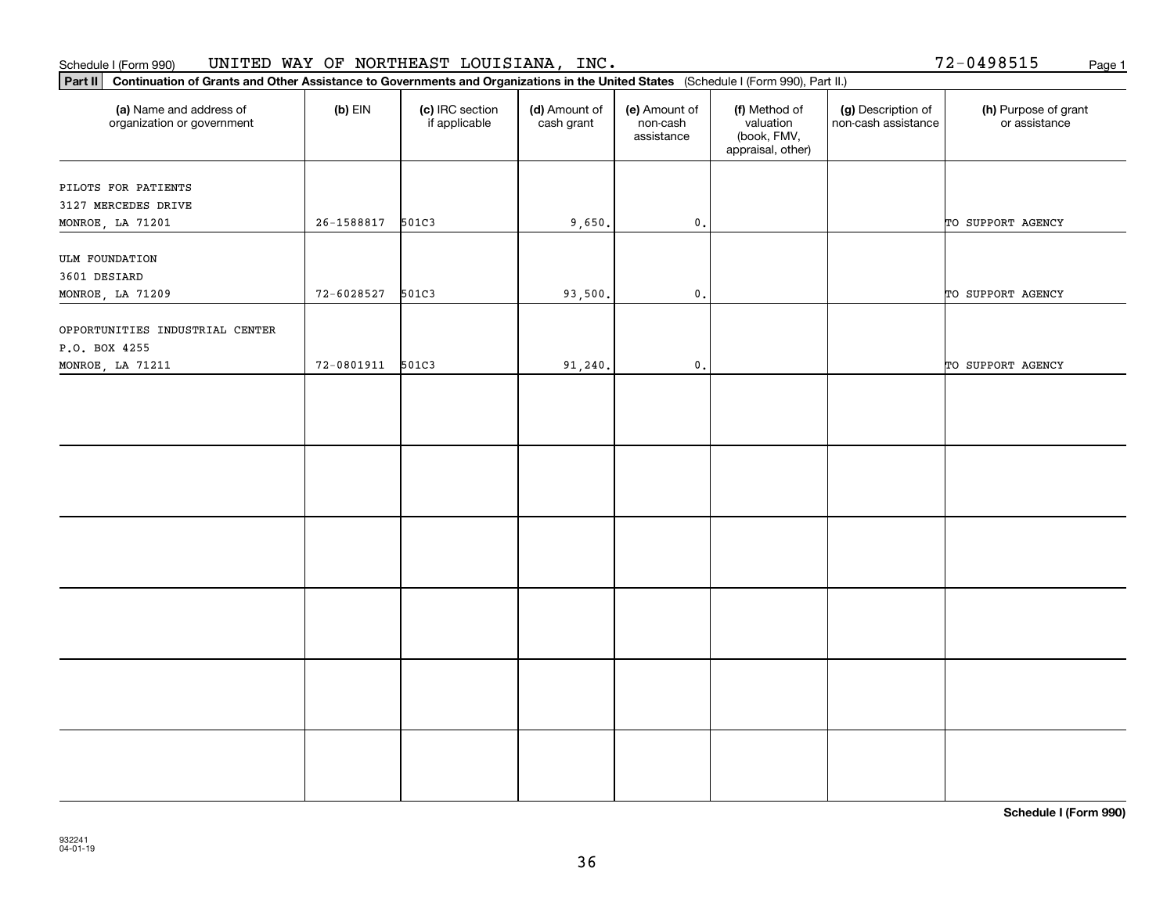### Schedule I (Form 990) Page 1 UNITED WAY OF NORTHEAST LOUISIANA, INC.

72-0498515

| Continuation of Grants and Other Assistance to Governments and Organizations in the United States (Schedule I (Form 990), Part II.)<br>Part II |                |                                  |                             |                                         |                                                                |                                           |                                       |
|------------------------------------------------------------------------------------------------------------------------------------------------|----------------|----------------------------------|-----------------------------|-----------------------------------------|----------------------------------------------------------------|-------------------------------------------|---------------------------------------|
| (a) Name and address of<br>organization or government                                                                                          | $(b)$ EIN      | (c) IRC section<br>if applicable | (d) Amount of<br>cash grant | (e) Amount of<br>non-cash<br>assistance | (f) Method of<br>valuation<br>(book, FMV,<br>appraisal, other) | (g) Description of<br>non-cash assistance | (h) Purpose of grant<br>or assistance |
| PILOTS FOR PATIENTS<br>3127 MERCEDES DRIVE                                                                                                     |                |                                  |                             |                                         |                                                                |                                           |                                       |
| MONROE, LA 71201                                                                                                                               | 26-1588817     | 501C3                            | 9,650.                      | $\mathbf{0}$ .                          |                                                                |                                           | TO SUPPORT AGENCY                     |
| <b>ULM FOUNDATION</b><br>3601 DESIARD<br>MONROE, LA 71209                                                                                      | 72-6028527     | 501C3                            | 93,500.                     | $\mathsf{o}$ .                          |                                                                |                                           | TO SUPPORT AGENCY                     |
| OPPORTUNITIES INDUSTRIAL CENTER<br>P.O. BOX 4255                                                                                               |                |                                  |                             |                                         |                                                                |                                           |                                       |
| MONROE, LA 71211                                                                                                                               | $72 - 0801911$ | 501C3                            | 91,240.                     | $\mathsf{0}$ .                          |                                                                |                                           | TO SUPPORT AGENCY                     |
|                                                                                                                                                |                |                                  |                             |                                         |                                                                |                                           |                                       |
|                                                                                                                                                |                |                                  |                             |                                         |                                                                |                                           |                                       |
|                                                                                                                                                |                |                                  |                             |                                         |                                                                |                                           |                                       |
|                                                                                                                                                |                |                                  |                             |                                         |                                                                |                                           |                                       |
|                                                                                                                                                |                |                                  |                             |                                         |                                                                |                                           |                                       |
|                                                                                                                                                |                |                                  |                             |                                         |                                                                |                                           |                                       |

**Schedule I (Form 990)**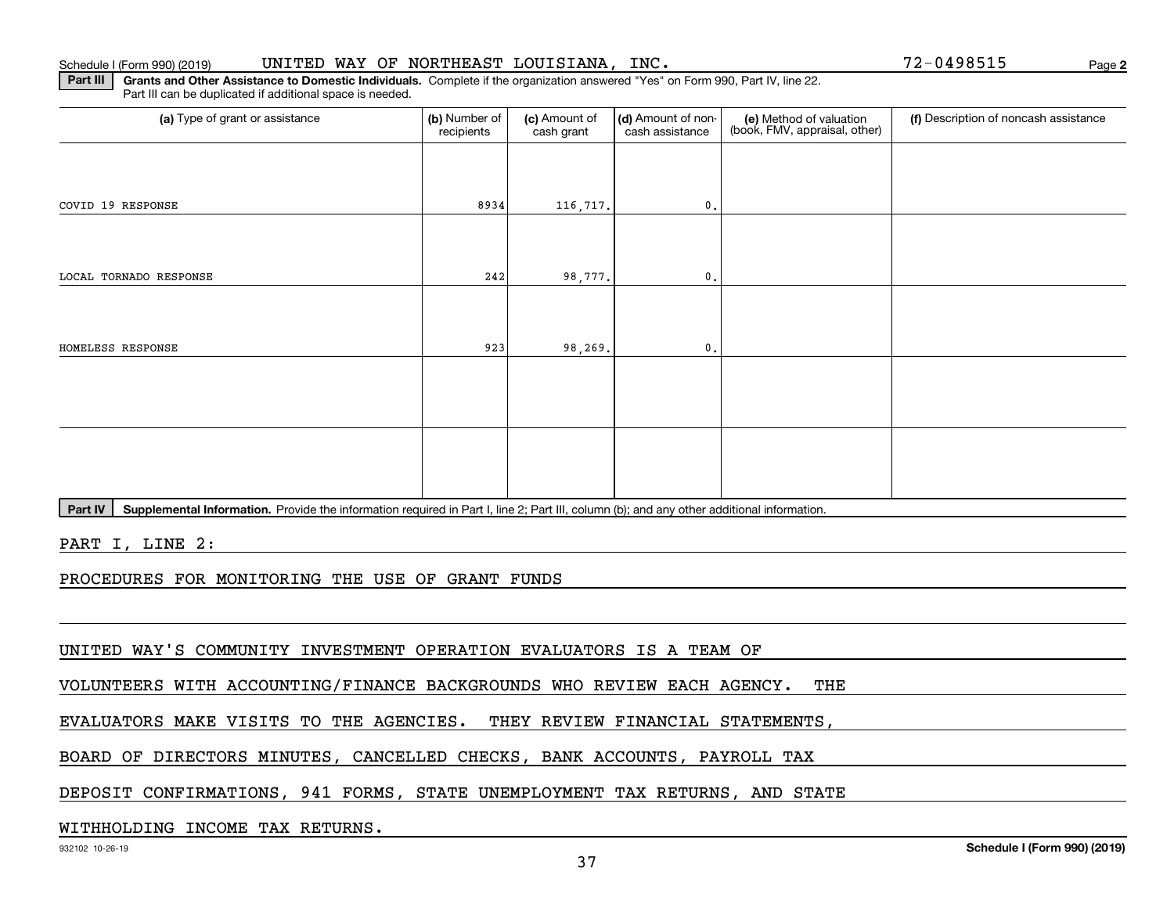## Schedule I (Form 990) (2019) **UNITED WAY OF NORTHEAST LOUISIANA, INC.** Page

**2**

**Part III | Grants and Other Assistance to Domestic Individuals. Complete if the organization answered "Yes" on Form 990, Part IV, line 22.** Part III can be duplicated if additional space is needed.

| (b) Number of<br>recipients | (c) Amount of<br>cash grant | cash assistance  | (e) Method of valuation<br>(book, FMV, appraisal, other) | (f) Description of noncash assistance |
|-----------------------------|-----------------------------|------------------|----------------------------------------------------------|---------------------------------------|
|                             |                             |                  |                                                          |                                       |
| 8934                        |                             | $\mathfrak{o}$ . |                                                          |                                       |
|                             |                             |                  |                                                          |                                       |
| 242                         |                             | $\mathfrak o$ .  |                                                          |                                       |
|                             |                             |                  |                                                          |                                       |
| 923                         |                             | $\mathfrak o$ .  |                                                          |                                       |
|                             |                             |                  |                                                          |                                       |
|                             |                             |                  |                                                          |                                       |
|                             |                             |                  |                                                          |                                       |
|                             |                             |                  |                                                          |                                       |
|                             |                             |                  | 116,717.<br>98,777.<br>98,269.                           | (d) Amount of non-                    |

Part IV | Supplemental Information. Provide the information required in Part I, line 2; Part III, column (b); and any other additional information.

PART I, LINE 2:

PROCEDURES FOR MONITORING THE USE OF GRANT FUNDS

UNITED WAY'S COMMUNITY INVESTMENT OPERATION EVALUATORS IS A TEAM OF

VOLUNTEERS WITH ACCOUNTING/FINANCE BACKGROUNDS WHO REVIEW EACH AGENCY. THE

EVALUATORS MAKE VISITS TO THE AGENCIES. THEY REVIEW FINANCIAL STATEMENTS,

BOARD OF DIRECTORS MINUTES, CANCELLED CHECKS, BANK ACCOUNTS, PAYROLL TAX

DEPOSIT CONFIRMATIONS, 941 FORMS, STATE UNEMPLOYMENT TAX RETURNS, AND STATE

WITHHOLDING INCOME TAX RETURNS.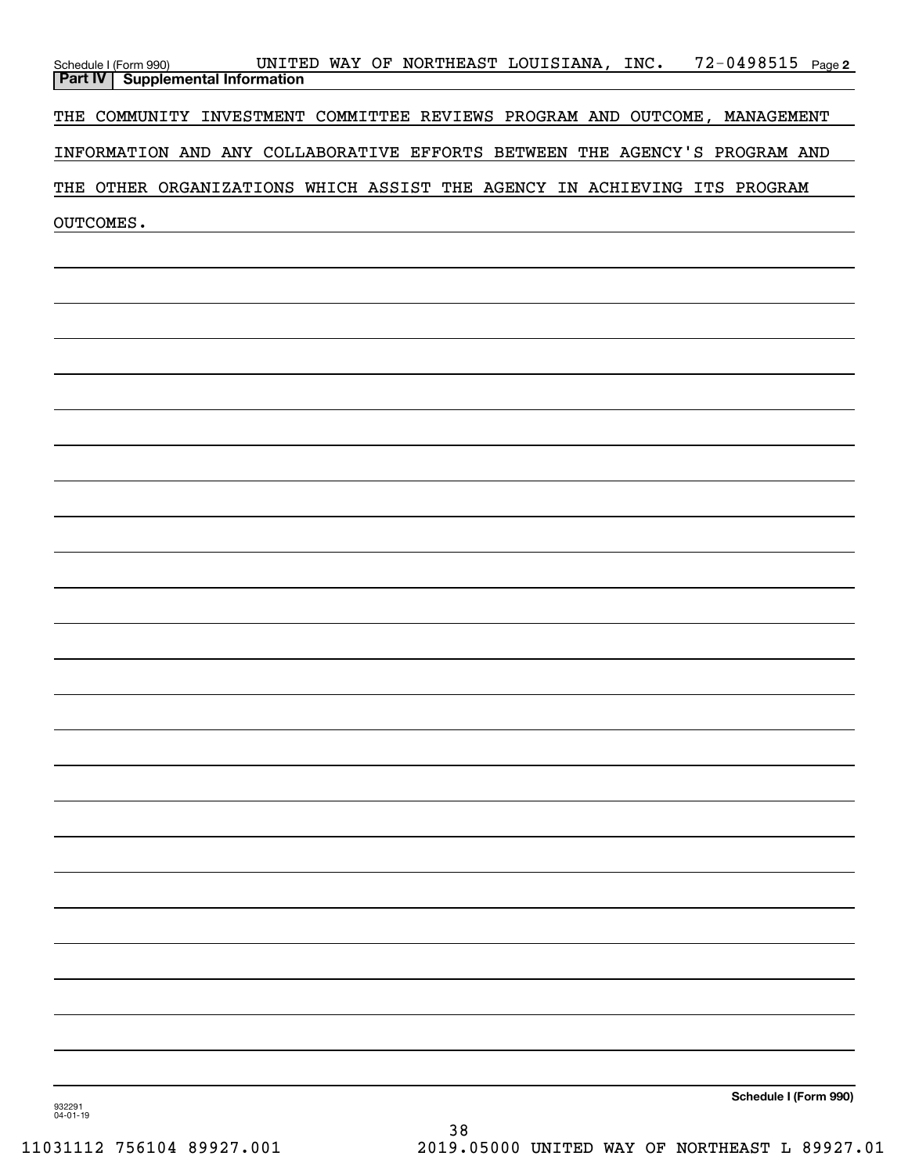|                    | Schedule I (Form 990) UNITE<br><b>Part IV</b> Supplemental Information     | UNITED WAY OF NORTHEAST LOUISIANA, INC. |  |  |  | <u>72-0498515 Page 2</u> |                       |  |
|--------------------|----------------------------------------------------------------------------|-----------------------------------------|--|--|--|--------------------------|-----------------------|--|
|                    |                                                                            |                                         |  |  |  |                          |                       |  |
|                    | THE COMMUNITY INVESTMENT COMMITTEE REVIEWS PROGRAM AND OUTCOME, MANAGEMENT |                                         |  |  |  |                          |                       |  |
|                    | INFORMATION AND ANY COLLABORATIVE EFFORTS BETWEEN THE AGENCY'S PROGRAM AND |                                         |  |  |  |                          |                       |  |
|                    | THE OTHER ORGANIZATIONS WHICH ASSIST THE AGENCY IN ACHIEVING ITS PROGRAM   |                                         |  |  |  |                          |                       |  |
|                    | OUTCOMES.                                                                  |                                         |  |  |  |                          |                       |  |
|                    |                                                                            |                                         |  |  |  |                          |                       |  |
|                    |                                                                            |                                         |  |  |  |                          |                       |  |
|                    |                                                                            |                                         |  |  |  |                          |                       |  |
|                    |                                                                            |                                         |  |  |  |                          |                       |  |
|                    |                                                                            |                                         |  |  |  |                          |                       |  |
|                    |                                                                            |                                         |  |  |  |                          |                       |  |
|                    |                                                                            |                                         |  |  |  |                          |                       |  |
|                    |                                                                            |                                         |  |  |  |                          |                       |  |
|                    |                                                                            |                                         |  |  |  |                          |                       |  |
|                    |                                                                            |                                         |  |  |  |                          |                       |  |
|                    |                                                                            |                                         |  |  |  |                          |                       |  |
|                    |                                                                            |                                         |  |  |  |                          |                       |  |
|                    |                                                                            |                                         |  |  |  |                          |                       |  |
|                    |                                                                            |                                         |  |  |  |                          |                       |  |
|                    |                                                                            |                                         |  |  |  |                          |                       |  |
|                    |                                                                            |                                         |  |  |  |                          |                       |  |
|                    |                                                                            |                                         |  |  |  |                          |                       |  |
|                    |                                                                            |                                         |  |  |  |                          |                       |  |
|                    |                                                                            |                                         |  |  |  |                          |                       |  |
|                    |                                                                            |                                         |  |  |  |                          |                       |  |
|                    |                                                                            |                                         |  |  |  |                          |                       |  |
|                    |                                                                            |                                         |  |  |  |                          |                       |  |
|                    |                                                                            |                                         |  |  |  |                          |                       |  |
|                    |                                                                            |                                         |  |  |  |                          |                       |  |
|                    |                                                                            |                                         |  |  |  |                          |                       |  |
|                    |                                                                            |                                         |  |  |  |                          |                       |  |
|                    |                                                                            |                                         |  |  |  |                          |                       |  |
| 932291<br>04-01-19 |                                                                            |                                         |  |  |  |                          | Schedule I (Form 990) |  |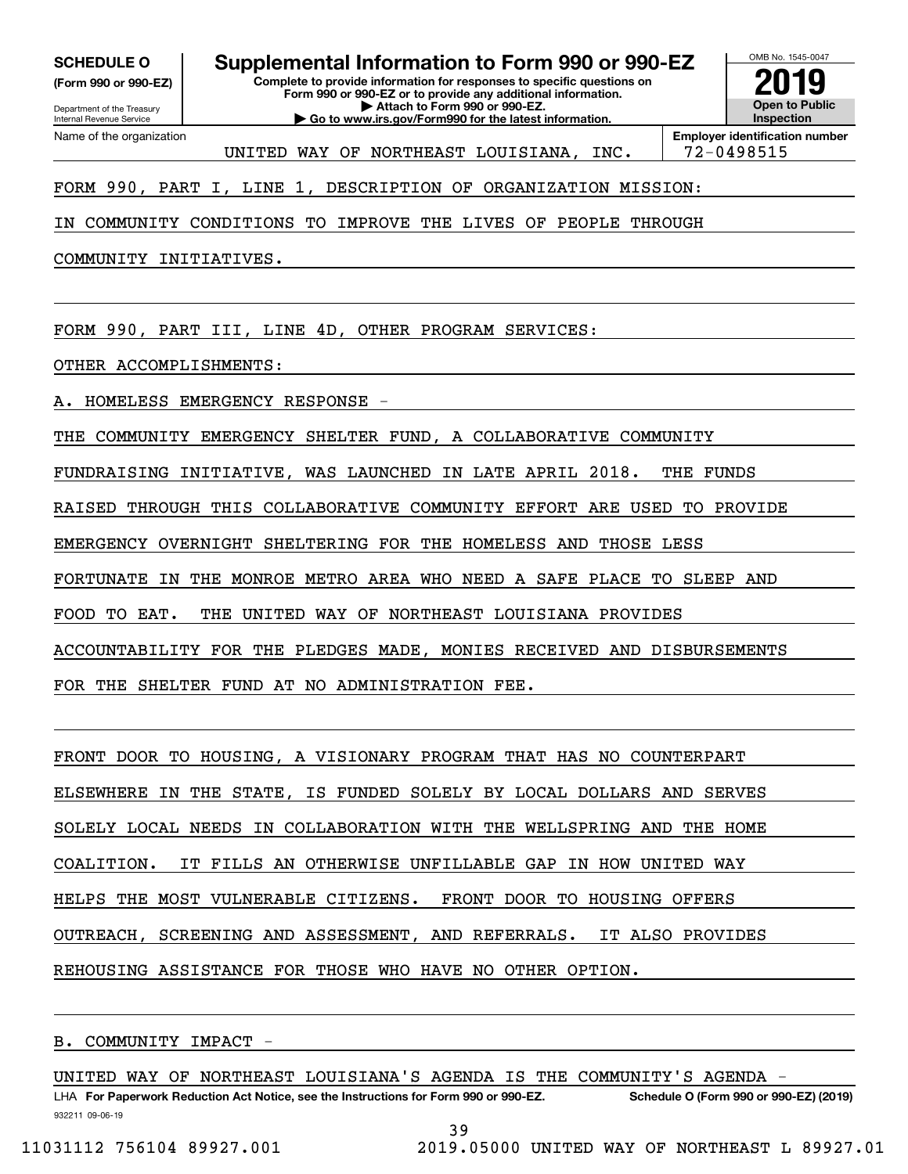Internal Revenue Service

Department of the Treasury **(Form 990 or 990-EZ)**

Name of the organization

**Complete to provide information for responses to specific questions on Form 990 or 990-EZ or to provide any additional information. SCHEDULE O Supplemental Information to Form 990 or 990-EZ**

**| Attach to Form 990 or 990-EZ. | Go to www.irs.gov/Form990 for the latest information.**



UNITED WAY OF NORTHEAST LOUISIANA, INC. | 72-0498515

FORM 990, PART I, LINE 1, DESCRIPTION OF ORGANIZATION MISSION:

IN COMMUNITY CONDITIONS TO IMPROVE THE LIVES OF PEOPLE THROUGH

COMMUNITY INITIATIVES.

FORM 990, PART III, LINE 4D, OTHER PROGRAM SERVICES:

OTHER ACCOMPLISHMENTS:

A. HOMELESS EMERGENCY RESPONSE -

THE COMMUNITY EMERGENCY SHELTER FUND, A COLLABORATIVE COMMUNITY

FUNDRAISING INITIATIVE, WAS LAUNCHED IN LATE APRIL 2018. THE FUNDS

RAISED THROUGH THIS COLLABORATIVE COMMUNITY EFFORT ARE USED TO PROVIDE

EMERGENCY OVERNIGHT SHELTERING FOR THE HOMELESS AND THOSE LESS

FORTUNATE IN THE MONROE METRO AREA WHO NEED A SAFE PLACE TO SLEEP AND

FOOD TO EAT. THE UNITED WAY OF NORTHEAST LOUISIANA PROVIDES

ACCOUNTABILITY FOR THE PLEDGES MADE, MONIES RECEIVED AND DISBURSEMENTS

FOR THE SHELTER FUND AT NO ADMINISTRATION FEE.

FRONT DOOR TO HOUSING, A VISIONARY PROGRAM THAT HAS NO COUNTERPART

ELSEWHERE IN THE STATE, IS FUNDED SOLELY BY LOCAL DOLLARS AND SERVES

SOLELY LOCAL NEEDS IN COLLABORATION WITH THE WELLSPRING AND THE HOME

COALITION. IT FILLS AN OTHERWISE UNFILLABLE GAP IN HOW UNITED WAY

HELPS THE MOST VULNERABLE CITIZENS. FRONT DOOR TO HOUSING OFFERS

OUTREACH, SCREENING AND ASSESSMENT, AND REFERRALS. IT ALSO PROVIDES

REHOUSING ASSISTANCE FOR THOSE WHO HAVE NO OTHER OPTION.

B. COMMUNITY IMPACT -

UNITED WAY OF NORTHEAST LOUISIANA'S AGENDA IS THE COMMUNITY'S AGENDA

932211 09-06-19 LHA For Paperwork Reduction Act Notice, see the Instructions for Form 990 or 990-EZ. Schedule O (Form 990 or 990-EZ) (2019)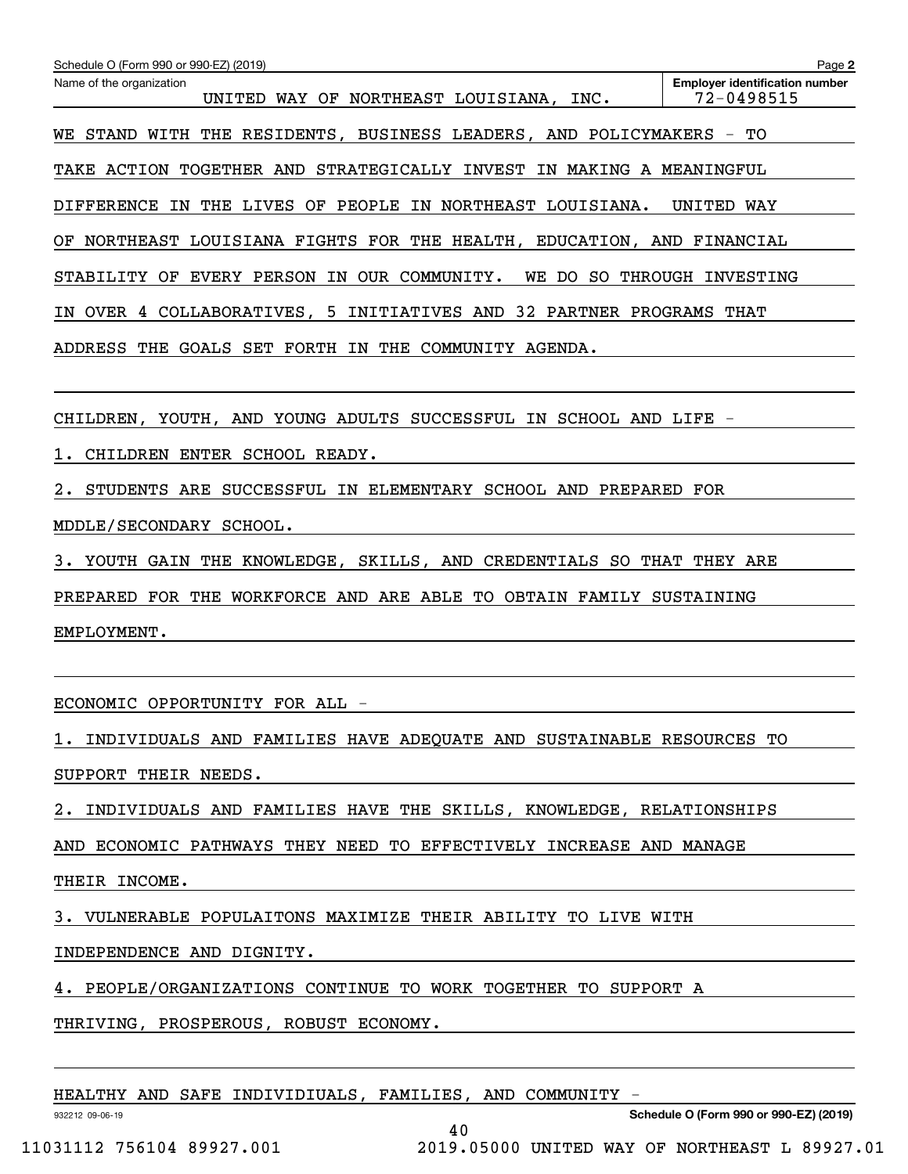| Schedule O (Form 990 or 990-EZ) (2019)<br>Name of the organization<br>UNITED WAY OF NORTHEAST LOUISIANA, INC. | Page 2<br><b>Employer identification number</b><br>72-0498515 |  |  |  |  |
|---------------------------------------------------------------------------------------------------------------|---------------------------------------------------------------|--|--|--|--|
| STAND WITH THE RESIDENTS, BUSINESS LEADERS, AND POLICYMAKERS -<br>WE.                                         | TО                                                            |  |  |  |  |
| TAKE ACTION TOGETHER AND STRATEGICALLY INVEST IN MAKING A MEANINGFUL                                          |                                                               |  |  |  |  |
| DIFFERENCE IN THE LIVES OF PEOPLE IN NORTHEAST LOUISIANA.                                                     | UNITED WAY                                                    |  |  |  |  |
| NORTHEAST LOUISIANA FIGHTS FOR THE HEALTH, EDUCATION, AND FINANCIAL<br>ΟF                                     |                                                               |  |  |  |  |
| STABILITY OF EVERY PERSON IN OUR COMMUNITY.<br>WE DO SO                                                       | THROUGH INVESTING                                             |  |  |  |  |
| OVER 4 COLLABORATIVES, 5 INITIATIVES AND 32 PARTNER PROGRAMS THAT<br>IN.                                      |                                                               |  |  |  |  |
| ADDRESS THE GOALS SET FORTH IN THE COMMUNITY AGENDA.                                                          |                                                               |  |  |  |  |
|                                                                                                               |                                                               |  |  |  |  |
| CHILDREN, YOUTH, AND YOUNG ADULTS SUCCESSFUL IN SCHOOL AND LIFE -                                             |                                                               |  |  |  |  |
| CHILDREN ENTER SCHOOL READY.                                                                                  |                                                               |  |  |  |  |
| STUDENTS ARE SUCCESSFUL IN ELEMENTARY SCHOOL AND PREPARED FOR<br>$2\,$                                        |                                                               |  |  |  |  |
| MDDLE/SECONDARY SCHOOL.                                                                                       |                                                               |  |  |  |  |
| YOUTH GAIN THE KNOWLEDGE, SKILLS, AND CREDENTIALS SO THAT THEY ARE<br>3.                                      |                                                               |  |  |  |  |
| PREPARED FOR THE WORKFORCE AND ARE ABLE TO OBTAIN FAMILY SUSTAINING                                           |                                                               |  |  |  |  |
| EMPLOYMENT.                                                                                                   |                                                               |  |  |  |  |
|                                                                                                               |                                                               |  |  |  |  |
| ECONOMIC OPPORTUNITY FOR ALL -                                                                                |                                                               |  |  |  |  |
| 1. INDIVIDUALS AND FAMILIES HAVE ADEQUATE AND SUSTAINABLE RESOURCES TO                                        |                                                               |  |  |  |  |
| SUPPORT THEIR NEEDS.                                                                                          |                                                               |  |  |  |  |
| 2. INDIVIDUALS AND FAMILIES HAVE THE SKILLS, KNOWLEDGE, RELATIONSHIPS                                         |                                                               |  |  |  |  |
| AND ECONOMIC PATHWAYS THEY NEED TO EFFECTIVELY INCREASE AND MANAGE                                            |                                                               |  |  |  |  |
| THEIR INCOME.                                                                                                 |                                                               |  |  |  |  |
| 3. VULNERABLE POPULAITONS MAXIMIZE THEIR ABILITY TO LIVE WITH                                                 |                                                               |  |  |  |  |
| INDEPENDENCE AND DIGNITY.                                                                                     |                                                               |  |  |  |  |
| 4. PEOPLE/ORGANIZATIONS CONTINUE TO WORK TOGETHER TO SUPPORT A                                                |                                                               |  |  |  |  |

THRIVING, PROSPEROUS, ROBUST ECONOMY.

| HEALTHY AND SAFE INDIVIDIUALS, FAMILIES, AND COMMUNITY - |  |  |
|----------------------------------------------------------|--|--|
|----------------------------------------------------------|--|--|

40

932212 09-06-19

**Schedule O (Form 990 or 990-EZ) (2019)**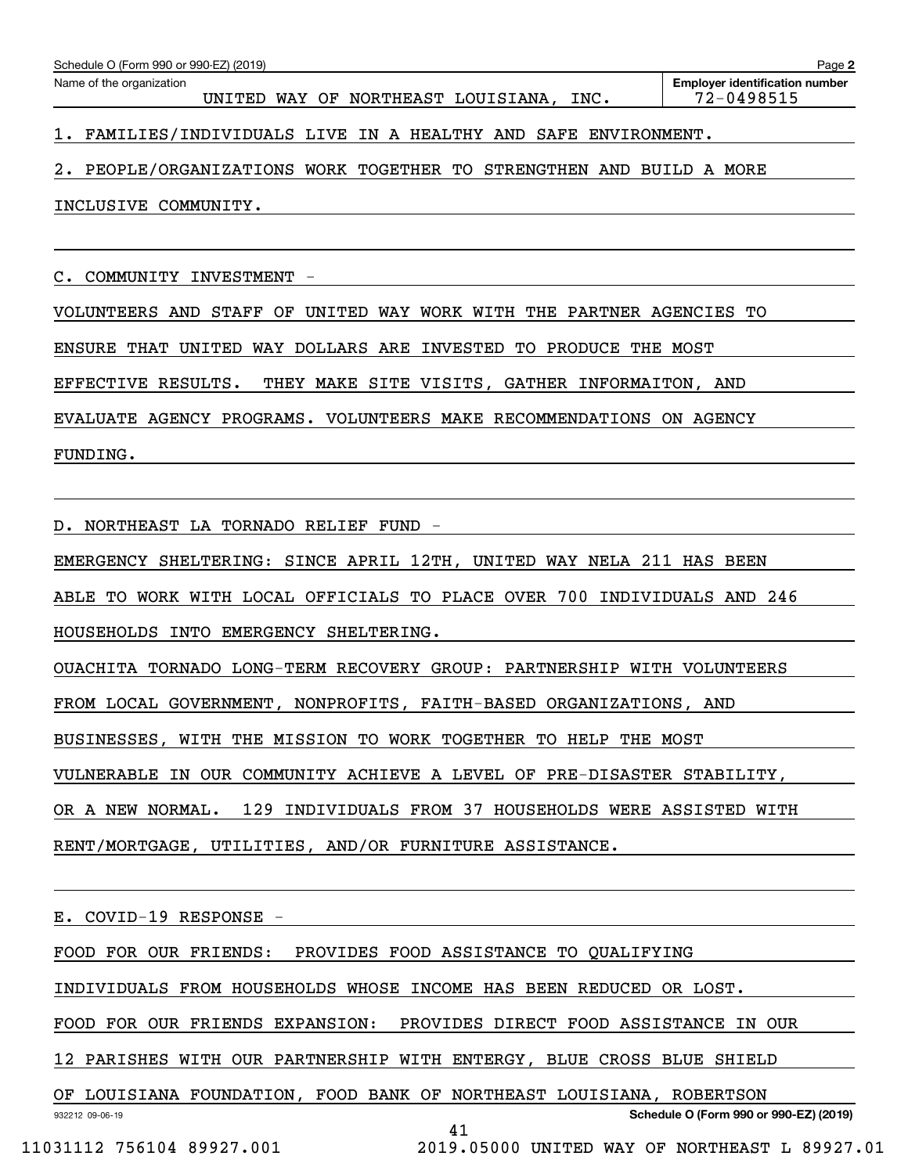| Schedule O (Form 990 or 990-EZ) (2019)<br>Page 2 |                                                              |        |  |  |                             |      |                                                     |
|--------------------------------------------------|--------------------------------------------------------------|--------|--|--|-----------------------------|------|-----------------------------------------------------|
|                                                  | Name of the organization                                     | UNITED |  |  | WAY OF NORTHEAST LOUISIANA, | INC. | <b>Employer identification number</b><br>72-0498515 |
| 1.                                               | FAMILIES/INDIVIDUALS LIVE IN A HEALTHY AND SAFE ENVIRONMENT. |        |  |  |                             |      |                                                     |

2. PEOPLE/ORGANIZATIONS WORK TOGETHER TO STRENGTHEN AND BUILD A MORE

INCLUSIVE COMMUNITY.

C. COMMUNITY INVESTMENT -

VOLUNTEERS AND STAFF OF UNITED WAY WORK WITH THE PARTNER AGENCIES TO

ENSURE THAT UNITED WAY DOLLARS ARE INVESTED TO PRODUCE THE MOST

EFFECTIVE RESULTS. THEY MAKE SITE VISITS, GATHER INFORMAITON, AND

EVALUATE AGENCY PROGRAMS. VOLUNTEERS MAKE RECOMMENDATIONS ON AGENCY

FUNDING.

D. NORTHEAST LA TORNADO RELIEF FUND -

EMERGENCY SHELTERING: SINCE APRIL 12TH, UNITED WAY NELA 211 HAS BEEN

ABLE TO WORK WITH LOCAL OFFICIALS TO PLACE OVER 700 INDIVIDUALS AND 246

HOUSEHOLDS INTO EMERGENCY SHELTERING.

OUACHITA TORNADO LONG-TERM RECOVERY GROUP: PARTNERSHIP WITH VOLUNTEERS

FROM LOCAL GOVERNMENT, NONPROFITS, FAITH-BASED ORGANIZATIONS, AND

BUSINESSES, WITH THE MISSION TO WORK TOGETHER TO HELP THE MOST

VULNERABLE IN OUR COMMUNITY ACHIEVE A LEVEL OF PRE-DISASTER STABILITY,

OR A NEW NORMAL. 129 INDIVIDUALS FROM 37 HOUSEHOLDS WERE ASSISTED WITH

RENT/MORTGAGE, UTILITIES, AND/OR FURNITURE ASSISTANCE.

E. COVID-19 RESPONSE -

FOOD FOR OUR FRIENDS: PROVIDES FOOD ASSISTANCE TO QUALIFYING

INDIVIDUALS FROM HOUSEHOLDS WHOSE INCOME HAS BEEN REDUCED OR LOST.

FOOD FOR OUR FRIENDS EXPANSION: PROVIDES DIRECT FOOD ASSISTANCE IN OUR

12 PARISHES WITH OUR PARTNERSHIP WITH ENTERGY, BLUE CROSS BLUE SHIELD

932212 09-06-19 **Schedule O (Form 990 or 990-EZ) (2019)** OF LOUISIANA FOUNDATION, FOOD BANK OF NORTHEAST LOUISIANA, ROBERTSON

41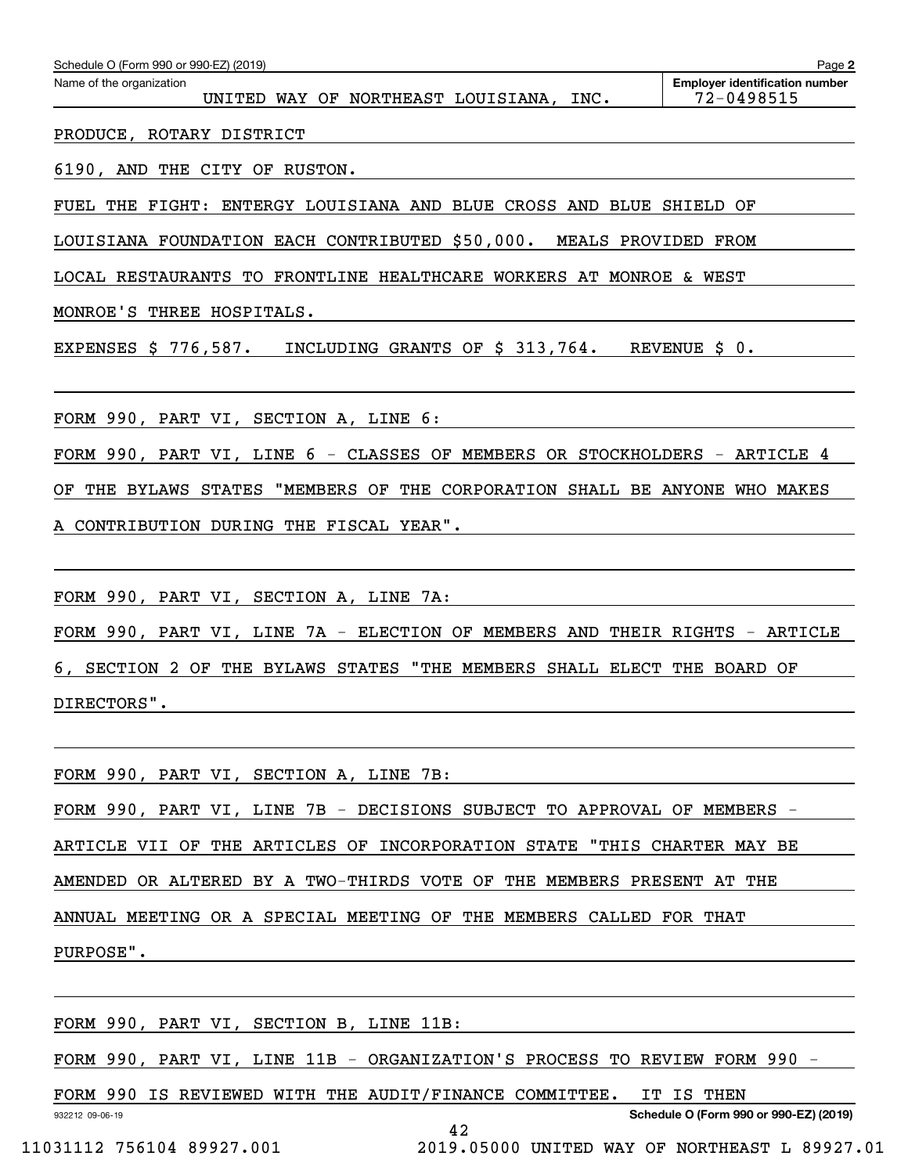| Schedule O (Form 990 or 990-EZ) (2019)                                      | Page 2                                              |
|-----------------------------------------------------------------------------|-----------------------------------------------------|
| Name of the organization<br>UNITED WAY OF NORTHEAST LOUISIANA, INC.         | <b>Employer identification number</b><br>72-0498515 |
| PRODUCE, ROTARY DISTRICT                                                    |                                                     |
| 6190, AND THE CITY OF RUSTON.                                               |                                                     |
| FUEL THE FIGHT: ENTERGY LOUISIANA AND BLUE CROSS AND BLUE SHIELD OF         |                                                     |
| LOUISIANA FOUNDATION EACH CONTRIBUTED \$50,000. MEALS PROVIDED FROM         |                                                     |
| LOCAL RESTAURANTS TO FRONTLINE HEALTHCARE WORKERS AT MONROE & WEST          |                                                     |
| MONROE'S THREE HOSPITALS.                                                   |                                                     |
| EXPENSES \$ 776,587. INCLUDING GRANTS OF \$ 313,764. REVENUE \$ 0.          |                                                     |
|                                                                             |                                                     |
| FORM 990, PART VI, SECTION A, LINE 6:                                       |                                                     |
| FORM 990, PART VI, LINE 6 - CLASSES OF MEMBERS OR STOCKHOLDERS - ARTICLE 4  |                                                     |
| OF THE BYLAWS STATES "MEMBERS OF THE CORPORATION SHALL BE ANYONE WHO MAKES  |                                                     |
| A CONTRIBUTION DURING THE FISCAL YEAR".                                     |                                                     |
|                                                                             |                                                     |
| FORM 990, PART VI, SECTION A, LINE 7A:                                      |                                                     |
| FORM 990, PART VI, LINE 7A - ELECTION OF MEMBERS AND THEIR RIGHTS - ARTICLE |                                                     |
| 6, SECTION 2 OF THE BYLAWS STATES "THE MEMBERS SHALL ELECT THE BOARD OF     |                                                     |
| DIRECTORS".                                                                 |                                                     |
|                                                                             |                                                     |
| FORM 990, PART VI, SECTION A, LINE 7B:                                      |                                                     |
| FORM 990, PART VI, LINE 7B - DECISIONS SUBJECT TO APPROVAL OF MEMBERS -     |                                                     |

ARTICLE VII OF THE ARTICLES OF INCORPORATION STATE "THIS CHARTER MAY BE

AMENDED OR ALTERED BY A TWO-THIRDS VOTE OF THE MEMBERS PRESENT AT THE

ANNUAL MEETING OR A SPECIAL MEETING OF THE MEMBERS CALLED FOR THAT

PURPOSE".

932212 09-06-19 **Schedule O (Form 990 or 990-EZ) (2019)** FORM 990, PART VI, SECTION B, LINE 11B: FORM 990, PART VI, LINE 11B - ORGANIZATION'S PROCESS TO REVIEW FORM 990 -FORM 990 IS REVIEWED WITH THE AUDIT/FINANCE COMMITTEE. IT IS THEN 42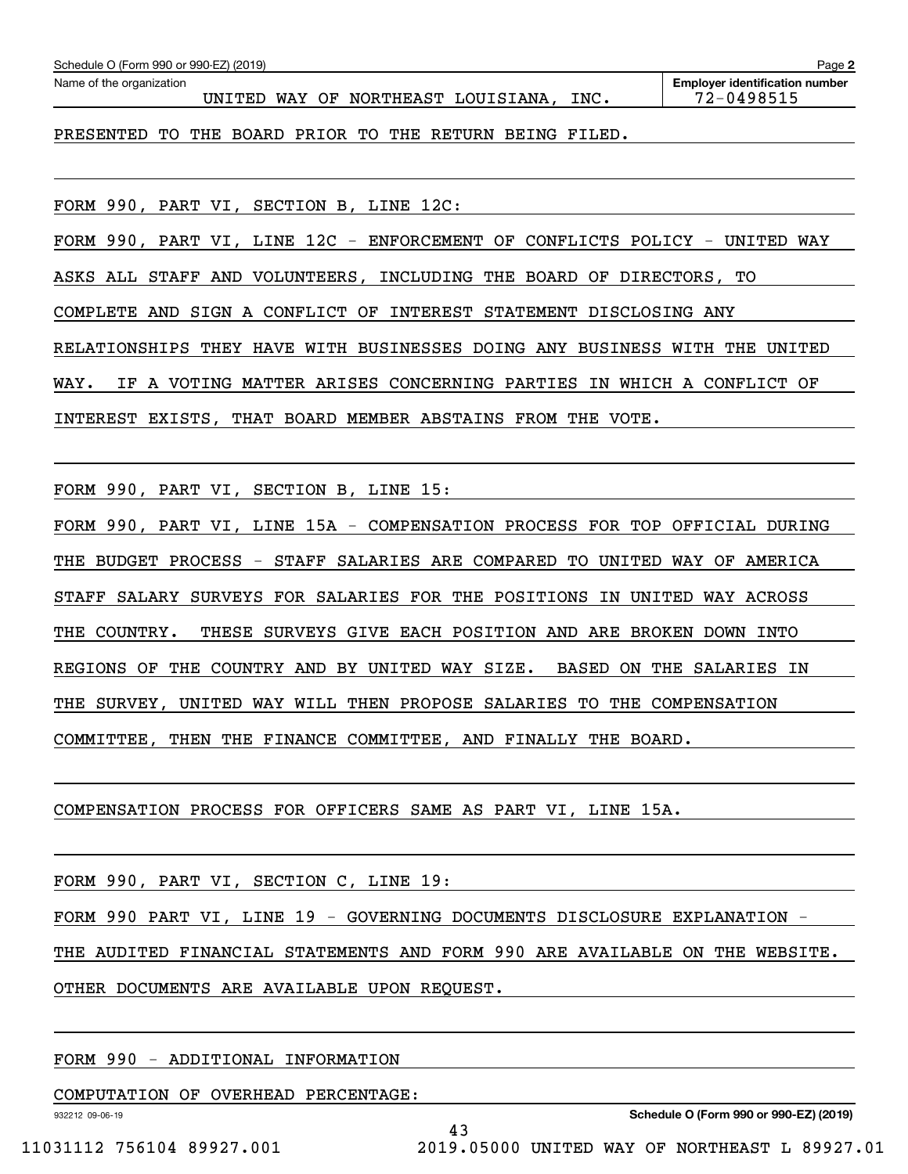| Schedule O (Form 990 or 990-EZ) (2019)                              | Page 2                                              |
|---------------------------------------------------------------------|-----------------------------------------------------|
| Name of the organization<br>UNITED WAY OF NORTHEAST LOUISIANA, INC. | <b>Employer identification number</b><br>72-0498515 |
| PRESENTED TO THE BOARD PRIOR TO THE RETURN BEING FILED.             |                                                     |
| FORM 990, PART VI, SECTION B, LINE 12C:                             |                                                     |

FORM 990, PART VI, LINE 12C  $-$  ENFORCEMENT OF CONFLICTS POLICY - UNITED WAY ASKS ALL STAFF AND VOLUNTEERS, INCLUDING THE BOARD OF DIRECTORS, TO COMPLETE AND SIGN A CONFLICT OF INTEREST STATEMENT DISCLOSING ANY RELATIONSHIPS THEY HAVE WITH BUSINESSES DOING ANY BUSINESS WITH THE UNITED WAY. IF A VOTING MATTER ARISES CONCERNING PARTIES IN WHICH A CONFLICT OF INTEREST EXISTS, THAT BOARD MEMBER ABSTAINS FROM THE VOTE.

FORM 990, PART VI, SECTION B, LINE 15:

FORM 990, PART VI, LINE 15A - COMPENSATION PROCESS FOR TOP OFFICIAL DURING THE BUDGET PROCESS - STAFF SALARIES ARE COMPARED TO UNITED WAY OF AMERICA STAFF SALARY SURVEYS FOR SALARIES FOR THE POSITIONS IN UNITED WAY ACROSS THE COUNTRY. THESE SURVEYS GIVE EACH POSITION AND ARE BROKEN DOWN INTO REGIONS OF THE COUNTRY AND BY UNITED WAY SIZE. BASED ON THE SALARIES IN THE SURVEY, UNITED WAY WILL THEN PROPOSE SALARIES TO THE COMPENSATION COMMITTEE, THEN THE FINANCE COMMITTEE, AND FINALLY THE BOARD.

COMPENSATION PROCESS FOR OFFICERS SAME AS PART VI, LINE 15A.

FORM 990, PART VI, SECTION C, LINE 19:

FORM 990 PART VI, LINE 19 - GOVERNING DOCUMENTS DISCLOSURE EXPLANATION -

THE AUDITED FINANCIAL STATEMENTS AND FORM 990 ARE AVAILABLE ON THE WEBSITE.

43

OTHER DOCUMENTS ARE AVAILABLE UPON REQUEST.

# FORM 990 - ADDITIONAL INFORMATION

COMPUTATION OF OVERHEAD PERCENTAGE:

932212 09-06-19